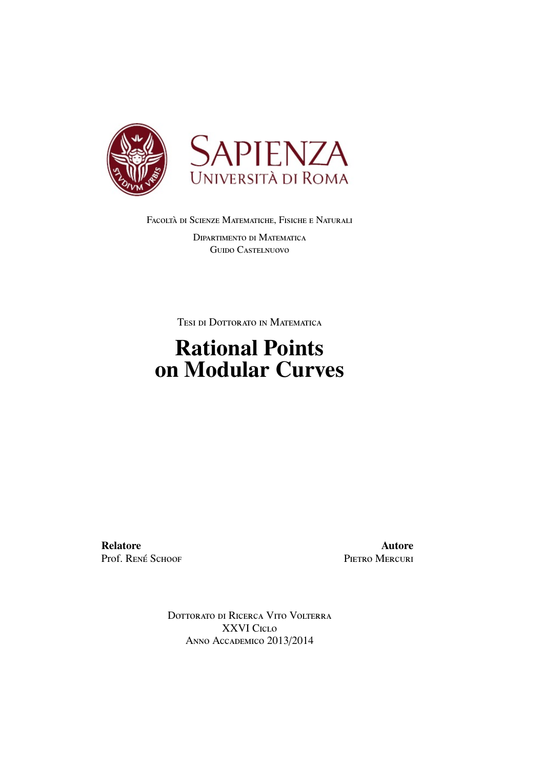

FACOLTÀ DI SCIENZE MATEMATICHE, FISICHE E NATURALI

Dipartimento di Matematica Guido Castelnuovo

Tesi di Dottorato in Matematica

## Rational Points on Modular Curves

Relatore Prof. RENÉ SCHOOF

Autore PIETRO MERCURI

Dottorato di Ricerca Vito Volterra XXVI Ciclo Anno Accademico 2013/2014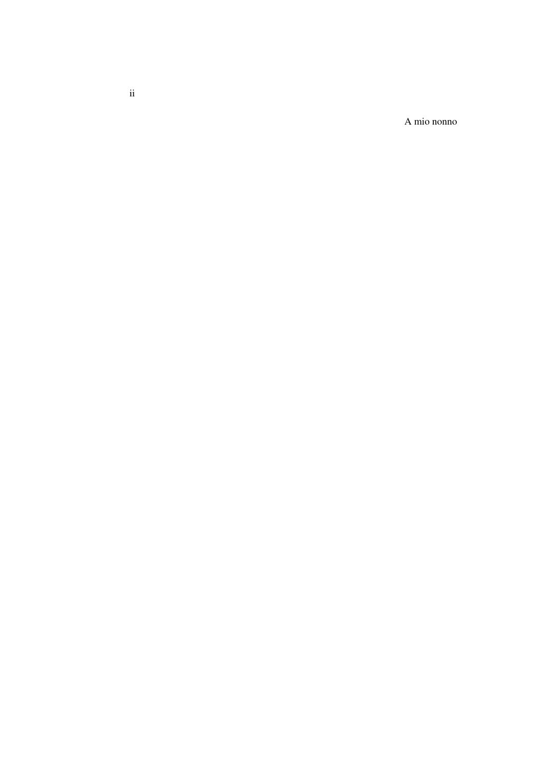A mio nonno

ii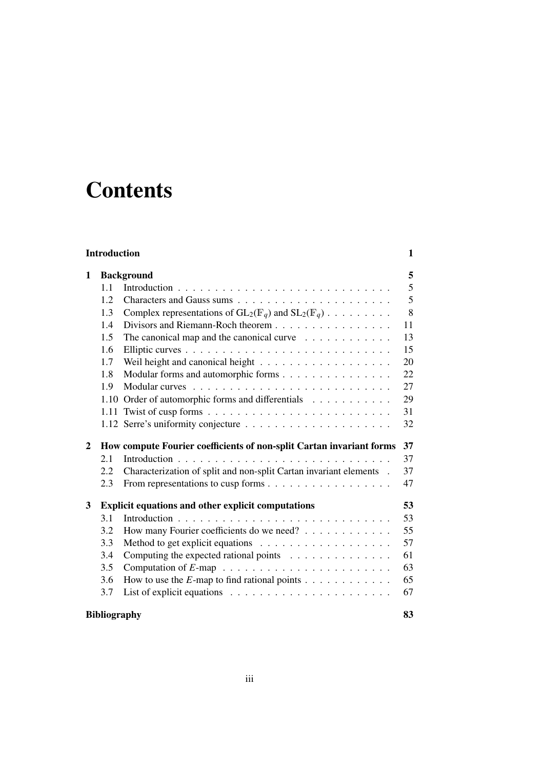# **Contents**

| <b>Introduction</b> |                                                                      |                                                                               | 1  |
|---------------------|----------------------------------------------------------------------|-------------------------------------------------------------------------------|----|
| 1                   | <b>Background</b>                                                    |                                                                               | 5  |
|                     | 1.1                                                                  |                                                                               | 5  |
|                     | 1.2                                                                  |                                                                               | 5  |
|                     | 1.3                                                                  | Complex representations of $GL_2(\mathbb{F}_q)$ and $SL_2(\mathbb{F}_q)$      | 8  |
|                     | 1.4                                                                  | Divisors and Riemann-Roch theorem                                             | 11 |
|                     | 1.5                                                                  | The canonical map and the canonical curve $\dots \dots \dots \dots$           | 13 |
|                     | 1.6                                                                  |                                                                               | 15 |
|                     | 1.7                                                                  |                                                                               | 20 |
|                     | 1.8                                                                  | Modular forms and automorphic forms                                           | 22 |
|                     | 1.9                                                                  |                                                                               | 27 |
|                     |                                                                      | 1.10 Order of automorphic forms and differentials                             | 29 |
|                     | 1.11                                                                 |                                                                               | 31 |
|                     |                                                                      |                                                                               | 32 |
| $\mathbf{2}$        | How compute Fourier coefficients of non-split Cartan invariant forms |                                                                               |    |
|                     |                                                                      |                                                                               | 37 |
|                     | 2.1                                                                  |                                                                               | 37 |
|                     | 2.2                                                                  | Characterization of split and non-split Cartan invariant elements .           | 37 |
|                     | 2.3                                                                  |                                                                               | 47 |
| 3                   |                                                                      |                                                                               | 53 |
|                     | 3.1                                                                  | <b>Explicit equations and other explicit computations</b>                     | 53 |
|                     | 3.2                                                                  | How many Fourier coefficients do we need?                                     | 55 |
|                     | 3.3                                                                  |                                                                               | 57 |
|                     | 3.4                                                                  | Computing the expected rational points $\ldots \ldots \ldots \ldots$          | 61 |
|                     | 3.5                                                                  |                                                                               | 63 |
|                     | 3.6                                                                  | How to use the $E$ -map to find rational points $\dots \dots \dots \dots$     | 65 |
|                     | 3.7                                                                  | List of explicit equations $\ldots \ldots \ldots \ldots \ldots \ldots \ldots$ | 67 |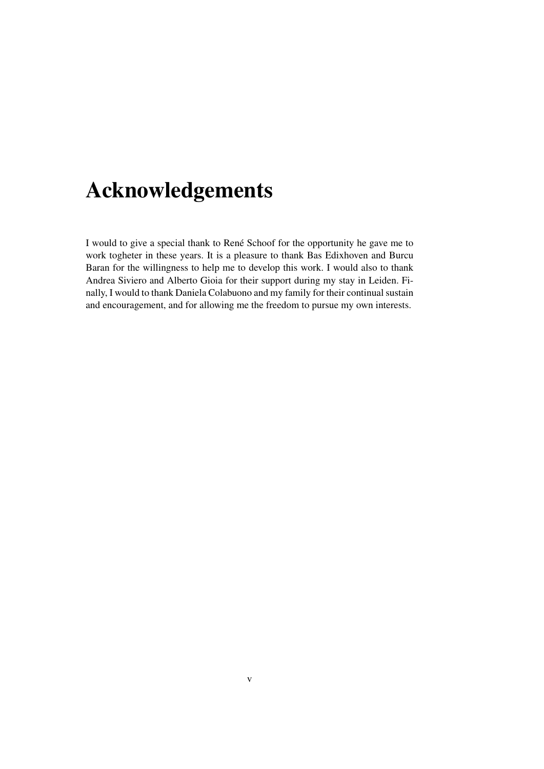# Acknowledgements

I would to give a special thank to René Schoof for the opportunity he gave me to work togheter in these years. It is a pleasure to thank Bas Edixhoven and Burcu Baran for the willingness to help me to develop this work. I would also to thank Andrea Siviero and Alberto Gioia for their support during my stay in Leiden. Finally, I would to thank Daniela Colabuono and my family for their continual sustain and encouragement, and for allowing me the freedom to pursue my own interests.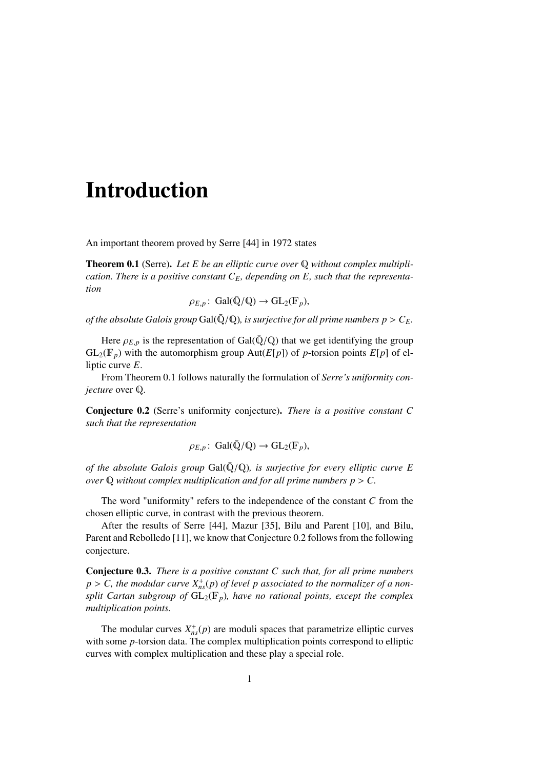## Introduction

An important theorem proved by Serre [44] in 1972 states

Theorem 0.1 (Serre). *Let E be an elliptic curve over* Q *without complex multiplication. There is a positive constant CE, depending on E, such that the representation*

 $\rho_{E,p}$ : Gal( $\overline{\mathbb{Q}}/\mathbb{Q}$ )  $\rightarrow$  GL<sub>2</sub>( $\mathbb{F}_p$ ),

*of the absolute Galois group* Gal( $\overline{Q}/Q$ )*, is surjective for all prime numbers p* >  $C_E$ *.* 

Here  $\rho_{E,p}$  is the representation of Gal( $\overline{Q}/Q$ ) that we get identifying the group  $GL_2(\mathbb{F}_p)$  with the automorphism group  $Aut(E[p])$  of *p*-torsion points  $E[p]$  of elliptic curve *E*.

From Theorem 0.1 follows naturally the formulation of *Serre's uniformity conjecture* over Q.

Conjecture 0.2 (Serre's uniformity conjecture). *There is a positive constant C such that the representation*

$$
\rho_{E,p} \colon \, \mathrm{Gal}(\bar{\mathbb{Q}}/\mathbb{Q}) \to \mathrm{GL}_2(\mathbb{F}_p),
$$

*of the absolute Galois group* Gal $(\bar{Q}/Q)$ *, is surjective for every elliptic curve E over*  $\mathbb Q$  *without complex multiplication and for all prime numbers*  $p > C$ *.* 

The word "uniformity" refers to the independence of the constant *C* from the chosen elliptic curve, in contrast with the previous theorem.

After the results of Serre [44], Mazur [35], Bilu and Parent [10], and Bilu, Parent and Rebolledo [11], we know that Conjecture 0.2 follows from the following conjecture.

Conjecture 0.3. *There is a positive constant C such that, for all prime numbers*  $p > C$ , the modular curve  $X_{ns}^+(p)$  of level p associated to the normalizer of a non-<br>
split Cartan subgroup of  $GI_{\infty}(\mathbb{F})$ , have no rational points, execut the complex *split Cartan subgroup of*  $GL_2(\mathbb{F}_p)$ *, have no rational points, except the complex multiplication points.*

The modular curves  $X_{ns}^+(p)$  are moduli spaces that parametrize elliptic curves with some *p*-torsion data. The complex multiplication points correspond to elliptic curves with complex multiplication and these play a special role.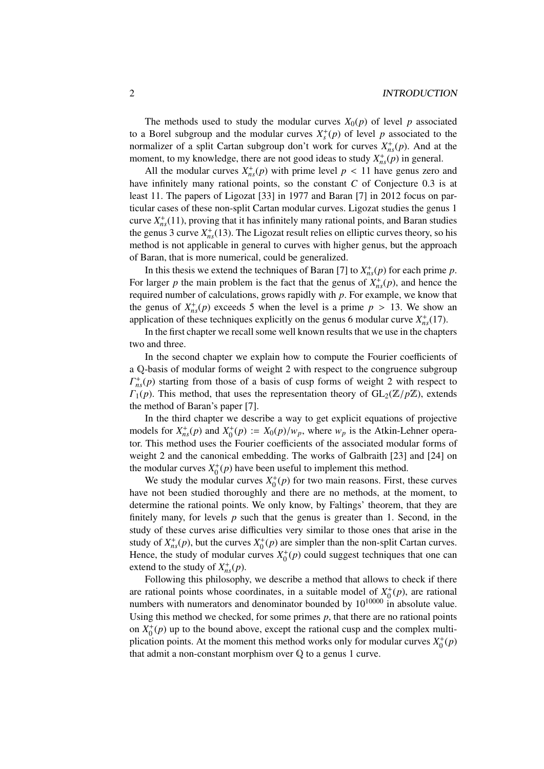The methods used to study the modular curves  $X_0(p)$  of level p associated to a Borel subgroup and the modular curves  $X_s^+(p)$  of level p associated to the normalizer of a split Cartan subgroup don't work for curves  $X_{ns}^+(p)$ . And at the moment, to my knowledge, there are not good ideas to study  $X_{ns}^+(p)$  in general.

All the modular curves  $X_{ns}^{+}(p)$  with prime level  $p < 11$  have genus zero and have infinitely many rational points, so the constant *C* of Conjecture 0.3 is at least 11. The papers of Ligozat [33] in 1977 and Baran [7] in 2012 focus on particular cases of these non-split Cartan modular curves. Ligozat studies the genus 1 curve  $X_{ns}^{+}(11)$ , proving that it has infinitely many rational points, and Baran studies the genus 3 curve  $X_{ns}^+(13)$ . The Ligozat result relies on elliptic curves theory, so his method is not applicable in general to curves with higher genus, but the approach of Baran, that is more numerical, could be generalized.

In this thesis we extend the techniques of Baran [7] to  $X_{ns}^+(p)$  for each prime *p*. For larger *p* the main problem is the fact that the genus of  $X_{ns}^{+}(p)$ , and hence the required number of calculations, grows rapidly with *p*. For example, we know that the genus of  $X_{ns}^{+}(p)$  exceeds 5 when the level is a prime  $p > 13$ . We show an application of these techniques explicitly on the genus 6 modular curve  $X^{+}(17)$ application of these techniques explicitly on the genus 6 modular curve  $X_{ns}^{+}(17)$ .

In the first chapter we recall some well known results that we use in the chapters two and three.

In the second chapter we explain how to compute the Fourier coefficients of a Q-basis of modular forms of weight 2 with respect to the congruence subgroup  $\Gamma_{ns}^{+}(p)$  starting from those of a basis of cusp forms of weight 2 with respect to  $\Gamma_1(p)$ . This method, that uses the representation theory of  $GL_2(\mathbb{Z}/p\mathbb{Z})$ , extends the method of Baran's paper [7].

In the third chapter we describe a way to get explicit equations of projective models for  $X_{ns}^+(p)$  and  $X_0^+(p) := X_0(p)/w_p$ , where  $w_p$  is the Atkin-Lehner opera-<br>tor. This method uses the Fourier coefficients of the associated modular forms of tor. This method uses the Fourier coefficients of the associated modular forms of weight 2 and the canonical embedding. The works of Galbraith [23] and [24] on the modular curves  $X_0^+(p)$  have been useful to implement this method.

We study the modular curves  $X_0^+(p)$  for two main reasons. First, these curves have not been studied thoroughly and there are no methods, at the moment, to determine the rational points. We only know, by Faltings' theorem, that they are finitely many, for levels  $p$  such that the genus is greater than 1. Second, in the study of these curves arise difficulties very similar to those ones that arise in the study of  $X_{ns}^+(p)$ , but the curves  $X_0^+(p)$  are simpler than the non-split Cartan curves. Hence, the study of modular curves  $X_0^+(p)$  could suggest techniques that one can extend to the study of  $X_{ns}^+(p)$ .

Following this philosophy, we describe a method that allows to check if there are rational points whose coordinates, in a suitable model of  $X_0^+(p)$ , are rational numbers with numerators and denominator bounded by  $10^{10000}$  in absolute value. Using this method we checked, for some primes *p*, that there are no rational points on  $X_0^+(p)$  up to the bound above, except the rational cusp and the complex multiplication points. At the moment this method works only for modular curves  $X_0^+(p)$ that admit a non-constant morphism over Q to a genus 1 curve.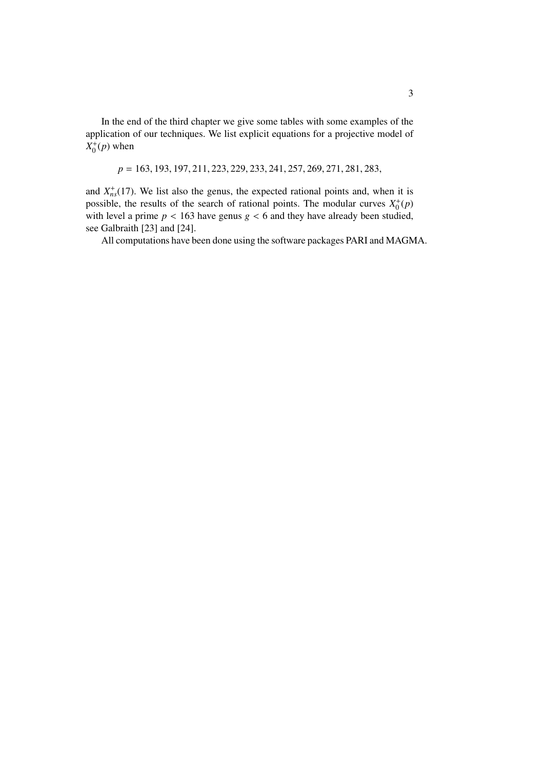In the end of the third chapter we give some tables with some examples of the application of our techniques. We list explicit equations for a projective model of  $X_0^+(p)$  when

*<sup>p</sup>* <sup>=</sup> <sup>163</sup>, <sup>193</sup>, <sup>197</sup>, <sup>211</sup>, <sup>223</sup>, <sup>229</sup>, <sup>233</sup>, <sup>241</sup>, <sup>257</sup>, <sup>269</sup>, <sup>271</sup>, <sup>281</sup>, <sup>283</sup>,

and  $X_{ns}^{+}(17)$ . We list also the genus, the expected rational points and, when it is possible, the results of the search of rational points. The modular curves  $X_0^+(p)$ with level a prime  $p < 163$  have genus  $g < 6$  and they have already been studied, see Galbraith [23] and [24].

All computations have been done using the software packages PARI and MAGMA.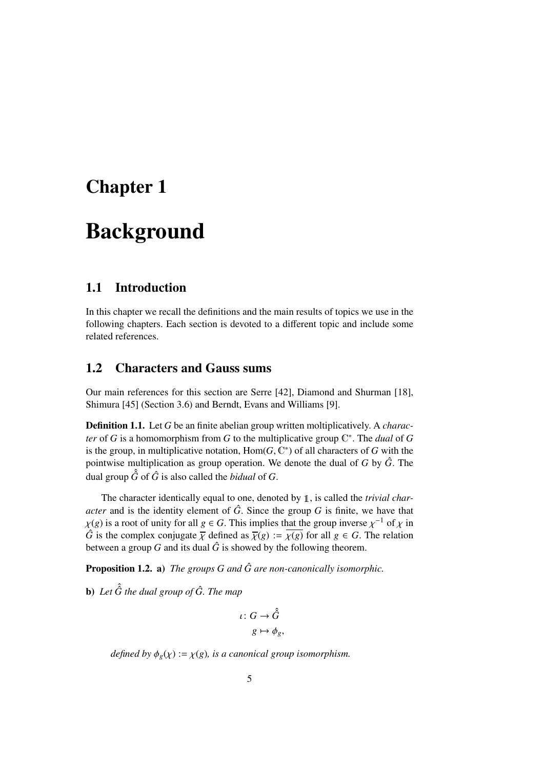## Chapter 1

## Background

## 1.1 Introduction

In this chapter we recall the definitions and the main results of topics we use in the following chapters. Each section is devoted to a different topic and include some related references.

## 1.2 Characters and Gauss sums

Our main references for this section are Serre [42], Diamond and Shurman [18], Shimura [45] (Section 3.6) and Berndt, Evans and Williams [9].

Definition 1.1. Let *G* be an finite abelian group written moltiplicatively. A *character* of *G* is a homomorphism from *G* to the multiplicative group  $\mathbb{C}^*$ . The *dual* of *G* is the group, in multiplicative notation,  $Hom(G, \mathbb{C}^*)$  of all characters of *G* with the pointwise multiplication as group operation. We denote the dual of *G* by  $\hat{G}$ . The pointwise multiplication as group operation. We denote the dual of *G* by *G*ˆ. The dual group  $\hat{G}$  of  $\hat{G}$  is also called the *bidual* of  $G$ .

The character identically equal to one, denoted by 1, is called the *trivial character* and is the identity element of  $\hat{G}$ . Since the group  $G$  is finite, we have that  $\chi(g)$  is a root of unity for all  $g \in G$ . This implies that the group inverse  $\chi^{-1}$  of  $\chi$  in  $\hat{G}$  is the complex conjugate  $\overline{\chi}$  defined as  $\overline{\chi}(g) := \chi(g)$  for all  $g \in G$ . The relation *G* is the complex conjugate  $\overline{\chi}$  defined as  $\overline{\chi}(g) := \overline{\chi(g)}$  for all  $g \in G$ . The relation between a group *G* and its dual  $\hat{G}$  is showed by the following theorem.

**Proposition 1.2. a)** *The groups G and*  $\hat{G}$  *are non-canonically isomorphic.* 

**b**) Let  $\hat{G}$  the dual group of  $\hat{G}$ . The map

$$
\iota \colon G \to \hat{G}
$$

$$
g \mapsto \phi_g,
$$

*defined by*  $\phi_g(\chi) := \chi(g)$ *, is a canonical group isomorphism.*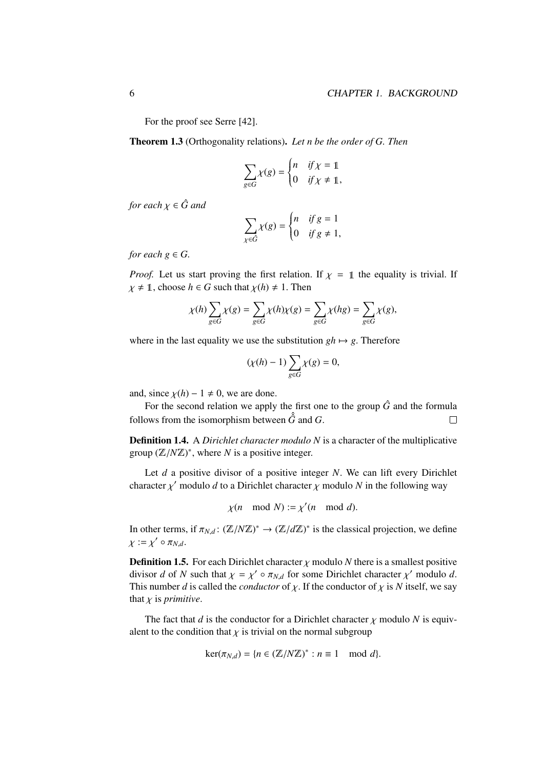For the proof see Serre [42].

Theorem 1.3 (Orthogonality relations). *Let n be the order of G. Then*

$$
\sum_{g \in G} \chi(g) = \begin{cases} n & \text{if } \chi = 1 \\ 0 & \text{if } \chi \neq 1, \end{cases}
$$

*for each*  $\chi \in \hat{G}$  *and* 

$$
\sum_{\chi \in \hat{G}} \chi(g) = \begin{cases} n & \text{if } g = 1 \\ 0 & \text{if } g \neq 1, \end{cases}
$$

*for each*  $g \in G$ *.* 

*Proof.* Let us start proving the first relation. If  $\chi = 1$  the equality is trivial. If  $\chi \neq 1$ , choose  $h \in G$  such that  $\chi(h) \neq 1$ . Then

$$
\chi(h)\sum_{g\in G}\chi(g)=\sum_{g\in G}\chi(h)\chi(g)=\sum_{g\in G}\chi(hg)=\sum_{g\in G}\chi(g),
$$

where in the last equality we use the substitution  $gh \mapsto g$ . Therefore

$$
(\chi(h)-1)\sum_{g\in G}\chi(g)=0,
$$

and, since  $\chi(h) - 1 \neq 0$ , we are done.

For the second relation we apply the first one to the group  $\hat{G}$  and the formula follows from the isomorphism between  $\hat{G}$  and *G*.  $\Box$ 

Definition 1.4. A *Dirichlet character modulo N* is a character of the multiplicative group  $(\mathbb{Z}/N\mathbb{Z})^*$ , where *N* is a positive integer.

Let *d* a positive divisor of a positive integer *N*. We can lift every Dirichlet character  $\chi'$  modulo *d* to a Dirichlet character  $\chi$  modulo *N* in the following way

$$
\chi(n \mod N) := \chi'(n \mod d).
$$

In other terms, if  $\pi_{N,d}$ :  $(\mathbb{Z}/N\mathbb{Z})^* \to (\mathbb{Z}/d\mathbb{Z})^*$  is the classical projection, we define  $\chi := \chi' \circ \pi_{N,d}.$ 

**Definition 1.5.** For each Dirichlet character  $\chi$  modulo *N* there is a smallest positive divisor *d* of *N* such that  $\chi = \chi' \circ \pi_{N,d}$  for some Dirichlet character  $\chi'$  modulo *d*.<br>This number *d* is called the conductor of  $\chi$ . If the conductor of  $\chi$  is *N* itself, we say This number *d* is called the *conductor* of  $\chi$ . If the conductor of  $\chi$  is *N* itself, we say that  $\chi$  is *primitive*.

The fact that *d* is the conductor for a Dirichlet character  $\chi$  modulo *N* is equivalent to the condition that  $\chi$  is trivial on the normal subgroup

$$
\ker(\pi_{N,d}) = \{ n \in (\mathbb{Z}/N\mathbb{Z})^* : n \equiv 1 \mod d \}.
$$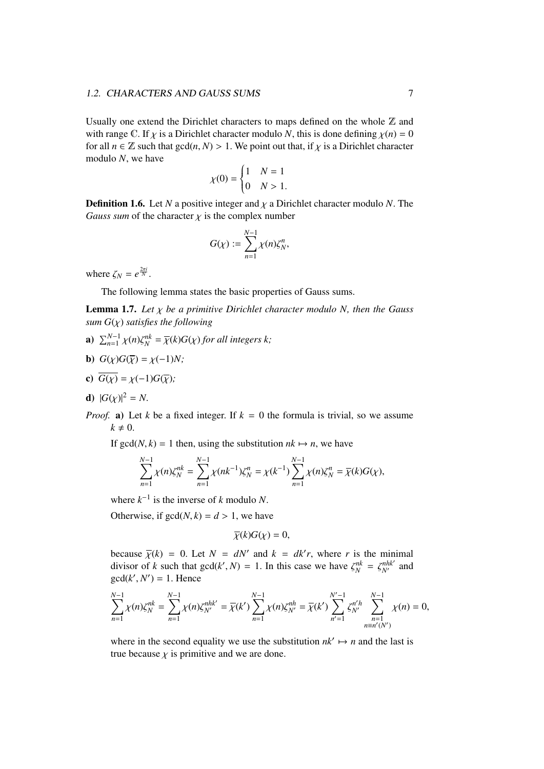Usually one extend the Dirichlet characters to maps defined on the whole  $\mathbb Z$  and with range C. If  $\chi$  is a Dirichlet character modulo *N*, this is done defining  $\chi(n) = 0$ for all  $n \in \mathbb{Z}$  such that  $gcd(n, N) > 1$ . We point out that, if  $\chi$  is a Dirichlet character modulo *N*, we have

$$
\chi(0) = \begin{cases} 1 & N = 1 \\ 0 & N > 1. \end{cases}
$$

**Definition 1.6.** Let *N* a positive integer and  $\chi$  a Dirichlet character modulo *N*. The *Gauss sum* of the character  $\chi$  is the complex number

$$
G(\chi) := \sum_{n=1}^{N-1} \chi(n) \zeta_N^n,
$$

where  $\zeta_N = e^{\frac{2\pi i}{N}}$ .

The following lemma states the basic properties of Gauss sums.

**Lemma 1.7.** Let  $\chi$  be a primitive Dirichlet character modulo N, then the Gauss *sum*  $G(\chi)$  *satisfies the following* 

- **a**)  $\sum_{n=1}^{N-1} \chi(n) \zeta_N^{nk} = \overline{\chi}(k) G(\chi)$  *for all integers k*;
- **b**)  $G(\chi)G(\overline{\chi}) = \chi(-1)N;$
- c)  $\overline{G(\chi)} = \chi(-1)G(\overline{\chi})$ ;
- **d**)  $|G(\chi)|^2 = N$ .
- *Proof.* a) Let *k* be a fixed integer. If  $k = 0$  the formula is trivial, so we assume  $k \neq 0$ .

If  $gcd(N, k) = 1$  then, using the substitution  $nk \mapsto n$ , we have

$$
\sum_{n=1}^{N-1} \chi(n)\zeta_N^{nk} = \sum_{n=1}^{N-1} \chi(nk^{-1})\zeta_N^n = \chi(k^{-1})\sum_{n=1}^{N-1} \chi(n)\zeta_N^n = \overline{\chi}(k)G(\chi),
$$

where  $k^{-1}$  is the inverse of *k* modulo *N*.

Otherwise, if  $gcd(N, k) = d > 1$ , we have

$$
\overline{\chi}(k)G(\chi)=0,
$$

because  $\overline{\chi}(k) = 0$ . Let  $N = dN'$  and  $k = dk'r$ , where *r* is the minimal divisor of *k* such that  $\alpha c d(k', N) = 1$ . In this case we have  $\zeta^{nk} = \zeta^{nhk'}$  and divisor of *k* such that  $gcd(k', N) = 1$ . In this case we have  $\zeta_N^{nk} = \zeta_{N'}^{nhk'}$  and  $gcd(k', N') = 1$ . Hence  $gcd(k', N') = 1$ . Hence

$$
\sum_{n=1}^{N-1} \chi(n)\zeta_N^{nk} = \sum_{n=1}^{N-1} \chi(n)\zeta_{N'}^{nhk'} = \overline{\chi}(k') \sum_{n=1}^{N-1} \chi(n)\zeta_{N'}^{nh} = \overline{\chi}(k') \sum_{n'=1}^{N'-1} \zeta_{N'}^{n'h} \sum_{n=1}^{N-1} \chi(n) = 0,
$$

where in the second equality we use the substitution  $nk' \mapsto n$  and the last is true because  $\chi$  is primitive and we are done.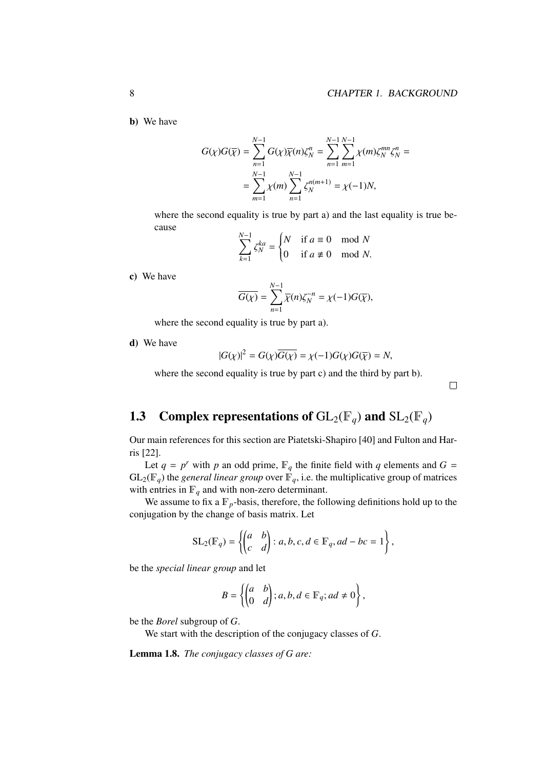b) We have

$$
G(\chi)G(\overline{\chi}) = \sum_{n=1}^{N-1} G(\chi)\overline{\chi}(n)\zeta_N^n = \sum_{n=1}^{N-1} \sum_{m=1}^{N-1} \chi(m)\zeta_N^{mn}\zeta_N^n =
$$
  
= 
$$
\sum_{m=1}^{N-1} \chi(m) \sum_{n=1}^{N-1} \zeta_N^{n(m+1)} = \chi(-1)N,
$$

where the second equality is true by part a) and the last equality is true because

$$
\sum_{k=1}^{N-1} \zeta_N^{ka} = \begin{cases} N & \text{if } a \equiv 0 \mod N \\ 0 & \text{if } a \not\equiv 0 \mod N. \end{cases}
$$

c) We have

$$
\overline{G(\chi)} = \sum_{n=1}^{N-1} \overline{\chi}(n) \zeta_N^{-n} = \chi(-1)G(\overline{\chi}),
$$

where the second equality is true by part a).

d) We have

$$
|G(\chi)|^2 = G(\chi)\overline{G(\chi)} = \chi(-1)G(\chi)G(\overline{\chi}) = N,
$$

where the second equality is true by part c) and the third by part b).

 $\Box$ 

## 1.3 Complex representations of  $GL_2(\mathbb{F}_q)$  and  $SL_2(\mathbb{F}_q)$

Our main references for this section are Piatetski-Shapiro [40] and Fulton and Harris [22].

Let  $q = p^r$  with p an odd prime,  $\mathbb{F}_q$  the finite field with q elements and  $G =$  $GL_2(\mathbb{F}_q)$  the *general linear group* over  $\mathbb{F}_q$ , i.e. the multiplicative group of matrices with entries in  $\mathbb{F}_q$  and with non-zero determinant.

We assume to fix a  $\mathbb{F}_p$ -basis, therefore, the following definitions hold up to the conjugation by the change of basis matrix. Let

$$
SL_2(\mathbb{F}_q) = \left\{ \begin{pmatrix} a & b \\ c & d \end{pmatrix} : a, b, c, d \in \mathbb{F}_q, ad - bc = 1 \right\},\
$$

be the *special linear group* and let

$$
B = \left\{ \begin{pmatrix} a & b \\ 0 & d \end{pmatrix}; a, b, d \in \mathbb{F}_q; ad \neq 0 \right\},\
$$

be the *Borel* subgroup of *G*.

We start with the description of the conjugacy classes of *G*.

Lemma 1.8. *The conjugacy classes of G are:*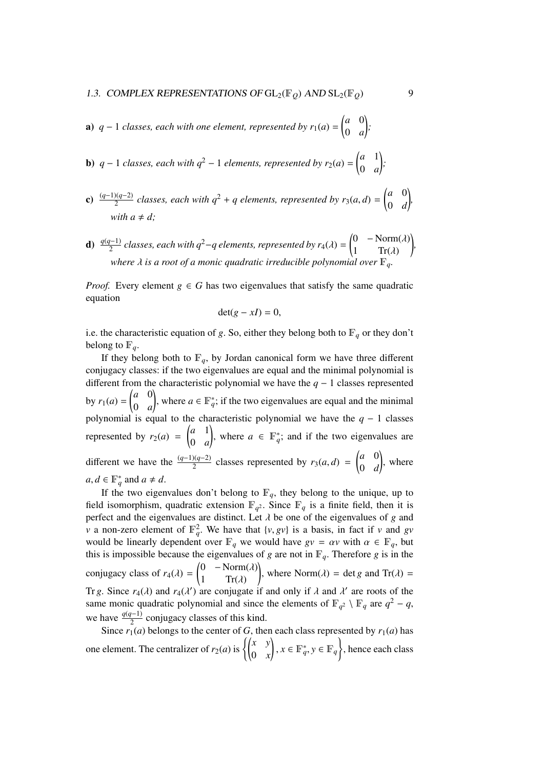- **a**)  $q-1$  *classes, each with one element, represented by*  $r_1(a) = \begin{pmatrix} a & 0 \\ 0 & a \end{pmatrix}$ 0 *a* l, *;*
- **b**)  $q-1$  *classes, each with*  $q^2-1$  *elements, represented by*  $r_2(a) = \begin{pmatrix} a & 1 \\ 0 & a \end{pmatrix}$ 0 *a* ! *;*
- **c**)  $\frac{(q-1)(q-2)}{2}$  classes, each with  $q^2 + q$  elements, represented by  $r_3(a, d) = \begin{pmatrix} a & 0 \\ 0 & d \end{pmatrix}$ 0 *d*  $\backslash$ *, with*  $a \neq d$ *:*
- **d**)  $\frac{q(q-1)}{2}$  classes, each with  $q^2 q$  elements, represented by  $r_4(\lambda) = \begin{pmatrix} 0 & -\text{Norm}(\lambda) \\ 1 & \text{Tr}(\lambda) \end{pmatrix}$ 1  $\text{Tr}(\lambda)$ ! *, where*  $\lambda$  *is a root of a monic quadratic irreducible polynomial over*  $\mathbb{F}_q$

*Proof.* Every element  $g \in G$  has two eigenvalues that satisfy the same quadratic equation

$$
\det(g - xI) = 0,
$$

i.e. the characteristic equation of *g*. So, either they belong both to  $\mathbb{F}_q$  or they don't belong to  $\mathbb{F}_q$ .

If they belong both to  $\mathbb{F}_q$ , by Jordan canonical form we have three different conjugacy classes: if the two eigenvalues are equal and the minimal polynomial is different from the characteristic polynomial we have the *q* − 1 classes represented by  $r_1(a) =$  $\begin{pmatrix} a & 0 \\ 0 & 0 \\ 0 & 0 \\ 0 & 0 \\ 0 & 0 \\ 0 & 0 & 0 \\ 0 & 0 & 0 \\ 0 & 0 & 0 \\ 0 & 0 & 0 & 0 \\ 0 & 0 & 0 & 0 \\ 0 & 0 & 0 & 0 \\ 0 & 0 & 0 & 0 & 0 \\ 0 & 0 & 0 & 0 & 0 \\ 0 & 0 & 0 & 0 & 0 & 0 \\ 0 & 0 & 0 & 0 & 0 & 0 \\ 0 & 0 & 0 & 0 & 0 & 0 \\ 0 & 0 & 0 & 0 & 0 & 0 & 0 \\ 0 & 0 & 0 & 0 & 0 & 0$ 0 *a* ), where  $a \in \mathbb{F}_q^*$ ; if the two eigenvalues are equal and the minimal polynomial is equal to the characteristic polynomial we have the  $q - 1$  classes represented by  $r_2(a)$  =  $\begin{pmatrix} a & 1 \\ a & 1 \end{pmatrix}$ 0 *a* ), where  $a \in \mathbb{F}_q^*$ ; and if the two eigenvalues are different we have the  $\frac{(q-1)(q-2)}{2}$  classes represented by *r*<sub>3</sub>(*a*, *d*) =  $\int a \quad 0$ 0 *d* ! , where  $a, d \in \mathbb{F}_q^*$  and  $a \neq d$ .

If the two eigenvalues don't belong to  $\mathbb{F}_q$ , they belong to the unique, up to field isomorphism, quadratic extension  $\mathbb{F}_{q^2}$ . Since  $\mathbb{F}_q$  is a finite field, then it is perfect and the eigenvalues are distinct. Let  $\lambda$  be one of the eigenvalues of *g* and *v* a non-zero element of  $\mathbb{F}_q^2$ . We have that  $\{v, gv\}$  is a basis, in fact if *v* and *gv* would be linearly dependent over  $\mathbb{F}_q$  we would have  $av = cy$  with  $\alpha \in \mathbb{F}_q$  but would be linearly dependent over  $\mathbb{F}_q$  we would have  $gv = \alpha v$  with  $\alpha \in \mathbb{F}_q$ , but this is impossible because the eigenvalues of *g* are not in  $\mathbb{F}_q$ . Therefore *g* is in the conjugacy class of  $r_4(\lambda) =$  $\begin{pmatrix} 0 & -\text{Norm}(\lambda) \\ 1 & \text{Tr}(\lambda) \end{pmatrix}$  $1 \quad Tr(\lambda)$ ! , where  $\text{Norm}(\lambda) = \det g$  and  $\text{Tr}(\lambda) =$ Tr *g*. Since  $r_4(\lambda)$  and  $r_4(\lambda')$  are conjugate if and only if  $\lambda$  and  $\lambda'$  are roots of the same monic quadratic polynomial and since the elements of  $\mathbb{F}_{q^2} \setminus \mathbb{F}_q$  are  $q^2 - q$ , we have  $\frac{q(q-1)}{2}$  conjugacy classes of this kind.

Since  $r_1(a)$  belongs to the center of *G*, then each class represented by  $r_1(a)$  has one element. The centralizer of  $r_2(a)$  is  $\begin{cases} \begin{pmatrix} x & y \\ 0 & x \end{pmatrix}$  $\left\{ x, x \in \mathbb{F}_q^*, y \in \mathbb{F}_q \right\}$ , hence each class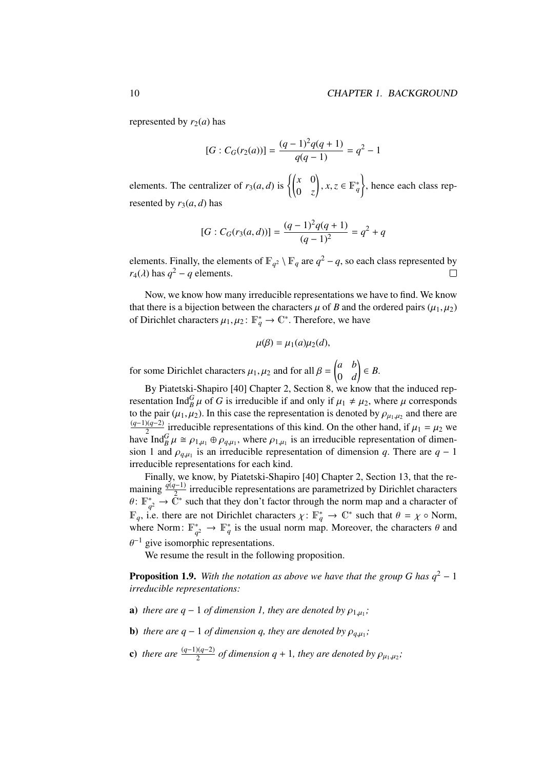represented by  $r_2(a)$  has

$$
[G:C_G(r_2(a))] = \frac{(q-1)^2q(q+1)}{q(q-1)} = q^2 - 1
$$

elements. The centralizer of  $r_3(a, d)$  is  $\begin{cases} \begin{pmatrix} x & 0 \\ 0 & z \end{pmatrix}$  $(x, z \in \mathbb{F}_q^*)$ ) , hence each class represented by  $r_3(a, d)$  has

$$
[G:C_G(r_3(a,d))] = \frac{(q-1)^2 q(q+1)}{(q-1)^2} = q^2 + q
$$

elements. Finally, the elements of  $\mathbb{F}_{q^2} \setminus \mathbb{F}_q$  are  $q^2 - q$ , so each class represented by  $r_4(\lambda)$  has  $q^2 - q$  elements.  $\Box$ 

Now, we know how many irreducible representations we have to find. We know that there is a bijection between the characters  $\mu$  of *B* and the ordered pairs ( $\mu_1, \mu_2$ ) of Dirichlet characters  $\mu_1, \mu_2 \colon \mathbb{F}_q^* \to \mathbb{C}^*$ . Therefore, we have

$$
\mu(\beta) = \mu_1(a)\mu_2(d),
$$

for some Dirichlet characters  $\mu_1, \mu_2$  and for all  $\beta =$  *a b* 0 *d* ! ∈ *B*.

By Piatetski-Shapiro [40] Chapter 2, Section 8, we know that the induced representation Ind<sup>*G*</sup> $\mu$  of *G* is irreducible if and only if  $\mu_1 \neq \mu_2$ , where  $\mu$  corresponds<br>to the pair ( $\mu_1$ ,  $\mu_2$ ). In this case the representation is denoted by  $\alpha$ , and there are to the pair  $(\mu_1, \mu_2)$ . In this case the representation is denoted by  $\rho_{\mu_1, \mu_2}$  and there are  $(q-1)(q-2)$  inneducible approachations of this bind. On the other hand, if  $\mu_1$  is an (*q*−1)(*q*−2)  $\frac{2Q-2}{2}$  irreducible representations of this kind. On the other hand, if  $\mu_1 = \mu_2$  we<br>a Ind<sup>G</sup>  $\mu \approx \alpha$  and  $\theta$  where  $\alpha$  is an irreducible representation of dimenhave  $\text{Ind}_{B}^{G} \mu \cong \rho_{1,\mu_{1}} \oplus \rho_{q,\mu_{1}}$ , where  $\rho_{1,\mu_{1}}$  is an irreducible representation of dimension and  $\rho_{q}$  is an irreducible representation of dimension a. There are  $q = 1$ sion 1 and  $\rho_{q,\mu_1}$  is an irreducible representation of dimension *q*. There are  $q - 1$ <br>irreducible representations for each kind irreducible representations for each kind.

Finally, we know, by Piatetski-Shapiro [40] Chapter 2, Section 13, that the remaining  $\frac{\dot{q}(q-1)}{2}$  irreducible representations are parametrized by Dirichlet characters  $\theta$ :  $\mathbb{F}_q^*$  $q^*_{q^2} \rightarrow \tilde{\mathbb{C}}^*$  such that they don't factor through the norm map and a character of  $\mathbb{F}_q$ , i.e. there are not Dirichlet characters  $\chi: \mathbb{F}_q^* \to \mathbb{C}^*$  such that  $\theta = \chi \circ \text{Norm}$ ,<br>where Norm:  $\mathbb{F}^* \to \mathbb{F}^*$  is the usual norm map. Moreover, the characters  $\theta$  and where Norm:  $\mathbb{F}^*$  $_{q^2}^* \rightarrow \mathbb{F}_q^*$  is the usual norm map. Moreover, the characters  $\theta$  and  $\neg^{-1}$  give isomorphic representations.

We resume the result in the following proposition.

**Proposition 1.9.** With the notation as above we have that the group G has  $q^2 - 1$ *irreducible representations:*

- **a**) *there are*  $q 1$  *of dimension 1, they are denoted by*  $\rho_{1,\mu_1}$ ;
- **b**) *there are q* − 1 *of dimension q, they are denoted by*  $\rho_{q,\mu_1}$ ;
- **c**) there are  $\frac{(q-1)(q-2)}{2}$  of dimension  $q + 1$ , they are denoted by  $\rho_{\mu_1,\mu_2}$ ;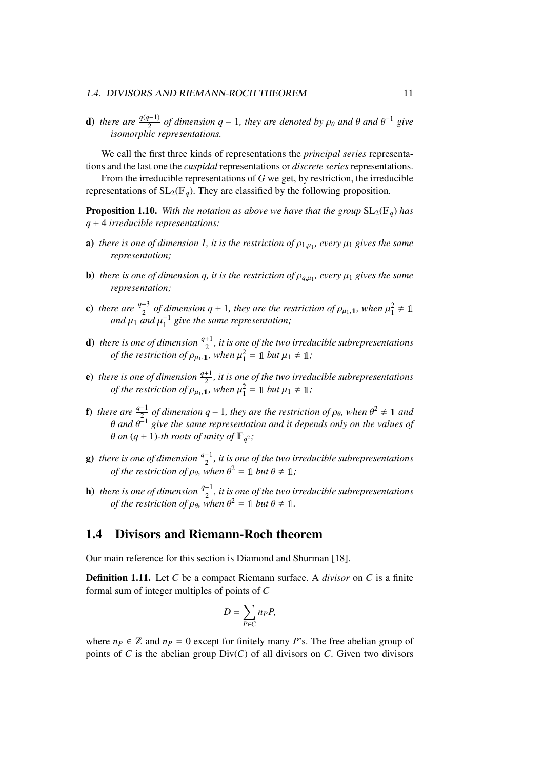#### 1.4. DIVISORS AND RIEMANN-ROCH THEOREM 11

**d**) there are  $\frac{q(q-1)}{2}$  of dimension  $q-1$ , they are denoted by  $\rho_{\theta}$  and  $\theta$  and  $\theta^{-1}$  give *isomorphic representations.*

We call the first three kinds of representations the *principal series* representations and the last one the *cuspidal* representations or *discrete series* representations.

From the irreducible representations of *G* we get, by restriction, the irreducible representations of  $SL_2(\mathbb{F}_q)$ . They are classified by the following proposition.

**Proposition 1.10.** With the notation as above we have that the group  $SL_2(\mathbb{F}_q)$  has *q* + 4 *irreducible representations:*

- **a**) *there is one of dimension 1, it is the restriction of*  $\rho_{1,\mu_1}$ *, every*  $\mu_1$  *gives the same*<br>*representation: representation;*
- **b**) *there is one of dimension q, it is the restriction of*  $\rho_{q,\mu_1}$ *, every*  $\mu_1$  *gives the same*<br>representation: *representation;*
- c) *there are*  $\frac{q-3}{2}$  *of dimension q* + 1*, they are the restriction of*  $\rho_{\mu_1,1}$ *, when*  $\mu_1^2 \neq 1$ <br>*and*  $\mu_2$  and  $\mu_1^{-1}$  give the same representation: and  $\mu_1$  and  $\mu_1^{-1}$  give the same representation;
- **d**) there is one of dimension  $\frac{q+1}{2}$ , it is one of the two irreducible subrepresentations *of the restriction of*  $\rho_{\mu_1,1}$ *, when*  $\mu_1^2 = 1$  *but*  $\mu_1 \neq 1$ *;*
- **e**) there is one of dimension  $\frac{q+1}{2}$ , it is one of the two irreducible subrepresentations *of the restriction of*  $\rho_{\mu_1,1}$ *, when*  $\mu_1^2 = 1$  *but*  $\mu_1 \neq 1$ *;*
- **f**) *there are*  $\frac{q-1}{2}$  *of dimension*  $q-1$ *, they are the restriction of*  $\rho_{\theta}$ *, when*  $\theta^2 \neq \mathbb{1}$  *and*  $\theta$ <sup>-1</sup> *aive the same representation and it depends only on the values of* θ and θ<sup>-1</sup> give the same representation and it depends only on the values of<br>θ on (a + 1) th roots of unity of F s:  $\theta$  *on*  $(q + 1)$ -th roots of unity of  $\mathbb{F}_{q^2}$ ;
- g) there is one of dimension  $\frac{q-1}{2}$ , it is one of the two irreducible subrepresentations *of the restriction of*  $\rho_{\theta}$ *, when*  $\theta^2 = 1$  *but*  $\theta \neq 1$ *;*
- **h**) *there is one of dimension*  $\frac{q-1}{2}$ , *it is one of the two irreducible subrepresentations of the restriction of*  $\rho_{\theta}$ *, when*  $\theta^2 = 1$  *but*  $\theta \neq 1$ *.*

## 1.4 Divisors and Riemann-Roch theorem

Our main reference for this section is Diamond and Shurman [18].

Definition 1.11. Let *C* be a compact Riemann surface. A *divisor* on *C* is a finite formal sum of integer multiples of points of *C*

$$
D=\sum_{P\in C}n_P P,
$$

where  $n_P \in \mathbb{Z}$  and  $n_P = 0$  except for finitely many *P*'s. The free abelian group of points of *C* is the abelian group  $Div(C)$  of all divisors on *C*. Given two divisors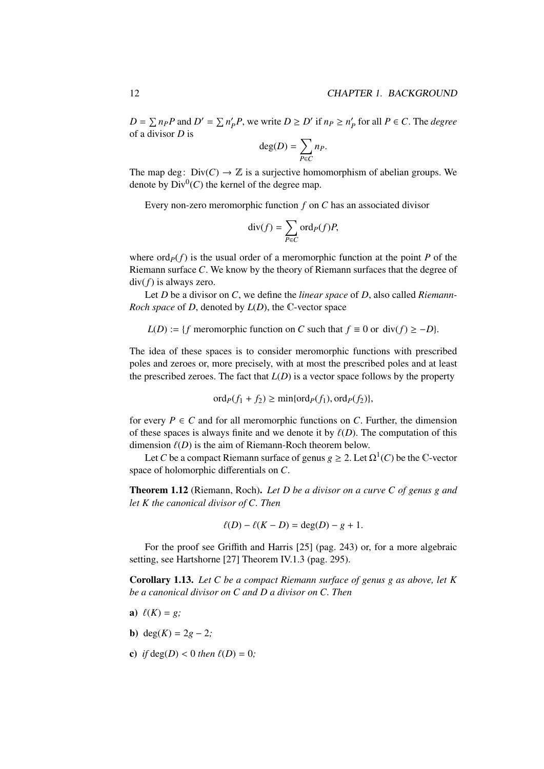$D = \sum n_P P$  and  $D' = \sum n'_P$  $P'_P P$ , we write  $D \ge D'$  if  $n_P \ge n'_P$  $P_P$  for all  $P \in C$ . The *degree* of a divisor *D* is

$$
\deg(D) = \sum_{P \in C} n_P.
$$

The map deg:  $Div(C) \rightarrow \mathbb{Z}$  is a surjective homomorphism of abelian groups. We denote by  $Div^0(C)$  the kernel of the degree map.

Every non-zero meromorphic function *f* on *C* has an associated divisor

$$
\operatorname{div}(f) = \sum_{P \in C} \operatorname{ord}_P(f) P,
$$

where  $\text{ord}_P(f)$  is the usual order of a meromorphic function at the point *P* of the Riemann surface *C*. We know by the theory of Riemann surfaces that the degree of div(*f*) is always zero.

Let *D* be a divisor on *C*, we define the *linear space* of *D*, also called *Riemann-Roch space* of *D*, denoted by *L*(*D*), the C-vector space

*L*(*D*) := {*f* meromorphic function on *C* such that  $f \equiv 0$  or div( $f$ ) ≥ −*D*}.

The idea of these spaces is to consider meromorphic functions with prescribed poles and zeroes or, more precisely, with at most the prescribed poles and at least the prescribed zeroes. The fact that  $L(D)$  is a vector space follows by the property

$$
\operatorname{ord}_P(f_1+f_2)\geq \min\{\operatorname{ord}_P(f_1),\operatorname{ord}_P(f_2)\},\
$$

for every  $P \in C$  and for all meromorphic functions on *C*. Further, the dimension of these spaces is always finite and we denote it by  $\ell(D)$ . The computation of this dimension  $\ell(D)$  is the aim of Riemann-Roch theorem below.

Let *C* be a compact Riemann surface of genus  $g \ge 2$ . Let  $\Omega^1(C)$  be the C-vector space of holomorphic differentials on *C*.

Theorem 1.12 (Riemann, Roch). *Let D be a divisor on a curve C of genus g and let K the canonical divisor of C. Then*

$$
\ell(D) - \ell(K - D) = \deg(D) - g + 1.
$$

For the proof see Griffith and Harris [25] (pag. 243) or, for a more algebraic setting, see Hartshorne [27] Theorem IV.1.3 (pag. 295).

Corollary 1.13. *Let C be a compact Riemann surface of genus g as above, let K be a canonical divisor on C and D a divisor on C. Then*

- a)  $\ell(K) = g$ ;
- **b**) deg( $K$ ) = 2 $g 2$ ;
- c) *if*  $deg(D) < 0$  *then*  $\ell(D) = 0$ ;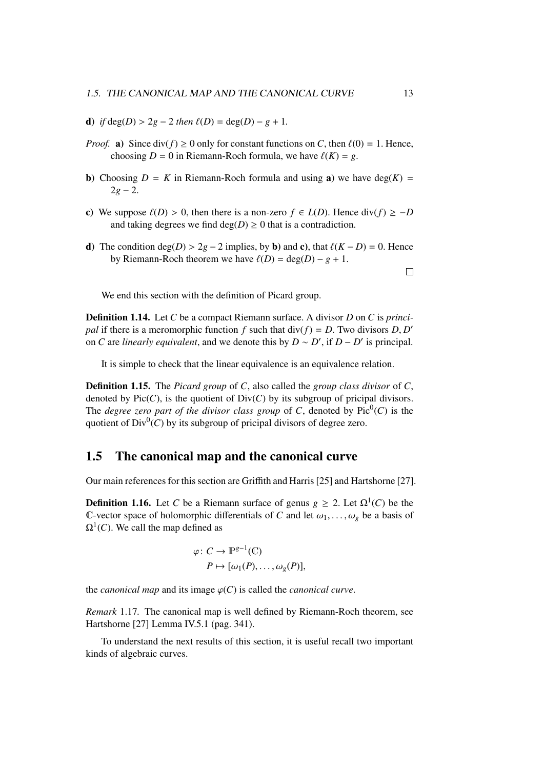- d) *if*  $deg(D) > 2g 2$  *then*  $\ell(D) = deg(D) g + 1$ .
- *Proof.* a) Since  $div(f) \ge 0$  only for constant functions on *C*, then  $\ell(0) = 1$ . Hence, choosing  $D = 0$  in Riemann-Roch formula, we have  $\ell(K) = g$ .
- **b**) Choosing  $D = K$  in Riemann-Roch formula and using a) we have deg( $K$ ) =  $2g - 2$ .
- c) We suppose  $\ell(D) > 0$ , then there is a non-zero  $f \in L(D)$ . Hence div( $f \ge -D$ and taking degrees we find  $deg(D) \ge 0$  that is a contradiction.
- d) The condition deg(*D*) > 2*g* − 2 implies, by **b**) and **c**), that  $\ell(K D) = 0$ . Hence by Riemann-Roch theorem we have  $\ell(D) = \deg(D) - g + 1$ .

 $\Box$ 

We end this section with the definition of Picard group.

Definition 1.14. Let *C* be a compact Riemann surface. A divisor *D* on *C* is *principal* if there is a meromorphic function *f* such that  $div(f) = D$ . Two divisors *D*, *D'* on *C* are linearly equivalent and we denote this by *D*  $\approx$  *D'* if *D*  $\approx$  *D'* is principal. on *C* are *linearly equivalent*, and we denote this by  $D \sim D'$ , if  $D - D'$  is principal.

It is simple to check that the linear equivalence is an equivalence relation.

Definition 1.15. The *Picard group* of *C*, also called the *group class divisor* of *C*, denoted by  $Pic(C)$ , is the quotient of  $Div(C)$  by its subgroup of pricipal divisors. The *degree zero part of the divisor class group* of C, denoted by  $Pic^0(C)$  is the quotient of  $Div^0(C)$  by its subgroup of pricipal divisors of degree zero.

## 1.5 The canonical map and the canonical curve

Our main references for this section are Griffith and Harris [25] and Hartshorne [27].

**Definition 1.16.** Let *C* be a Riemann surface of genus  $g \ge 2$ . Let  $\Omega^1(C)$  be the C-vector space of holomorphic differentials of *C* and let  $\omega_1, \ldots, \omega_g$  be a basis of  $\Omega^1(C)$ . We call the map defined as

$$
\varphi \colon C \to \mathbb{P}^{g-1}(\mathbb{C})
$$

$$
P \mapsto [\omega_1(P), \dots, \omega_g(P)],
$$

the *canonical map* and its image  $\varphi(C)$  is called the *canonical curve*.

*Remark* 1.17*.* The canonical map is well defined by Riemann-Roch theorem, see Hartshorne [27] Lemma IV.5.1 (pag. 341).

To understand the next results of this section, it is useful recall two important kinds of algebraic curves.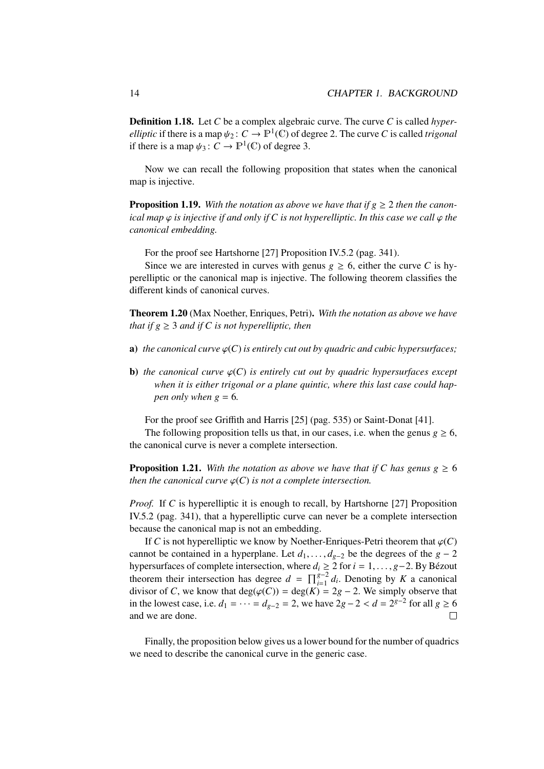Definition 1.18. Let *C* be a complex algebraic curve. The curve *C* is called *hyperelliptic* if there is a map  $\psi_2$ :  $C \to \mathbb{P}^1(\mathbb{C})$  of degree 2. The curve *C* is called *trigonal* if there is a map  $\psi_2$ :  $C \to \mathbb{P}^1(\mathbb{C})$  of degree 3. if there is a map  $\psi_3: C \to \mathbb{P}^1(\mathbb{C})$  of degree 3.

Now we can recall the following proposition that states when the canonical map is injective.

**Proposition 1.19.** With the notation as above we have that if  $g \ge 2$  then the canon*ical map*  $\varphi$  *is injective if and only if C is not hyperelliptic. In this case we call*  $\varphi$  *the canonical embedding.*

For the proof see Hartshorne [27] Proposition IV.5.2 (pag. 341).

Since we are interested in curves with genus  $g \ge 6$ , either the curve *C* is hyperelliptic or the canonical map is injective. The following theorem classifies the different kinds of canonical curves.

Theorem 1.20 (Max Noether, Enriques, Petri). *With the notation as above we have that if*  $g \geq 3$  *and if* C *is not hyperelliptic, then* 

- **a)** *the canonical curve*  $\varphi(C)$  *is entirely cut out by quadric and cubic hypersurfaces;*
- **b**) *the canonical curve*  $\varphi(C)$  *is entirely cut out by quadric hypersurfaces except when it is either trigonal or a plane quintic, where this last case could happen only when*  $g = 6$ .

For the proof see Griffith and Harris [25] (pag. 535) or Saint-Donat [41].

The following proposition tells us that, in our cases, i.e. when the genus  $g \ge 6$ , the canonical curve is never a complete intersection.

**Proposition 1.21.** With the notation as above we have that if C has genus  $g \ge 6$ *then the canonical curve*  $\varphi(C)$  *is not a complete intersection.* 

*Proof.* If *C* is hyperelliptic it is enough to recall, by Hartshorne [27] Proposition IV.5.2 (pag. 341), that a hyperelliptic curve can never be a complete intersection because the canonical map is not an embedding.

If *C* is not hyperelliptic we know by Noether-Enriques-Petri theorem that  $\varphi$ (*C*) cannot be contained in a hyperplane. Let  $d_1, \ldots, d_{g-2}$  be the degrees of the  $g - 2$ hypersurfaces of complete intersection, where  $d_i \ge 2$  for  $i = 1, ..., g-2$ . By Bézout theorem their intersection has degree  $d = \prod_{i=1}^{g-2} d_i$ . Denoting by K a canonical divisor of *C*, we know that deg( $\varphi$ (*C*)) = deg(*K*) = 2*g* − 2. We simply observe that in the lowest case, i.e.  $d_1 = \cdots = d_{g-2} = 2$ , we have  $2g - 2 < d = 2^{g-2}$  for all  $g \ge 6$ <br>and we are done and we are done.  $\Box$ 

Finally, the proposition below gives us a lower bound for the number of quadrics we need to describe the canonical curve in the generic case.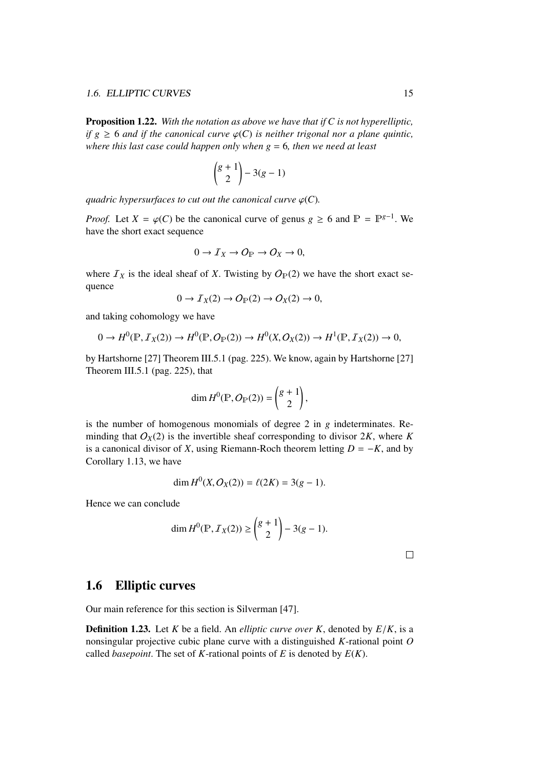Proposition 1.22. *With the notation as above we have that if C is not hyperelliptic, if*  $g \geq 6$  *and if the canonical curve*  $\varphi$ (*C*) *is neither trigonal nor a plane quintic, where this last case could happen only when g* = 6*, then we need at least*

$$
\binom{g+1}{2}-3(g-1)
$$

*quadric hypersurfaces to cut out the canonical curve*  $\varphi$ (*C*).

*Proof.* Let *X* =  $\varphi$ (*C*) be the canonical curve of genus *g* ≥ 6 and  $\mathbb{P} = \mathbb{P}^{g-1}$ . We have the short exact sequence have the short exact sequence

$$
0 \to I_X \to O_{\mathbb{P}} \to O_X \to 0,
$$

where  $I_X$  is the ideal sheaf of *X*. Twisting by  $O_P(2)$  we have the short exact sequence

$$
0 \to I_X(2) \to O_{\mathbb{P}}(2) \to O_X(2) \to 0,
$$

and taking cohomology we have

$$
0 \to H^0(\mathbb{P}, \mathcal{I}_X(2)) \to H^0(\mathbb{P}, \mathcal{O}_{\mathbb{P}}(2)) \to H^0(X, \mathcal{O}_X(2)) \to H^1(\mathbb{P}, \mathcal{I}_X(2)) \to 0,
$$

by Hartshorne [27] Theorem III.5.1 (pag. 225). We know, again by Hartshorne [27] Theorem III.5.1 (pag. 225), that

$$
\dim H^0(\mathbb{P}, O_{\mathbb{P}}(2)) = \binom{g+1}{2},
$$

is the number of homogenous monomials of degree 2 in *g* indeterminates. Reminding that  $O_X(2)$  is the invertible sheaf corresponding to divisor 2K, where K is a canonical divisor of *X*, using Riemann-Roch theorem letting  $D = -K$ , and by Corollary 1.13, we have

$$
\dim H^0(X, O_X(2)) = \ell(2K) = 3(g-1).
$$

Hence we can conclude

$$
\dim H^0(\mathbb{P}, \mathcal{I}_X(2)) \ge \binom{g+1}{2} - 3(g-1).
$$

 $\Box$ 

## 1.6 Elliptic curves

Our main reference for this section is Silverman [47].

Definition 1.23. Let *<sup>K</sup>* be a field. An *elliptic curve over K*, denoted by *<sup>E</sup>*/*K*, is a nonsingular projective cubic plane curve with a distinguished *K*-rational point *O* called *basepoint*. The set of *K*-rational points of *E* is denoted by  $E(K)$ .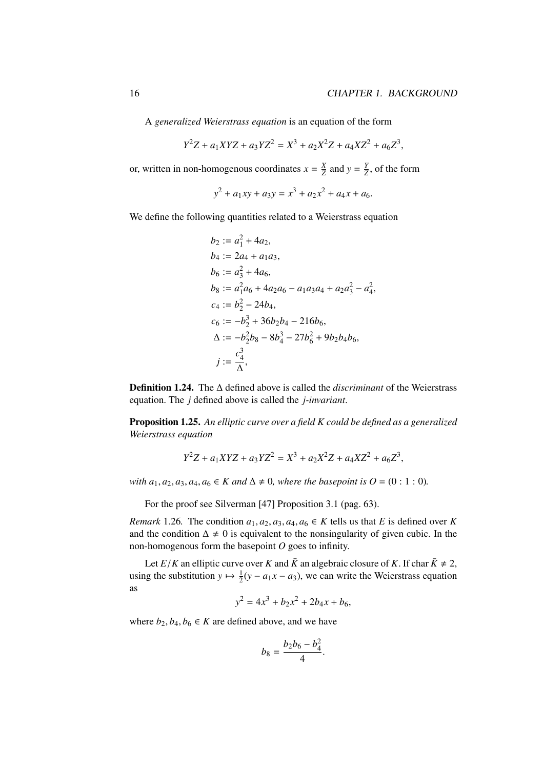A *generalized Weierstrass equation* is an equation of the form

$$
Y^2Z + a_1XYZ + a_3YZ^2 = X^3 + a_2X^2Z + a_4XZ^2 + a_6Z^3,
$$

or, written in non-homogenous coordinates  $x = \frac{X}{Z}$  $\frac{X}{Z}$  and  $y = \frac{Y}{Z}$  $\frac{Y}{Z}$ , of the form

$$
y^2 + a_1xy + a_3y = x^3 + a_2x^2 + a_4x + a_6.
$$

We define the following quantities related to a Weierstrass equation

$$
b_2 := a_1^2 + 4a_2,
$$
  
\n
$$
b_4 := 2a_4 + a_1a_3,
$$
  
\n
$$
b_6 := a_3^2 + 4a_6,
$$
  
\n
$$
b_8 := a_1^2a_6 + 4a_2a_6 - a_1a_3a_4 + a_2a_3^2 - a_4^2,
$$
  
\n
$$
c_4 := b_2^2 - 24b_4,
$$
  
\n
$$
c_6 := -b_2^3 + 36b_2b_4 - 216b_6,
$$
  
\n
$$
\Delta := -b_2^2b_8 - 8b_4^3 - 27b_6^2 + 9b_2b_4b_6,
$$
  
\n
$$
j := \frac{c_4^3}{\Delta},
$$

Definition 1.24. The ∆ defined above is called the *discriminant* of the Weierstrass equation. The *j* defined above is called the *j-invariant*.

Proposition 1.25. *An elliptic curve over a field K could be defined as a generalized Weierstrass equation*

$$
Y^2Z + a_1XYZ + a_3YZ^2 = X^3 + a_2X^2Z + a_4XZ^2 + a_6Z^3,
$$

*with*  $a_1, a_2, a_3, a_4, a_6 \in K$  *and*  $\Delta \neq 0$ *, where the basepoint is*  $O = (0 : 1 : 0)$ *.* 

For the proof see Silverman [47] Proposition 3.1 (pag. 63).

*Remark* 1.26*.* The condition  $a_1, a_2, a_3, a_4, a_6 \in K$  tells us that *E* is defined over *K* and the condition  $\Delta \neq 0$  is equivalent to the nonsingularity of given cubic. In the non-homogenous form the basepoint *O* goes to infinity.

Let *E*/*K* an elliptic curve over *K* and  $\bar{K}$  an algebraic closure of *K*. If char  $\bar{K} \neq 2$ , using the substitution  $y \mapsto \frac{1}{2}(y - a_1x - a_3)$ , we can write the Weierstrass equation as

$$
y^2 = 4x^3 + b_2x^2 + 2b_4x + b_6,
$$

where  $b_2, b_4, b_6 \in K$  are defined above, and we have

$$
b_8 = \frac{b_2b_6 - b_4^2}{4}.
$$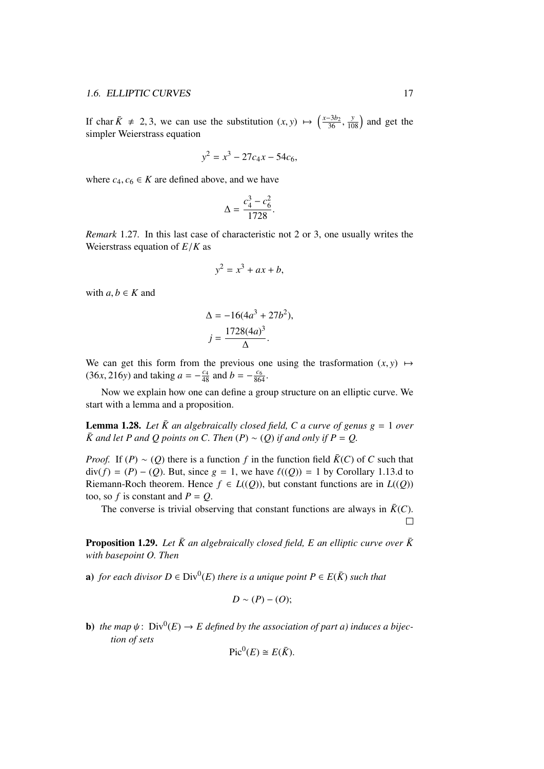If char  $\bar{K} \neq 2, 3$ , we can use the substitution  $(x, y) \mapsto \left(\frac{x-3b_2}{36}\right)$ <br>simpler Weigrstrass equation  $36$ ,  $\frac{y}{108}$  and get the simpler Weierstrass equation

$$
y^2 = x^3 - 27c_4x - 54c_6,
$$

where  $c_4$ ,  $c_6 \in K$  are defined above, and we have

$$
\Delta = \frac{c_4^3 - c_6^2}{1728}.
$$

*Remark* 1.27*.* In this last case of characteristic not 2 or 3, one usually writes the Weierstrass equation of *<sup>E</sup>*/*<sup>K</sup>* as

$$
y^2 = x^3 + ax + b,
$$

with  $a, b \in K$  and

$$
\Delta = -16(4a^3 + 27b^2),
$$
  

$$
j = \frac{1728(4a)^3}{\Delta}.
$$

We can get this form from the previous one using the trasformation  $(x, y) \mapsto$  $(36x, 216y)$  and taking  $a = -\frac{c_4}{48}$  and  $b = -\frac{c_6}{864}$ .

Now we explain how one can define a group structure on an elliptic curve. We start with a lemma and a proposition.

**Lemma 1.28.** Let  $\bar{K}$  an algebraically closed field, C a curve of genus  $g = 1$  over  $\overline{K}$  and let *P* and *Q* points on *C*. Then  $(P) \sim (Q)$  *if and only if*  $P = Q$ .

*Proof.* If  $(P) \sim (Q)$  there is a function *f* in the function field  $\overline{K}(C)$  of *C* such that div(*f*) = (*P*) − (*Q*). But, since *g* = 1, we have  $\ell$ ((*Q*)) = 1 by Corollary 1.13.d to Riemann-Roch theorem. Hence  $f \in L((Q))$ , but constant functions are in  $L((Q))$ too, so *f* is constant and  $P = Q$ .

The converse is trivial observing that constant functions are always in  $\bar{K}(C)$ .  $\Box$ 

**Proposition 1.29.** Let  $\bar{K}$  an algebraically closed field, E an elliptic curve over  $\bar{K}$ *with basepoint O. Then*

**a**) *for each divisor*  $D \in Div^0(E)$  *there is a unique point*  $P \in E(\overline{K})$  *such that* 

$$
D \sim (P) - (O);
$$

**b**) *the map*  $\psi$ :  $Div^0(E) \rightarrow E$  *defined by the association of part a) induces a bijection of sets tion of sets*

$$
\operatorname{Pic}^0(E) \cong E(\bar{K}).
$$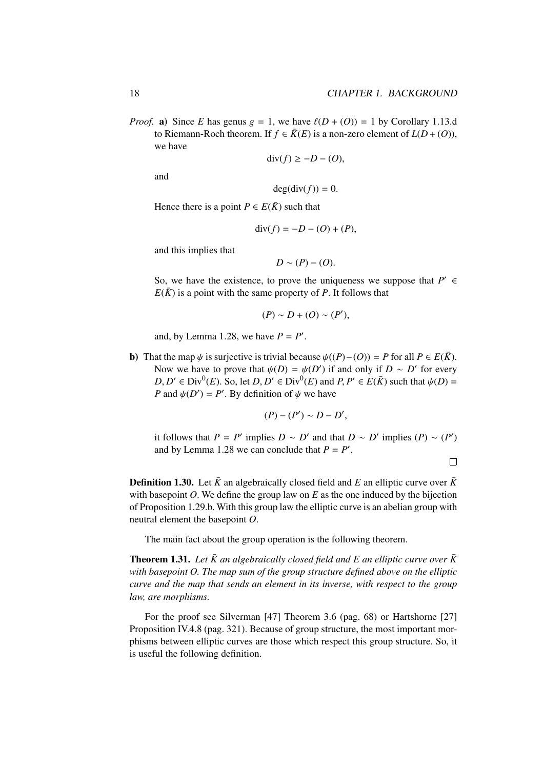*Proof.* a) Since *E* has genus  $g = 1$ , we have  $\ell(D + (O)) = 1$  by Corollary 1.13.d to Riemann-Roch theorem. If  $f \in \overline{K}(E)$  is a non-zero element of  $L(D+(O)),$ we have

$$
\operatorname{div}(f) \ge -D - (O),
$$

and

$$
\deg(\operatorname{div}(f))=0.
$$

Hence there is a point  $P \in E(\overline{K})$  such that

$$
\operatorname{div}(f) = -D - (O) + (P),
$$

and this implies that

$$
D \sim (P) - (O).
$$

So, we have the existence, to prove the uniqueness we suppose that  $P' \in$  $E(\overline{K})$  is a point with the same property of *P*. It follows that

$$
(P) \sim D + (O) \sim (P'),
$$

and, by Lemma 1.28, we have  $P = P'$ .

b) That the map  $\psi$  is surjective is trivial because  $\psi((P) - (O)) = P$  for all  $P \in E(\overline{K})$ . Now we have to prove that  $\psi(D) = \psi(D')$  if and only if  $D \sim D'$  for every  $D, D' \in \text{Div}^0(F)$ . So, let  $D, D' \in \text{Div}^0(F)$  and  $P, P' \in E(\overline{K})$  such that  $\psi(D)$  $D, D' \in Div^0(E)$ . So, let  $D, D' \in Div^0(E)$  and  $P, P' \in E(\overline{K})$  such that  $\psi(D) =$ <br>*P* and  $\psi(D') = P'$ . By definition of  $\psi$  we have *P* and  $\psi(D') = P'$ . By definition of  $\psi$  we have

$$
(P)-(P')\sim D-D',
$$

it follows that  $P = P'$  implies  $D \sim D'$  and that  $D \sim D'$  implies  $(P) \sim (P')$ and by Lemma 1.28 we can conclude that  $P = P'$ .

$$
\qquad \qquad \Box
$$

**Definition 1.30.** Let  $\bar{K}$  an algebraically closed field and E an elliptic curve over  $\bar{K}$ with basepoint  $O$ . We define the group law on  $E$  as the one induced by the bijection of Proposition 1.29.b. With this group law the elliptic curve is an abelian group with neutral element the basepoint *O*.

The main fact about the group operation is the following theorem.

**Theorem 1.31.** Let  $\bar{K}$  an algebraically closed field and E an elliptic curve over  $\bar{K}$ *with basepoint O. The map sum of the group structure defined above on the elliptic curve and the map that sends an element in its inverse, with respect to the group law, are morphisms.*

For the proof see Silverman [47] Theorem 3.6 (pag. 68) or Hartshorne [27] Proposition IV.4.8 (pag. 321). Because of group structure, the most important morphisms between elliptic curves are those which respect this group structure. So, it is useful the following definition.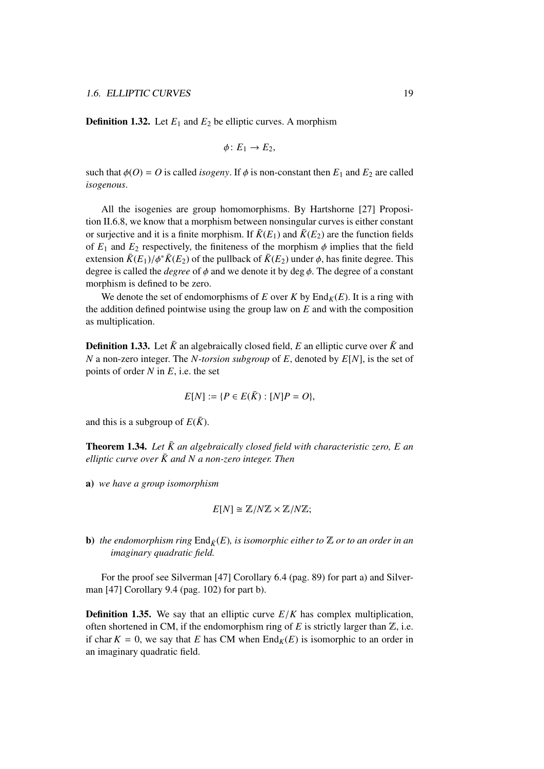**Definition 1.32.** Let  $E_1$  and  $E_2$  be elliptic curves. A morphism

$$
\phi\colon E_1\to E_2,
$$

such that  $\phi$ (*O*) = *O* is called *isogeny*. If  $\phi$  is non-constant then  $E_1$  and  $E_2$  are called *isogenous*.

All the isogenies are group homomorphisms. By Hartshorne [27] Proposition II.6.8, we know that a morphism between nonsingular curves is either constant or surjective and it is a finite morphism. If  $\bar{K}(E_1)$  and  $\bar{K}(E_2)$  are the function fields of  $E_1$  and  $E_2$  respectively, the finiteness of the morphism  $\phi$  implies that the field extension  $\bar{K}(E_1)/\phi^* \bar{K}(E_2)$  of the pullback of  $\bar{K}(E_2)$  under  $\phi$ , has finite degree. This degree is called the *degree* of  $\phi$  and we denote it by deg  $\phi$ . The degree of a constant morphism is defined to be zero.

We denote the set of endomorphisms of *E* over *K* by  $\text{End}_K(E)$ . It is a ring with the addition defined pointwise using the group law on *E* and with the composition as multiplication.

**Definition 1.33.** Let  $\bar{K}$  an algebraically closed field, *E* an elliptic curve over  $\bar{K}$  and *N* a non-zero integer. The *N-torsion subgroup* of *E*, denoted by *E*[*N*], is the set of points of order *N* in *E*, i.e. the set

$$
E[N] := \{ P \in E(\bar{K}) : [N]P = O \},
$$

and this is a subgroup of  $E(\bar{K})$ .

**Theorem 1.34.** Let  $\bar{K}$  an algebraically closed field with characteristic zero,  $E$  an *elliptic curve over*  $\bar{K}$  and  $N$  a non-zero integer. Then

a) *we have a group isomorphism*

$$
E[N] \cong \mathbb{Z}/N\mathbb{Z} \times \mathbb{Z}/N\mathbb{Z};
$$

**b**) *the endomorphism ring*  $\text{End}_{\mathcal{E}}(E)$ *, is isomorphic either to*  $\mathbb{Z}$  *or to an order in an imaginary quadratic field.*

For the proof see Silverman [47] Corollary 6.4 (pag. 89) for part a) and Silverman [47] Corollary 9.4 (pag. 102) for part b).

**Definition 1.35.** We say that an elliptic curve  $E/K$  has complex multiplication, often shortened in CM, if the endomorphism ring of  $E$  is strictly larger than  $\mathbb{Z}$ , i.e. if char  $K = 0$ , we say that *E* has CM when  $\text{End}_K(E)$  is isomorphic to an order in an imaginary quadratic field.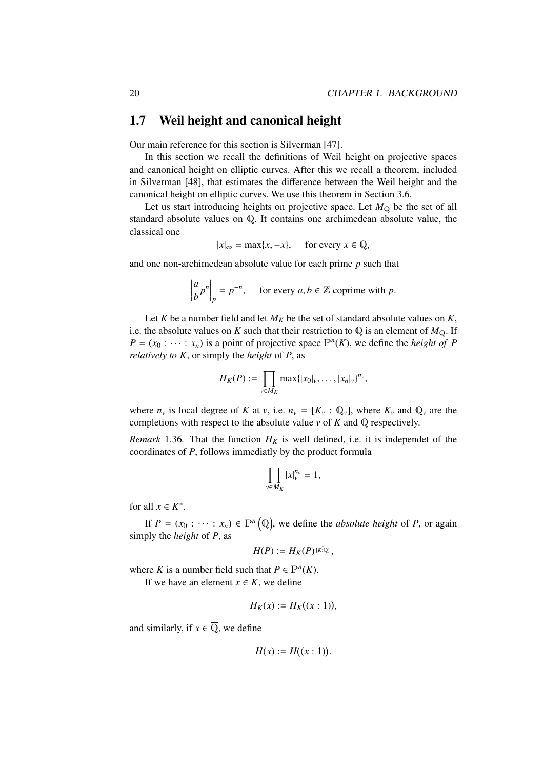### 1.7 Weil height and canonical height

Our main reference for this section is Silverman [47].

In this section we recall the definitions of Weil height on projective spaces and canonical height on elliptic curves. After this we recall a theorem, included in Silverman [48], that estimates the difference between the Weil height and the canonical height on elliptic curves. We use this theorem in Section 3.6.

Let us start introducing heights on projective space. Let  $M_{\mathbb{Q}}$  be the set of all standard absolute values on Q. It contains one archimedean absolute value, the classical one

$$
|x|_{\infty} = \max\{x, -x\}, \quad \text{for every } x \in \mathbb{Q},
$$

and one non-archimedean absolute value for each prime *p* such that

$$
\left|\frac{a}{b}p^n\right|_p = p^{-n}, \quad \text{for every } a, b \in \mathbb{Z} \text{ coprime with } p.
$$

Let *K* be a number field and let  $M_K$  be the set of standard absolute values on *K*, i.e. the absolute values on *K* such that their restriction to  $\mathbb{Q}$  is an element of  $M_{\mathbb{Q}}$ . If  $P = (x_0 : \cdots : x_n)$  is a point of projective space  $\mathbb{P}^n(K)$ , we define the *height of P relatively to K*, or simply the *height* of *P*, as

$$
H_K(P) := \prod_{v \in M_K} \max\{|x_0|_v, \ldots, |x_n|_v\}^{n_v},
$$

where  $n_v$  is local degree of *K* at *v*, i.e.  $n_v = [K_v : \mathbb{Q}_v]$ , where  $K_v$  and  $\mathbb{Q}_v$  are the completions with respect to the absolute value *v* of *K* and Q respectively.

*Remark* 1.36. That the function  $H_K$  is well defined, i.e. it is independet of the coordinates of *P*, follows immediatly by the product formula

$$
\prod_{v\in M_K}|x|_v^{n_v}=1,
$$

for all  $x \in K^*$ .

If  $P = (x_0 : \cdots : x_n) \in \mathbb{P}^n(\overline{\mathbb{Q}})$ , we define the *absolute height* of *P*, or again simply the *height* of *P*, as

$$
H(P):=H_K(P)^{\frac{1}{[K:\mathbb{Q}]}},
$$

where *K* is a number field such that  $P \in \mathbb{P}^n(K)$ .

If we have an element  $x \in K$ , we define

$$
H_K(x) := H_K((x:1)),
$$

and similarly, if  $x \in \overline{Q}$ , we define

$$
H(x) := H((x:1)).
$$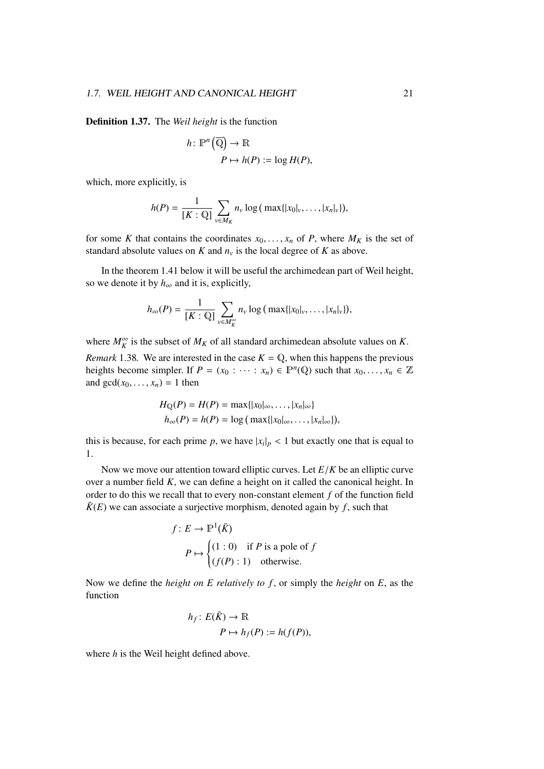Definition 1.37. The *Weil height* is the function

$$
h: \mathbb{P}^n(\overline{\mathbb{Q}}) \to \mathbb{R}
$$

$$
P \mapsto h(P) := \log H(P),
$$

which, more explicitly, is

$$
h(P) = \frac{1}{[K: \mathbb{Q}]} \sum_{v \in M_K} n_v \log (\max\{|x_0|_v, \dots, |x_n|_v\}),
$$

for some *K* that contains the coordinates  $x_0, \ldots, x_n$  of *P*, where  $M_K$  is the set of standard absolute values on *K* and  $n<sub>v</sub>$  is the local degree of *K* as above.

In the theorem 1.41 below it will be useful the archimedean part of Weil height, so we denote it by  $h_{\infty}$  and it is, explicitly,

$$
h_{\infty}(P)=\frac{1}{[K:\mathbb{Q}]} \sum_{v \in M_K^{\infty}} n_v \log \big(\max\{|x_0|_v,\ldots,|x_n|_v\}\big),
$$

where  $M_K^{\infty}$  is the subset of  $M_K$  of all standard archimedean absolute values on *K*. *Remark* 1.38*.* We are interested in the case  $K = \mathbb{Q}$ , when this happens the previous heights become simpler. If  $P = (x_0 : \cdots : x_n) \in \mathbb{P}^n(\mathbb{Q})$  such that  $x_0, \ldots, x_n \in \mathbb{Z}$ <br>and  $\text{gcd}(x_0, \ldots, x_n) = 1$  then and  $gcd(x_0, \ldots, x_n) = 1$  then

$$
H_{\mathbb{Q}}(P) = H(P) = \max\{|x_0|_{\infty}, \ldots, |x_n|_{\infty}\}
$$
  

$$
h_{\infty}(P) = h(P) = \log(\max\{|x_0|_{\infty}, \ldots, |x_n|_{\infty}\}),
$$

this is because, for each prime *p*, we have  $|x_i|_p < 1$  but exactly one that is equal to 1.

Now we move our attention toward elliptic curves. Let *<sup>E</sup>*/*<sup>K</sup>* be an elliptic curve over a number field *K*, we can define a height on it called the canonical height. In order to do this we recall that to every non-constant element *f* of the function field  $\overline{K}(E)$  we can associate a surjective morphism, denoted again by *f*, such that

$$
f: E \to \mathbb{P}^1(\bar{K})
$$
  
\n
$$
P \mapsto \begin{cases} (1:0) & \text{if } P \text{ is a pole of } f \\ (f(P):1) & \text{otherwise.} \end{cases}
$$

Now we define the *height on E relatively to f* , or simply the *height* on *E*, as the function

$$
h_f: E(\bar{K}) \to \mathbb{R}
$$
  

$$
P \mapsto h_f(P) := h(f(P)),
$$

where *h* is the Weil height defined above.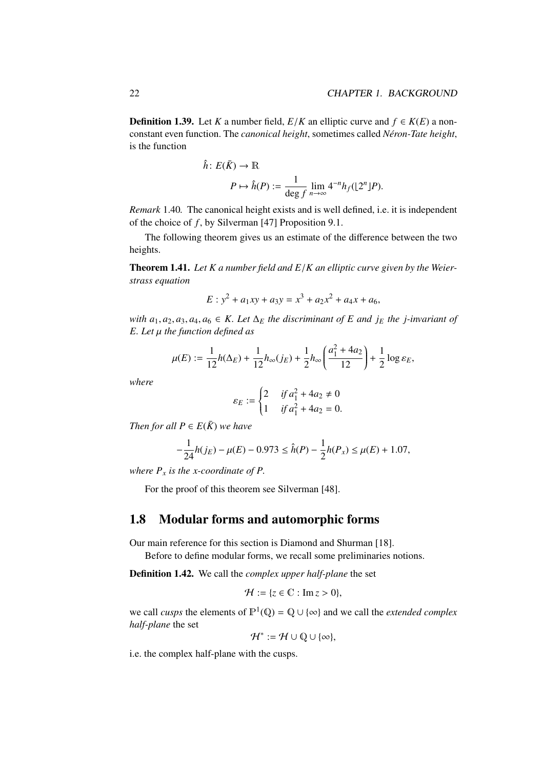**Definition 1.39.** Let *K* a number field,  $E/K$  an elliptic curve and  $f \in K(E)$  a nonconstant even function. The *canonical height*, sometimes called *Néron-Tate height*, is the function

$$
\hat{h} \colon E(\bar{K}) \to \mathbb{R}
$$
\n
$$
P \mapsto \hat{h}(P) := \frac{1}{\deg f} \lim_{n \to \infty} 4^{-n} h_f(\lfloor 2^n \rfloor P).
$$

*Remark* 1.40*.* The canonical height exists and is well defined, i.e. it is independent of the choice of *f* , by Silverman [47] Proposition 9.1.

The following theorem gives us an estimate of the difference between the two heights.

Theorem 1.41. *Let K a number field and E*/*K an elliptic curve given by the Weierstrass equation*

$$
E: y^2 + a_1xy + a_3y = x^3 + a_2x^2 + a_4x + a_6,
$$

*with*  $a_1, a_2, a_3, a_4, a_6 \in K$ . Let  $\Delta_E$  the discriminant of E and  $j_E$  the j-invariant of *E. Let* µ *the function defined as*

$$
\mu(E) := \frac{1}{12}h(\Delta_E) + \frac{1}{12}h_{\infty}(j_E) + \frac{1}{2}h_{\infty}\left(\frac{a_1^2 + 4a_2}{12}\right) + \frac{1}{2}\log \varepsilon_E,
$$

*where*

$$
\varepsilon_E := \begin{cases} 2 & \text{if } a_1^2 + 4a_2 \neq 0 \\ 1 & \text{if } a_1^2 + 4a_2 = 0. \end{cases}
$$

*Then for all*  $P \in E(\overline{K})$  *we have* 

$$
-\frac{1}{24}h(j_E) - \mu(E) - 0.973 \le \hat{h}(P) - \frac{1}{2}h(P_x) \le \mu(E) + 1.07,
$$

*where*  $P_x$  *is the x-coordinate of*  $P$ *.* 

For the proof of this theorem see Silverman [48].

### 1.8 Modular forms and automorphic forms

Our main reference for this section is Diamond and Shurman [18]. Before to define modular forms, we recall some preliminaries notions.

Definition 1.42. We call the *complex upper half-plane* the set

$$
\mathcal{H} := \{z \in \mathbb{C} : \operatorname{Im} z > 0\},\
$$

we call *cusps* the elements of  $\mathbb{P}^1(\mathbb{Q}) = \mathbb{Q} \cup \{\infty\}$  and we call the *extended complex half-plane* the set

 $\mathcal{H}^* := \mathcal{H} \cup \mathbb{Q} \cup \{\infty\},\$ 

i.e. the complex half-plane with the cusps.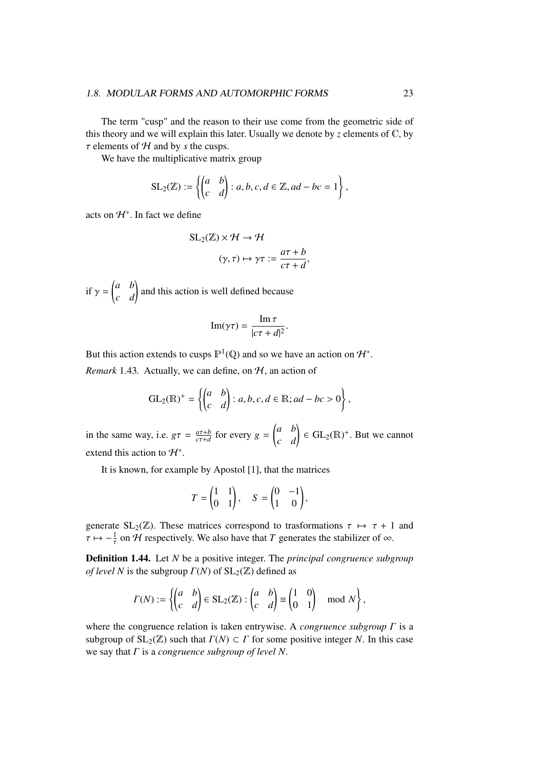The term "cusp" and the reason to their use come from the geometric side of this theory and we will explain this later. Usually we denote by  $\zeta$  elements of  $\mathbb{C}$ , by  $\tau$  elements of  $H$  and by *s* the cusps.

We have the multiplicative matrix group

$$
SL_2(\mathbb{Z}) := \left\{ \begin{pmatrix} a & b \\ c & d \end{pmatrix} : a, b, c, d \in \mathbb{Z}, ad - bc = 1 \right\},\
$$

acts on  $H^*$ . In fact we define

$$
SL_2(\mathbb{Z}) \times \mathcal{H} \to \mathcal{H}
$$

$$
(\gamma, \tau) \mapsto \gamma \tau := \frac{a\tau + b}{c\tau + d},
$$

if  $\gamma$  =  $\begin{pmatrix} a & b \\ c & d \end{pmatrix}$  and this action is well defined because

$$
\operatorname{Im}(\gamma \tau) = \frac{\operatorname{Im} \tau}{|c\tau + d|^2}.
$$

But this action extends to cusps  $\mathbb{P}^1(\mathbb{Q})$  and so we have an action on  $\mathcal{H}^*$ .

*Remark* 1.43*.* Actually, we can define, on  $H$ , an action of

$$
GL_2(\mathbb{R})^+=\left\{\begin{pmatrix}a&b\\c&d\end{pmatrix}: a,b,c,d\in\mathbb{R}; ad-bc>0\right\},\,
$$

in the same way, i.e.  $g\tau = \frac{a\tau + b}{c\tau + d}$  $\frac{a\tau+b}{c\tau+d}$  for every  $g =$  $\begin{pmatrix} a & b \\ c & d \end{pmatrix} \in GL_2(\mathbb{R})^+$ . But we cannot extend this action to  $\mathcal{H}^*$ .

It is known, for example by Apostol [1], that the matrices

$$
T = \begin{pmatrix} 1 & 1 \\ 0 & 1 \end{pmatrix}, \quad S = \begin{pmatrix} 0 & -1 \\ 1 & 0 \end{pmatrix},
$$

generate SL<sub>2</sub>( $\mathbb{Z}$ ). These matrices correspond to trasformations  $\tau \mapsto \tau + 1$  and  $\tau \mapsto -\frac{1}{\tau}$  on *H* respectively. We also have that *T* generates the stabilizer of  $\infty$ .

Definition 1.44. Let *N* be a positive integer. The *principal congruence subgroup of level N* is the subgroup  $\Gamma(N)$  of  $SL_2(\mathbb{Z})$  defined as

$$
\Gamma(N) := \left\{ \begin{pmatrix} a & b \\ c & d \end{pmatrix} \in SL_2(\mathbb{Z}) : \begin{pmatrix} a & b \\ c & d \end{pmatrix} \equiv \begin{pmatrix} 1 & 0 \\ 0 & 1 \end{pmatrix} \mod N \right\},\
$$

where the congruence relation is taken entrywise. A *congruence subgroup* Γ is a subgroup of  $SL_2(\mathbb{Z})$  such that  $\Gamma(N) \subset \Gamma$  for some positive integer *N*. In this case we say that Γ is a *congruence subgroup of level N*.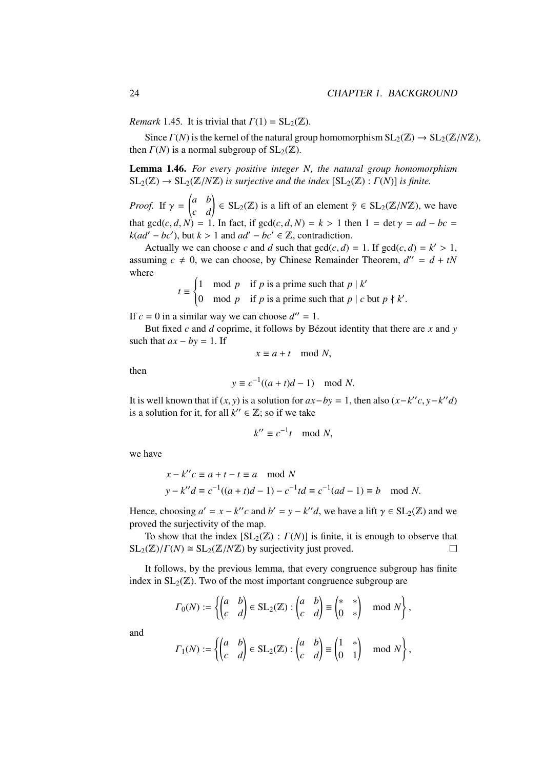*Remark* 1.45*.* It is trivial that  $\Gamma(1) = SL_2(\mathbb{Z})$ .

Since  $\Gamma(N)$  is the kernel of the natural group homomorphism  $SL_2(\mathbb{Z}) \to SL_2(\mathbb{Z}/N\mathbb{Z})$ , then  $\Gamma(N)$  is a normal subgroup of  $SL_2(\mathbb{Z})$ .

Lemma 1.46. *For every positive integer N, the natural group homomorphism*  $SL_2(\mathbb{Z}) \to SL_2(\mathbb{Z}/N\mathbb{Z})$  *is surjective and the index*  $[SL_2(\mathbb{Z}) : \Gamma(N)]$  *is finite.* 

*Proof.* If  $\gamma =$  $\begin{pmatrix} a & b \\ c & d \end{pmatrix} \in SL_2(\mathbb{Z})$  is a lift of an element  $\bar{\gamma} \in SL_2(\mathbb{Z}/N\mathbb{Z})$ , we have that  $gcd(c, d, N) = 1$ . In fact, if  $gcd(c, d, N) = k > 1$  then  $1 = det \gamma = ad - bc$ *k*(*ad'* − *bc'*), but *k* > 1 and *ad'* − *bc'* ∈  $\mathbb{Z}$ , contradiction.

Actually we can choose *c* and *d* such that  $gcd(c, d) = 1$ . If  $gcd(c, d) = k' > 1$ ,  $d_{max} c \neq 0$ , we can choose by Chinese Bemainder Theorem  $d'' = d + tN$ assuming  $c \neq 0$ , we can choose, by Chinese Remainder Theorem,  $d'' = d + tN$ where

$$
t \equiv \begin{cases} 1 & \text{mod } p & \text{if } p \text{ is a prime such that } p \mid k' \\ 0 & \text{mod } p & \text{if } p \text{ is a prime such that } p \mid c \text{ but } p \nmid k'. \end{cases}
$$

If  $c = 0$  in a similar way we can choose  $d'' = 1$ .

But fixed *c* and *d* coprime, it follows by Bézout identity that there are *x* and *y* such that  $ax - by = 1$ . If

$$
x \equiv a + t \mod N,
$$

then

$$
y \equiv c^{-1}((a+t)d-1) \mod N.
$$

It is well known that if  $(x, y)$  is a solution for  $ax - by = 1$ , then also  $(x - k''c, y - k''d)$ <br>is a solution for it, for all  $k'' \in \mathbb{Z}$ ; so if we take is a solution for it, for all  $k'' \in \mathbb{Z}$ ; so if we take

$$
k'' \equiv c^{-1}t \mod N,
$$

we have

$$
x - k''c \equiv a + t - t \equiv a \mod N
$$
  
\n $y - k''d \equiv c^{-1}((a + t)d - 1) - c^{-1}td \equiv c^{-1}(ad - 1) \equiv b \mod N.$ 

Hence, choosing  $a' = x - k''c$  and  $b' = y - k''d$ , we have a lift  $\gamma \in SL_2(\mathbb{Z})$  and we proved the surjectivity of the man proved the surjectivity of the map.

To show that the index  $[\text{SL}_2(\mathbb{Z}) : \Gamma(N)]$  is finite, it is enough to observe that  $SL_2(\mathbb{Z})/ \Gamma(N) \cong SL_2(\mathbb{Z}/N\mathbb{Z})$  by surjectivity just proved.  $\Box$ 

It follows, by the previous lemma, that every congruence subgroup has finite index in  $SL_2(\mathbb{Z})$ . Two of the most important congruence subgroup are

$$
\Gamma_0(N) := \left\{ \begin{pmatrix} a & b \\ c & d \end{pmatrix} \in SL_2(\mathbb{Z}) : \begin{pmatrix} a & b \\ c & d \end{pmatrix} \equiv \begin{pmatrix} * & * \\ 0 & * \end{pmatrix} \mod N \right\},\
$$

and

$$
\Gamma_1(N) := \left\{ \begin{pmatrix} a & b \\ c & d \end{pmatrix} \in SL_2(\mathbb{Z}) : \begin{pmatrix} a & b \\ c & d \end{pmatrix} \equiv \begin{pmatrix} 1 & * \\ 0 & 1 \end{pmatrix} \mod N \right\},\
$$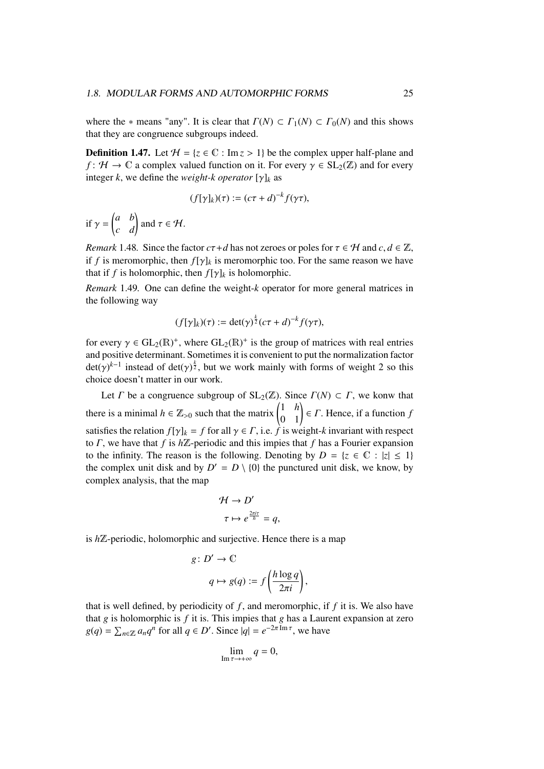where the  $*$  means "any". It is clear that  $\Gamma(N) \subset \Gamma_1(N) \subset \Gamma_0(N)$  and this shows that they are congruence subgroups indeed.

**Definition 1.47.** Let  $H = \{z \in \mathbb{C} : \text{Im } z > 1\}$  be the complex upper half-plane and *f* :  $H \to \mathbb{C}$  a complex valued function on it. For every  $\gamma \in SL_2(\mathbb{Z})$  and for every integer *k*, we define the *weight-k operator* [ $\gamma$ ]<sub>*k*</sub> as

$$
(f[\gamma]_k)(\tau) := (c\tau + d)^{-k} f(\gamma \tau),
$$

if  $\gamma$  =  $\begin{pmatrix} a & b \\ c & d \end{pmatrix}$  and  $\tau \in \mathcal{H}$ .

*Remark* 1.48*.* Since the factor  $c\tau+d$  has not zeroes or poles for  $\tau \in \mathcal{H}$  and  $c, d \in \mathbb{Z}$ , if *f* is meromorphic, then  $f[\gamma]_k$  is meromorphic too. For the same reason we have that if *f* is holomorphic, then  $f[\gamma]_k$  is holomorphic.

*Remark* 1.49*.* One can define the weight-*k* operator for more general matrices in the following way

$$
(f[\gamma]_k)(\tau) := \det(\gamma)^{\frac{k}{2}}(c\tau + d)^{-k} f(\gamma \tau),
$$

for every  $\gamma \in GL_2(\mathbb{R})^+$ , where  $GL_2(\mathbb{R})^+$  is the group of matrices with real entries<br>and positive determinant. Sometimes it is convenient to put the pormalization factor and positive determinant. Sometimes it is convenient to put the normalization factor  $\det(\gamma)^{k-1}$  instead of  $\det(\gamma)^{\frac{k}{2}}$ , but we work mainly with forms of weight 2 so this choice doesn't matter in our work choice doesn't matter in our work.

Let *Γ* be a congruence subgroup of  $SL_2(\mathbb{Z})$ . Since  $\Gamma(N) \subset \Gamma$ , we konw that there is a minimal  $h \in \mathbb{Z}_{>0}$  such that the matrix  $\begin{pmatrix} 1 & h \\ 0 & 1 \end{pmatrix} \in \Gamma$ . Hence, if a function *f* satisfies the relation  $f[\gamma]_k = f$  for all  $\gamma \in \Gamma$ , i.e.  $\hat{f}$  is weight- $k$  invariant with respect to Γ, we have that *f* is *h*Z-periodic and this impies that *f* has a Fourier expansion to the infinity. The reason is the following. Denoting by  $D = \{z \in \mathbb{C} : |z| \leq 1\}$ the complex unit disk and by  $D' = D \setminus \{0\}$  the punctured unit disk, we know, by complex analysis, that the map

$$
\mathcal{H} \to D'
$$
  
\n
$$
\tau \mapsto e^{\frac{2\pi i \tau}{h}} = q,
$$

is *h*Z-periodic, holomorphic and surjective. Hence there is a map

$$
g: D' \to \mathbb{C}
$$

$$
q \mapsto g(q) := f\left(\frac{h\log q}{2\pi i}\right),
$$

that is well defined, by periodicity of  $f$ , and meromorphic, if  $f$  it is. We also have that *g* is holomorphic is *f* it is. This impies that *g* has a Laurent expansion at zero  $g(q) = \sum_{n \in \mathbb{Z}} a_n q^n$  for all  $q \in D'$ . Since  $|q| = e^{-2\pi \operatorname{Im} \tau}$ , we have

$$
\lim_{\mathrm{Im}\,\tau\to+\infty}q=0,
$$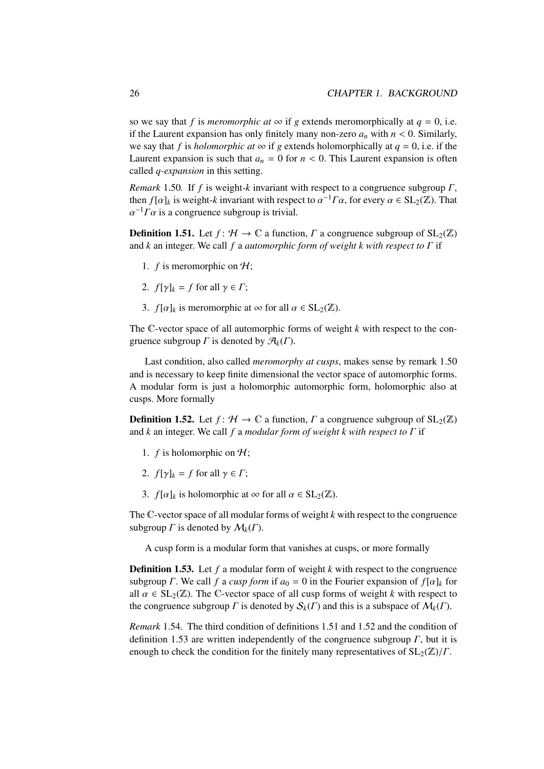so we say that *f* is *meromorphic at*  $\infty$  if *g* extends meromorphically at *q* = 0, i.e. if the Laurent expansion has only finitely many non-zero  $a_n$  with  $n < 0$ . Similarly, we say that *f* is *holomorphic at*  $\infty$  if *g* extends holomorphically at  $q = 0$ , i.e. if the Laurent expansion is such that  $a_n = 0$  for  $n < 0$ . This Laurent expansion is often called *q-expansion* in this setting.

*Remark* 1.50*.* If *f* is weight-*k* invariant with respect to a congruence subgroup Γ, then  $f[\alpha]_k$  is weight-*k* invariant with respect to  $\alpha^{-1}\Gamma\alpha$ , for every  $\alpha \in SL_2(\mathbb{Z})$ . That  $\alpha^{-1}\Gamma\alpha$  is a congruence subgroup is trivial  $\alpha^{-1}\Gamma\alpha$  is a congruence subgroup is trivial.

**Definition 1.51.** Let  $f: \mathcal{H} \to \mathbb{C}$  a function,  $\Gamma$  a congruence subgroup of  $SL_2(\mathbb{Z})$ and *k* an integer. We call *f* a *automorphic form of weight k with respect to* Γ if

- 1.  $f$  is meromorphic on  $H$ ;
- 2.  $f[\gamma]_k = f$  for all  $\gamma \in \Gamma$ ;
- 3. *f*[ $\alpha$ ]<sub>k</sub> is meromorphic at  $\infty$  for all  $\alpha \in SL_2(\mathbb{Z})$ .

The C-vector space of all automorphic forms of weight *k* with respect to the congruence subgroup  $\Gamma$  is denoted by  $\mathcal{A}_k(\Gamma)$ .

Last condition, also called *meromorphy at cusps*, makes sense by remark 1.50 and is necessary to keep finite dimensional the vector space of automorphic forms. A modular form is just a holomorphic automorphic form, holomorphic also at cusps. More formally

**Definition 1.52.** Let  $f: \mathcal{H} \to \mathbb{C}$  a function,  $\Gamma$  a congruence subgroup of  $SL_2(\mathbb{Z})$ and *k* an integer. We call *f* a *modular form of weight k with respect to* Γ if

- 1.  $f$  is holomorphic on  $H$ ;
- 2.  $f[\gamma]_k = f$  for all  $\gamma \in \Gamma$ ;
- 3.  $f[\alpha]_k$  is holomorphic at  $\infty$  for all  $\alpha \in SL_2(\mathbb{Z})$ .

The C-vector space of all modular forms of weight *k* with respect to the congruence subgroup  $\Gamma$  is denoted by  $\mathcal{M}_k(\Gamma)$ .

A cusp form is a modular form that vanishes at cusps, or more formally

Definition 1.53. Let *f* a modular form of weight *k* with respect to the congruence subgroup *Γ*. We call *f* a *cusp form* if  $a_0 = 0$  in the Fourier expansion of  $f[\alpha]_k$  for all  $\alpha \in SL_2(\mathbb{Z})$ . The C-vector space of all cusp forms of weight *k* with respect to the congruence subgroup  $\Gamma$  is denoted by  $\mathcal{S}_k(\Gamma)$  and this is a subspace of  $\mathcal{M}_k(\Gamma)$ .

*Remark* 1.54*.* The third condition of definitions 1.51 and 1.52 and the condition of definition 1.53 are written independently of the congruence subgroup  $\Gamma$ , but it is enough to check the condition for the finitely many representatives of  $SL_2(\mathbb{Z})/\Gamma$ .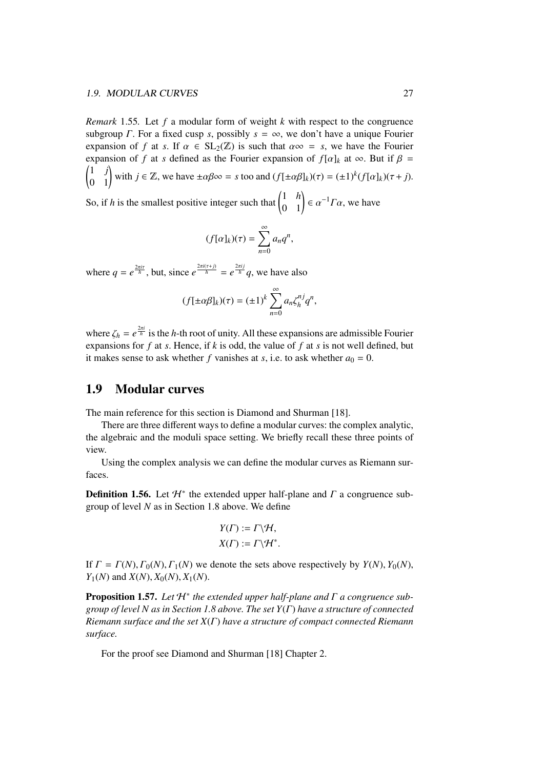*Remark* 1.55*.* Let *f* a modular form of weight *k* with respect to the congruence subgroup *Γ*. For a fixed cusp *s*, possibly  $s = \infty$ , we don't have a unique Fourier expansion of *f* at *s*. If  $\alpha \in SL_2(\mathbb{Z})$  is such that  $\alpha \infty = s$ , we have the Fourier expansion of *f* at *s* defined as the Fourier expansion of  $f[\alpha]_k$  at  $\infty$ . But if  $\beta =$  $\begin{pmatrix} 1 & j \\ 0 & 1 \end{pmatrix}$  with  $j \in \mathbb{Z}$ , we have  $\pm \alpha \beta \infty = s$  too and  $(f[\pm \alpha \beta]_k)(\tau) = (\pm 1)^k (f[\alpha]_k)(\tau + j)$ . So, if *h* is the smallest positive integer such that  $\begin{pmatrix} 1 & h \\ 0 & 1 \end{pmatrix} \in \alpha^{-1} \Gamma \alpha$ , we have

$$
(f[\alpha]_k)(\tau) = \sum_{n=0}^{\infty} a_n q^n,
$$

where  $q = e^{\frac{2\pi i \tau}{h}}$ , but, since  $e^{\frac{2\pi i (\tau + j)}{h}} = e^{\frac{2\pi i j}{h}} q$ , we have also

$$
(f[\pm \alpha \beta]_k)(\tau) = (\pm 1)^k \sum_{n=0}^{\infty} a_n \zeta_h^{nj} q^n,
$$

where  $\zeta_h = e^{\frac{2\pi i}{h}}$  is the *h*-th root of unity. All these expansions are admissible Fourier<br>expansions for *f* at *s*. Hence, if *k* is odd, the value of *f* at *s* is not well defined, but expansions for *f* at *s*. Hence, if *k* is odd, the value of *f* at *s* is not well defined, but it makes sense to ask whether *f* vanishes at *s*, i.e. to ask whether  $a_0 = 0$ .

## 1.9 Modular curves

The main reference for this section is Diamond and Shurman [18].

There are three different ways to define a modular curves: the complex analytic, the algebraic and the moduli space setting. We briefly recall these three points of view.

Using the complex analysis we can define the modular curves as Riemann surfaces.

**Definition 1.56.** Let  $\mathcal{H}^*$  the extended upper half-plane and  $\Gamma$  a congruence subgroup of level *N* as in Section 1.8 above. We define

$$
Y(\Gamma) := \Gamma \backslash \mathcal{H},
$$
  

$$
X(\Gamma) := \Gamma \backslash \mathcal{H}^*.
$$

If  $\Gamma = \Gamma(N), \Gamma_0(N), \Gamma_1(N)$  we denote the sets above respectively by  $Y(N), Y_0(N)$ ,  $Y_1(N)$  and  $X(N)$ ,  $X_0(N)$ ,  $X_1(N)$ .

Proposition 1.57. *Let* H<sup>∗</sup> *the extended upper half-plane and* Γ *a congruence subgroup of level N as in Section 1.8 above. The set Y*(Γ) *have a structure of connected Riemann surface and the set X*(Γ) *have a structure of compact connected Riemann surface.*

For the proof see Diamond and Shurman [18] Chapter 2.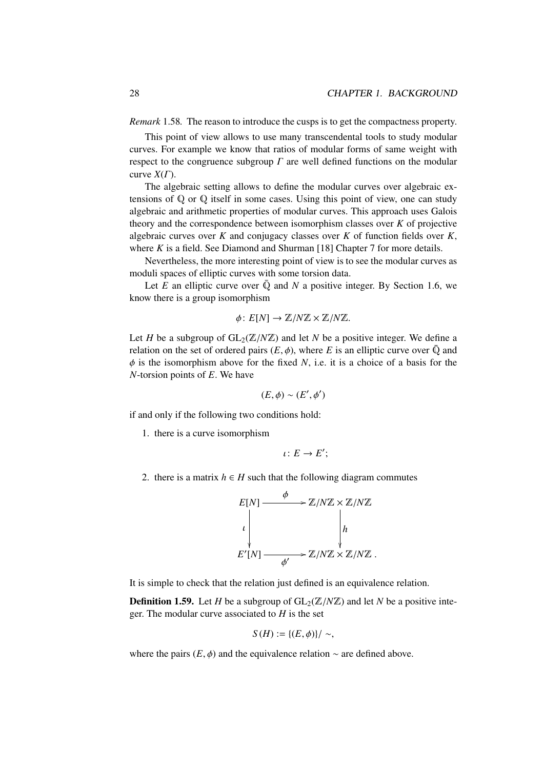*Remark* 1.58*.* The reason to introduce the cusps is to get the compactness property.

This point of view allows to use many transcendental tools to study modular curves. For example we know that ratios of modular forms of same weight with respect to the congruence subgroup  $\Gamma$  are well defined functions on the modular curve *X*(Γ).

The algebraic setting allows to define the modular curves over algebraic extensions of Q or Q itself in some cases. Using this point of view, one can study algebraic and arithmetic properties of modular curves. This approach uses Galois theory and the correspondence between isomorphism classes over *K* of projective algebraic curves over *K* and conjugacy classes over *K* of function fields over *K*, where *K* is a field. See Diamond and Shurman [18] Chapter 7 for more details.

Nevertheless, the more interesting point of view is to see the modular curves as moduli spaces of elliptic curves with some torsion data.

Let  $E$  an elliptic curve over  $\overline{Q}$  and  $N$  a positive integer. By Section 1.6, we know there is a group isomorphism

$$
\phi\colon E[N] \to \mathbb{Z}/N\mathbb{Z} \times \mathbb{Z}/N\mathbb{Z}.
$$

Let *H* be a subgroup of  $GL_2(\mathbb{Z}/N\mathbb{Z})$  and let *N* be a positive integer. We define a relation on the set of ordered pairs  $(E, \phi)$ , where *E* is an elliptic curve over  $\overline{Q}$  and  $\phi$  is the isomorphism above for the fixed *N*, i.e. it is a choice of a basis for the *N*-torsion points of *E*. We have

$$
(E,\phi)\sim (E',\phi')
$$

if and only if the following two conditions hold:

1. there is a curve isomorphism

$$
\iota\colon E\to E';
$$

2. there is a matrix  $h \in H$  such that the following diagram commutes



It is simple to check that the relation just defined is an equivalence relation.

**Definition 1.59.** Let *H* be a subgroup of  $GL_2(\mathbb{Z}/N\mathbb{Z})$  and let *N* be a positive integer. The modular curve associated to *H* is the set

$$
S(H) := \{ (E, \phi) \} / \sim,
$$

where the pairs  $(E, \phi)$  and the equivalence relation  $\sim$  are defined above.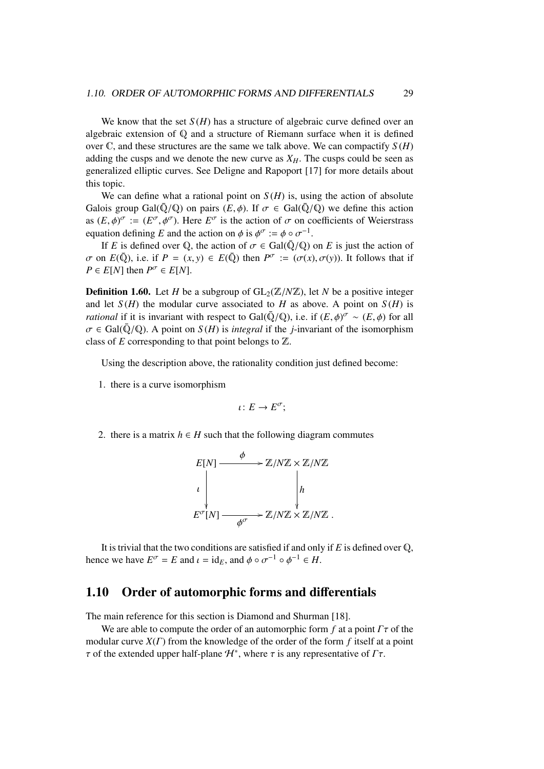We know that the set  $S(H)$  has a structure of algebraic curve defined over an algebraic extension of Q and a structure of Riemann surface when it is defined over  $\mathbb C$ , and these structures are the same we talk above. We can compactify  $S(H)$ adding the cusps and we denote the new curve as  $X_H$ . The cusps could be seen as generalized elliptic curves. See Deligne and Rapoport [17] for more details about this topic.

We can define what a rational point on  $S(H)$  is, using the action of absolute Galois group Gal( $\overline{Q}/Q$ ) on pairs  $(E, \phi)$ . If  $\sigma \in Gal(\overline{Q}/Q)$  we define this action as  $(E, \phi)^\sigma := (E^\sigma, \phi^\sigma)$ . Here  $E^\sigma$  is the action of  $\sigma$  on coefficients of Weierstrass equation defining  $F$  and the action on  $\phi$  is  $\phi^\sigma := \phi \circ \sigma^{-1}$ equation defining *E* and the action on  $\phi$  is  $\phi^{\sigma} := \phi \circ \sigma^{-1}$ .<br>If *F* is defined over 0, the action of  $\sigma \in Gal(\bar{O}/O)$ .

If *E* is defined over Q, the action of  $\sigma \in \text{Gal}(\overline{Q}/Q)$  on *E* is just the action of  $\sigma$  on  $E(\overline{Q})$ , i.e. if  $P = (x, y) \in E(\overline{Q})$  then  $P^{\sigma} := (\sigma(x), \sigma(y))$ . It follows that if  $P \in E[M]$  then  $P^{\sigma} \in E[M]$  $P \in E[N]$  then  $P^{\sigma} \in E[N]$ .

**Definition 1.60.** Let *H* be a subgroup of  $GL_2(\mathbb{Z}/N\mathbb{Z})$ , let *N* be a positive integer and let  $S(H)$  the modular curve associated to *H* as above. A point on  $S(H)$  is *rational* if it is invariant with respect to Gal( $\overline{Q}/Q$ ), i.e. if  $(E, \phi)^{\sigma} \sim (E, \phi)$  for all  $\sigma \in Gal(\overline{Q}/Q)$ . A point on  $S(H)$  is integral if the *i* invariant of the isomorphism  $\sigma \in \text{Gal}(\bar{\mathbb{Q}}/\mathbb{Q})$ . A point on  $S(H)$  is *integral* if the *j*-invariant of the isomorphism class of *E* corresponding to that point belongs to Z.

Using the description above, the rationality condition just defined become:

1. there is a curve isomorphism

$$
\iota\colon E\to E^{\sigma};
$$

2. there is a matrix  $h \in H$  such that the following diagram commutes



It is trivial that the two conditions are satisfied if and only if *E* is defined over Q, hence we have  $E^{\sigma} = E$  and  $\iota = id_E$ , and  $\phi \circ \sigma^{-1} \circ \phi^{-1} \in H$ .

## 1.10 Order of automorphic forms and differentials

The main reference for this section is Diamond and Shurman [18].

We are able to compute the order of an automorphic form  $f$  at a point  $\Gamma \tau$  of the modular curve *X*(Γ) from the knowledge of the order of the form *f* itself at a point  $\tau$  of the extended upper half-plane  $\mathcal{H}^*$ , where  $\tau$  is any representative of  $\Gamma \tau$ .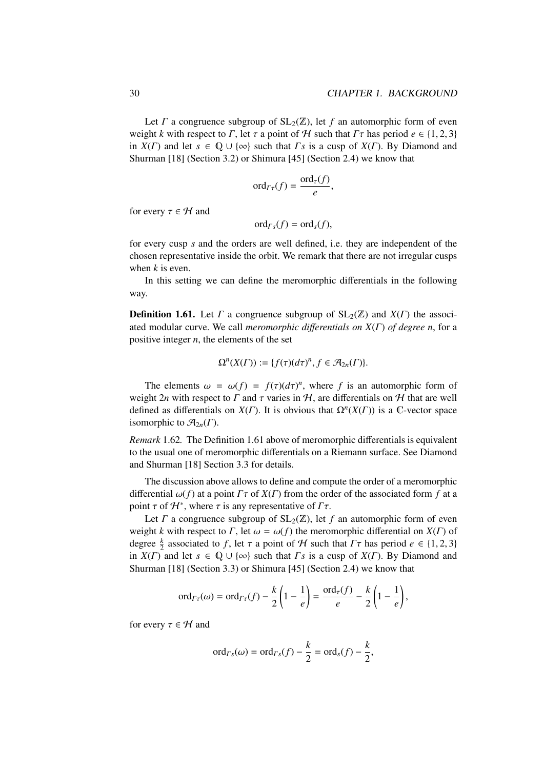Let  $\Gamma$  a congruence subgroup of  $SL_2(\mathbb{Z})$ , let  $f$  an automorphic form of even weight *k* with respect to *Γ*, let  $\tau$  a point of  $H$  such that  $\Gamma \tau$  has period  $e \in \{1, 2, 3\}$ in  $X(\Gamma)$  and let  $s \in \mathbb{Q} \cup \{\infty\}$  such that  $\Gamma s$  is a cusp of  $X(\Gamma)$ . By Diamond and Shurman [18] (Section 3.2) or Shimura [45] (Section 2.4) we know that

$$
\mathrm{ord}_{\Gamma \tau}(f) = \frac{\mathrm{ord}_{\tau}(f)}{e},
$$

for every  $\tau \in \mathcal{H}$  and

$$
\mathrm{ord}_{\Gamma_{S}}(f)=\mathrm{ord}_{S}(f),
$$

for every cusp *s* and the orders are well defined, i.e. they are independent of the chosen representative inside the orbit. We remark that there are not irregular cusps when *k* is even.

In this setting we can define the meromorphic differentials in the following way.

**Definition 1.61.** Let  $\Gamma$  a congruence subgroup of  $SL_2(\mathbb{Z})$  and  $X(\Gamma)$  the associated modular curve. We call *meromorphic di*ff*erentials on X*(Γ) *of degree n*, for a positive integer *n*, the elements of the set

$$
\Omega^{n}(X(\Gamma)) := \{f(\tau)(d\tau)^{n}, f \in \mathcal{A}_{2n}(\Gamma)\}.
$$

The elements  $\omega = \omega(f) = f(\tau)(d\tau)^n$ , where *f* is an automorphic form of one *n* is an *n* is an *n n* is an *n n i n i n i n i n i n i n i n i n i n i n i n i n i n* weight 2*n* with respect to  $\Gamma$  and  $\tau$  varies in  $H$ , are differentials on  $H$  that are well defined as differentials on  $X(\Gamma)$ . It is obvious that  $\Omega^n(X(\Gamma))$  is a C-vector space isomorphic to  $\mathcal{A}_{2n}(\Gamma)$ .

*Remark* 1.62*.* The Definition 1.61 above of meromorphic differentials is equivalent to the usual one of meromorphic differentials on a Riemann surface. See Diamond and Shurman [18] Section 3.3 for details.

The discussion above allows to define and compute the order of a meromorphic differential  $\omega(f)$  at a point  $\Gamma \tau$  of  $X(\Gamma)$  from the order of the associated form f at a point  $\tau$  of  $\mathcal{H}^*$ , where  $\tau$  is any representative of  $\Gamma \tau$ .<br>Let  $\Gamma$  a congruence subgroup of  $\text{SL}_2(\mathbb{Z})$  let

Let  $\Gamma$  a congruence subgroup of  $SL_2(\mathbb{Z})$ , let  $f$  an automorphic form of even weight *k* with respect to *Γ*, let  $\omega = \omega(f)$  the meromorphic differential on *X*(*Γ*) of degree  $\frac{k}{2}$  associated to *f*, let  $\tau$  a point of  $H$  such that  $\Gamma \tau$  has period  $e \in \{1, 2, 3\}$ <br>in  $Y(\Gamma)$  and let  $s \in \{0, 1\}$  (so) such that  $\Gamma s$  is a cusp of  $Y(\Gamma)$ . By Diamond and in  $X(\Gamma)$  and let  $s \in \mathbb{Q} \cup \{\infty\}$  such that  $\Gamma s$  is a cusp of  $X(\Gamma)$ . By Diamond and Shurman [18] (Section 3.3) or Shimura [45] (Section 2.4) we know that

$$
\operatorname{ord}_{\varGamma_{\tau}}(\omega)=\operatorname{ord}_{\varGamma_{\tau}}(f)-\frac{k}{2}\left(1-\frac{1}{e}\right)=\frac{\operatorname{ord}_{\tau}(f)}{e}-\frac{k}{2}\left(1-\frac{1}{e}\right),
$$

for every  $\tau \in \mathcal{H}$  and

$$
\operatorname{ord}_{\varGamma_S}(\omega)=\operatorname{ord}_{\varGamma_S}(f)-\frac{k}{2}=\operatorname{ord}_S(f)-\frac{k}{2},
$$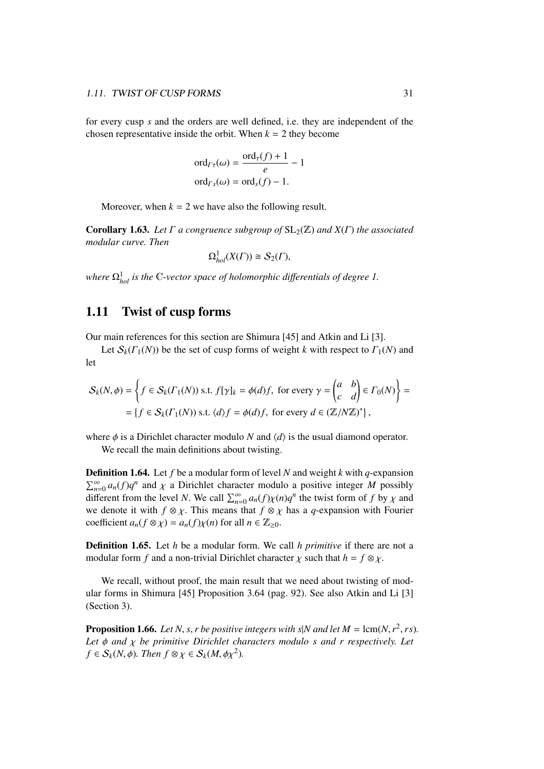for every cusp *s* and the orders are well defined, i.e. they are independent of the chosen representative inside the orbit. When  $k = 2$  they become

$$
\text{ord}_{\Gamma\tau}(\omega) = \frac{\text{ord}_{\tau}(f) + 1}{e} - 1
$$

$$
\text{ord}_{\Gamma_{S}}(\omega) = \text{ord}_{S}(f) - 1.
$$

Moreover, when  $k = 2$  we have also the following result.

**Corollary 1.63.** Let  $\Gamma$  a congruence subgroup of  $SL_2(\mathbb{Z})$  and  $X(\Gamma)$  the associated *modular curve. Then*

$$
\Omega^1_{hol}(X(\Gamma)) \cong \mathcal{S}_2(\Gamma),
$$

*where*  $Ω<sub>hol</sub><sup>1</sup>$  *is the* C-vector space of holomorphic differentials of degree 1.

### 1.11 Twist of cusp forms

Our main references for this section are Shimura [45] and Atkin and Li [3].

Let  $S_k(\Gamma_1(N))$  be the set of cusp forms of weight *k* with respect to  $\Gamma_1(N)$  and let

$$
S_k(N,\phi) = \left\{ f \in S_k(\Gamma_1(N)) \text{ s.t. } f[\gamma]_k = \phi(d)f, \text{ for every } \gamma = \begin{pmatrix} a & b \\ c & d \end{pmatrix} \in \Gamma_0(N) \right\} =
$$
  
=  $\{ f \in S_k(\Gamma_1(N)) \text{ s.t. } \langle d \rangle f = \phi(d)f, \text{ for every } d \in (\mathbb{Z}/N\mathbb{Z})^* \},$ 

where  $\phi$  is a Dirichlet character modulo *N* and  $\langle d \rangle$  is the usual diamond operator.

We recall the main definitions about twisting.

Definition 1.64. Let *f* be a modular form of level *N* and weight *k* with *q*-expansion  $\sum_{n=0}^{\infty} a_n(f) q^n$  and  $\chi$  a Dirichlet character modulo a positive integer *M* possibly<br>different from the level *N*. We call  $\nabla^{\infty}$ , a (*f*) $\nu(n)q^n$  the twist form of *f* by  $\nu$  and different from the level *N*. We call  $\sum_{n=0}^{\infty} a_n(f)\chi(n)q^n$  the twist form of *f* by  $\chi$  and we denote it with  $f \otimes \chi$ . This means that  $f \otimes \chi$  has a *a*-expansion with Fourier we denote it with  $f \otimes \chi$ . This means that  $f \otimes \chi$  has a *q*-expansion with Fourier coefficient  $a_n(f \otimes \chi) = a_n(f)\chi(n)$  for all  $n \in \mathbb{Z}_{\geq 0}$ .

Definition 1.65. Let *h* be a modular form. We call *h primitive* if there are not a modular form *f* and a non-trivial Dirichlet character  $\chi$  such that  $h = f \otimes \chi$ .

We recall, without proof, the main result that we need about twisting of modular forms in Shimura [45] Proposition 3.64 (pag. 92). See also Atkin and Li [3] (Section 3).

**Proposition 1.66.** *Let N*, *s*, *r be positive integers with s*|*N* and let  $M = \text{lcm}(N, r^2, rs)$ .<br>*Let*  $\phi$  and  $\chi$  be primitive Dirichlet characters modulo s and r respectively. Let *Let* φ *and* χ *be primitive Dirichlet characters modulo s and r respectively. Let*  $f \in S_k(N, \phi)$ *. Then*  $f \otimes \chi \in S_k(M, \phi \chi^2)$ *.*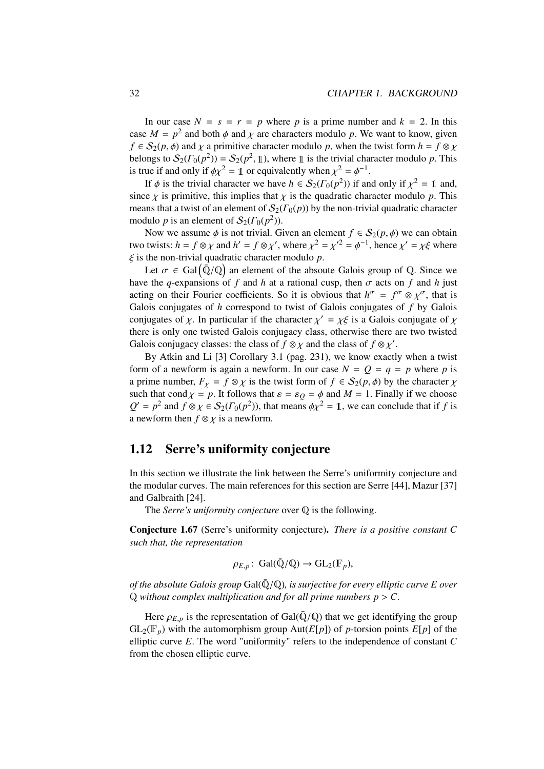In our case  $N = s = r = p$  where p is a prime number and  $k = 2$ . In this case  $M = p^2$  and both  $\phi$  and  $\chi$  are characters modulo *p*. We want to know, given  $f \in S_2(n, \phi)$  and  $\chi$  a primitive character modulo *p*, when the twist form  $h = f \otimes \chi$  $f \in S_2(p, \phi)$  and  $\chi$  a primitive character modulo *p*, when the twist form  $h = f \otimes \chi$ belongs to  $S_2(\Gamma_0(p^2)) = S_2(p^2, \mathbb{1})$ , where  $\mathbb{1}$  is the trivial character modulo *p*. This is true if and only if  $\phi \chi^2 = \mathbb{1}$  or equivalently when  $\chi^2 = \phi^{-1}$ .<br>If  $\phi$  is the trivial character we have  $h \in S_2(\Gamma_2(n^2))$  if an

If  $\phi$  is the trivial character we have  $h \in S_2(\Gamma_0(p^2))$  if and only if  $\chi^2 = \mathbb{1}$  and, since  $\chi$  is primitive, this implies that  $\chi$  is the quadratic character modulo  $p$ . This means that a twist of an element of  $S_2(\Gamma_0(p))$  by the non-trivial quadratic character modulo *p* is an element of  $S_2(\Gamma_0(p^2))$ .

Now we assume  $\phi$  is not trivial. Given an element  $f \in S_2(p, \phi)$  we can obtain two twists:  $h = f \otimes \chi$  and  $h' = f \otimes \chi'$ , where  $\chi^2 = {\chi'}^2 = {\phi}^{-1}$ , hence  $\chi' = \chi \xi$  where ξ is the non-trivial quadratic character modulo *<sup>p</sup>*.

Let  $\sigma \in \text{Gal}(\overline{\mathbb{Q}}/\mathbb{Q})$  an element of the absoute Galois group of  $\mathbb{Q}$ . Since we have the *q*-expansions of *f* and *h* at a rational cusp, then  $\sigma$  acts on *f* and *h* just acting on their Fourier coefficients. So it is obvious that  $h^{\sigma} = f^{\sigma} \otimes \chi^{\sigma}$ , that is<br>Galois conjugates of *h* correspond to twist of Galois conjugates of *f* by Galois Galois conjugates of *h* correspond to twist of Galois conjugates of *f* by Galois conjugates of  $\chi$ . In particular if the character  $\chi' = \chi \xi$  is a Galois conjugate of  $\chi$ <br>there is only one twisted Galois conjugacy class, otherwise there are two twisted there is only one twisted Galois conjugacy class, otherwise there are two twisted Galois conjugacy classes: the class of  $f \otimes \chi$  and the class of  $f \otimes \chi'$ .<br>By Atkin and Li [3] Corollary 3.1 (pag. 231), we know exactle

By Atkin and Li [3] Corollary 3.1 (pag. 231), we know exactly when a twist form of a newform is again a newform. In our case  $N = Q = q = p$  where p is a prime number,  $F_\chi = f \otimes \chi$  is the twist form of  $f \in S_2(p, \phi)$  by the character  $\chi$ such that cond  $\chi = p$ . It follows that  $\varepsilon = \varepsilon_Q = \phi$  and  $M = 1$ . Finally if we choose  $Q' = p^2$  and  $f \otimes \chi \in S_2(\Gamma_0(p^2))$ , that means  $\phi \chi^2 = \mathbb{1}$ , we can conclude that if *f* is a newform then  $f \otimes \chi$  is a newform.

### 1.12 Serre's uniformity conjecture

In this section we illustrate the link between the Serre's uniformity conjecture and the modular curves. The main references for this section are Serre [44], Mazur [37] and Galbraith [24].

The *Serre's uniformity conjecture* over Q is the following.

Conjecture 1.67 (Serre's uniformity conjecture). *There is a positive constant C such that, the representation*

$$
\rho_{E,p} \colon \operatorname{Gal}(\bar{\mathbb{Q}}/\mathbb{Q}) \to \operatorname{GL}_2(\mathbb{F}_p),
$$

*of the absolute Galois group*  $Gal(\bar{Q}/\mathbb{Q})$ *, is surjective for every elliptic curve E over*  $Q$  *without complex multiplication and for all prime numbers*  $p > C$ *.* 

Here  $\rho_{E,p}$  is the representation of Gal( $\overline{Q}/Q$ ) that we get identifying the group  $GL_2(\mathbb{F}_p)$  with the automorphism group  $Aut(E[p])$  of *p*-torsion points  $E[p]$  of the elliptic curve *E*. The word "uniformity" refers to the independence of constant *C* from the chosen elliptic curve.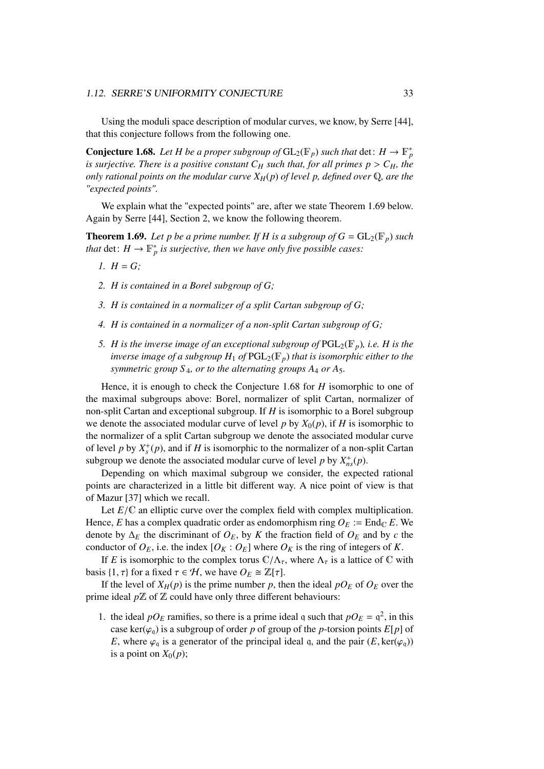Using the moduli space description of modular curves, we know, by Serre [44], that this conjecture follows from the following one.

**Conjecture 1.68.** Let H be a proper subgroup of  $GL_2(\mathbb{F}_p)$  such that  $\det: H \to \mathbb{F}_p^*$ *is surjective. There is a positive constant*  $C_H$  *such that, for all primes*  $p > C_H$ *, the only rational points on the modular curve XH*(*p*) *of level p, defined over* Q*, are the "expected points".*

We explain what the "expected points" are, after we state Theorem 1.69 below. Again by Serre [44], Section 2, we know the following theorem.

**Theorem 1.69.** Let p be a prime number. If H is a subgroup of  $G = GL_2(\mathbb{F}_p)$  such *that*  $\det: H \to \mathbb{F}_p^*$  *is surjective, then we have only five possible cases:* 

- *1.*  $H = G$ :
- *2. H is contained in a Borel subgroup of G;*
- *3. H is contained in a normalizer of a split Cartan subgroup of G;*
- *4. H is contained in a normalizer of a non-split Cartan subgroup of G;*
- *5. H is the inverse image of an exceptional subgroup of*  $PGL_2(\mathbb{F}_p)$ *, i.e. H is the inverse image of a subgroup*  $H_1$  *of*  $PGL_2(\mathbb{F}_p)$  *that is isomorphic either to the symmetric group S* <sup>4</sup>*, or to the alternating groups A*<sup>4</sup> *or A*5*.*

Hence, it is enough to check the Conjecture 1.68 for *H* isomorphic to one of the maximal subgroups above: Borel, normalizer of split Cartan, normalizer of non-split Cartan and exceptional subgroup. If *H* is isomorphic to a Borel subgroup we denote the associated modular curve of level *p* by  $X_0(p)$ , if *H* is isomorphic to the normalizer of a split Cartan subgroup we denote the associated modular curve of level *p* by  $X_s^+(p)$ , and if *H* is isomorphic to the normalizer of a non-split Cartan subgroup we denote the associated modular curve of level *p* by  $X_{ns}^{+}(p)$ .

Depending on which maximal subgroup we consider, the expected rational points are characterized in a little bit different way. A nice point of view is that of Mazur [37] which we recall.

Let  $E/\mathbb{C}$  an elliptic curve over the complex field with complex multiplication. Hence, *E* has a complex quadratic order as endomorphism ring  $O_E := \text{End}_{\mathbb{C}} E$ . We denote by ∆*<sup>E</sup>* the discriminant of *OE*, by *K* the fraction field of *O<sup>E</sup>* and by *c* the conductor of  $O_E$ , i.e. the index  $[O_K: O_E]$  where  $O_K$  is the ring of integers of *K*.

If *E* is isomorphic to the complex torus  $\mathbb{C}/\Lambda_{\tau}$ , where  $\Lambda_{\tau}$  is a lattice of  $\mathbb{C}$  with basis  $\{1, \tau\}$  for a fixed  $\tau \in \mathcal{H}$ , we have  $O_E \cong \mathbb{Z}[\tau]$ .

If the level of  $X_H(p)$  is the prime number p, then the ideal  $pO_F$  of  $O_F$  over the prime ideal  $p\mathbb{Z}$  of  $\mathbb Z$  could have only three different behaviours:

1. the ideal  $pO_E$  ramifies, so there is a prime ideal q such that  $pO_E = q^2$ , in this case ker( $\varphi$ <sub>q</sub>) is a subgroup of order *p* of group of the *p*-torsion points  $E[p]$  of *E*, where  $\varphi_q$  is a generator of the principal ideal q, and the pair  $(E, \text{ker}(\varphi_q))$ is a point on  $X_0(p)$ ;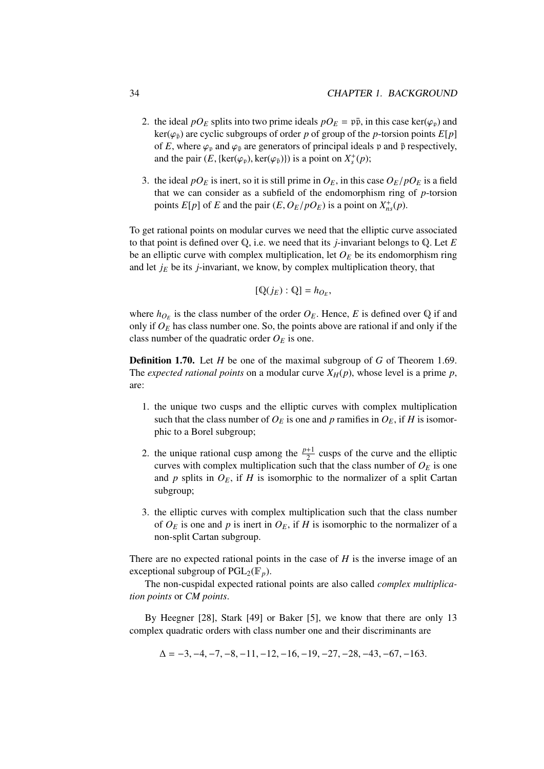- 2. the ideal  $pO<sub>E</sub>$  splits into two prime ideals  $pO<sub>E</sub> = p\bar{p}$ , in this case ker( $\varphi$ <sub>p</sub>) and  $ker(\varphi_{\bar{p}})$  are cyclic subgroups of order *p* of group of the *p*-torsion points  $E[p]$ of *E*, where  $\varphi_p$  and  $\varphi_{\bar{p}}$  are generators of principal ideals p and  $\bar{p}$  respectively, and the pair  $(E, \{\text{ker}(\varphi_p), \text{ker}(\varphi_{\bar{p}})\})$  is a point on  $X_s^+(p)$ ;
- 3. the ideal  $pO<sub>E</sub>$  is inert, so it is still prime in  $O<sub>E</sub>$ , in this case  $O<sub>E</sub>/pO<sub>E</sub>$  is a field that we can consider as a subfield of the endomorphism ring of *p*-torsion points  $E[p]$  of *E* and the pair  $(E, O_E/pO_E)$  is a point on  $X_{ns}^+(p)$ .

To get rational points on modular curves we need that the elliptic curve associated to that point is defined over Q, i.e. we need that its *j*-invariant belongs to Q. Let *E* be an elliptic curve with complex multiplication, let  $O_E$  be its endomorphism ring and let  $j<sub>E</sub>$  be its  $j$ -invariant, we know, by complex multiplication theory, that

$$
[{\mathbb Q}(j_E):{\mathbb Q}]=h_{O_E},
$$

where  $h_{O_E}$  is the class number of the order  $O_E$ . Hence, E is defined over Q if and only if  $O<sub>E</sub>$  has class number one. So, the points above are rational if and only if the class number of the quadratic order  $O_E$  is one.

Definition 1.70. Let *H* be one of the maximal subgroup of *G* of Theorem 1.69. The *expected rational points* on a modular curve  $X_H(p)$ , whose level is a prime p, are:

- 1. the unique two cusps and the elliptic curves with complex multiplication such that the class number of  $O_E$  is one and *p* ramifies in  $O_E$ , if *H* is isomorphic to a Borel subgroup;
- 2. the unique rational cusp among the  $\frac{p+1}{2}$  cusps of the curve and the elliptic curves with complex multiplication such that the class number of  $O_E$  is one and  $p$  splits in  $O_E$ , if  $H$  is isomorphic to the normalizer of a split Cartan subgroup;
- 3. the elliptic curves with complex multiplication such that the class number of  $O_E$  is one and p is inert in  $O_E$ , if H is isomorphic to the normalizer of a non-split Cartan subgroup.

There are no expected rational points in the case of *H* is the inverse image of an exceptional subgroup of  $PGL_2(\mathbb{F}_p)$ .

The non-cuspidal expected rational points are also called *complex multiplication points* or *CM points*.

By Heegner [28], Stark [49] or Baker [5], we know that there are only 13 complex quadratic orders with class number one and their discriminants are

$$
\Delta = -3, -4, -7, -8, -11, -12, -16, -19, -27, -28, -43, -67, -163.
$$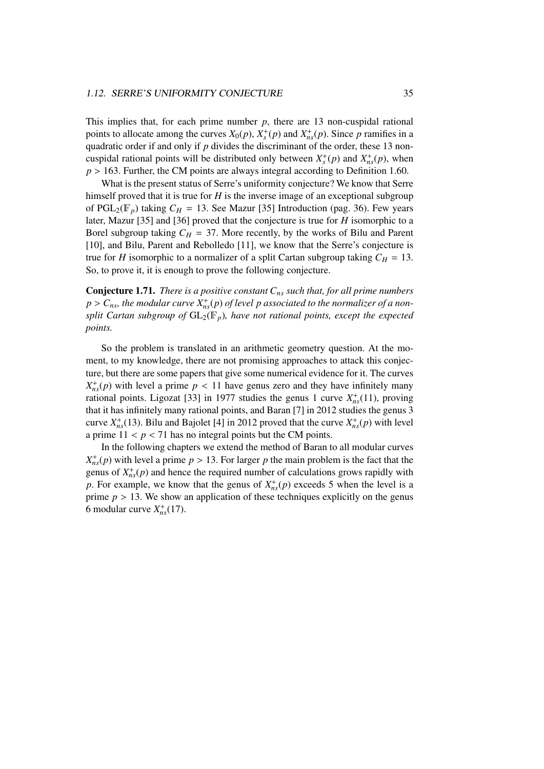This implies that, for each prime number  $p$ , there are 13 non-cuspidal rational points to allocate among the curves  $X_0(p)$ ,  $X_s^+(p)$  and  $X_{ns}^+(p)$ . Since *p* ramifies in a quadratic order if and only if *p* divides the discriminant of the order, these 13 noncuspidal rational points will be distributed only between  $X_s^+(p)$  and  $X_{ns}^+(p)$ , when  $p > 163$ . Further, the CM points are always integral according to Definition 1.60.

What is the present status of Serre's uniformity conjecture? We know that Serre himself proved that it is true for *H* is the inverse image of an exceptional subgroup of  $PGL_2(\mathbb{F}_p)$  taking  $C_H = 13$ . See Mazur [35] Introduction (pag. 36). Few years later, Mazur [35] and [36] proved that the conjecture is true for *H* isomorphic to a Borel subgroup taking  $C_H = 37$ . More recently, by the works of Bilu and Parent [10], and Bilu, Parent and Rebolledo [11], we know that the Serre's conjecture is true for *H* isomorphic to a normalizer of a split Cartan subgroup taking  $C_H = 13$ . So, to prove it, it is enough to prove the following conjecture.

Conjecture 1.71. *There is a positive constant Cns such that, for all prime numbers*  $p > C_{ns}$ , the modular curve  $X_{ns}^+(p)$  of level p associated to the normalizer of a non-<br>
split Cartan subgroup of  $GI_{\alpha}(\mathbb{F})$ , have not rational points, execut the expected *split Cartan subgroup of*  $GL_2(\mathbb{F}_p)$ *, have not rational points, except the expected points.*

So the problem is translated in an arithmetic geometry question. At the moment, to my knowledge, there are not promising approaches to attack this conjecture, but there are some papers that give some numerical evidence for it. The curves  $X_{ns}^{+}(p)$  with level a prime  $p < 11$  have genus zero and they have infinitely many<br>rational points. Ligozat [33] in 1977 studies the genus 1 curve  $X^{+}(11)$  proving rational points. Ligozat [33] in 1977 studies the genus 1 curve  $X_{ns}^+(11)$ , proving that it has infinitely many rational points, and Baran [7] in 2012 studies the genus 3 curve  $X_{ns}^+(13)$ . Bilu and Bajolet [4] in 2012 proved that the curve  $X_{ns}^+(p)$  with level a prime  $11 < p < 71$  has no integral points but the CM points.

In the following chapters we extend the method of Baran to all modular curves  $X_{ns}^{+}(p)$  with level a prime  $p > 13$ . For larger *p* the main problem is the fact that the genus of  $X_{ns}^{+}(p)$  and hence the required number of calculations grows rapidly with *p*. For example, we know that the genus of  $X^+_{ns}(p)$  exceeds 5 when the level is a prime  $p > 13$ . We show an application of these techniques explicitly on the genus 6 modular curve  $X_{ns}^+(17)$ .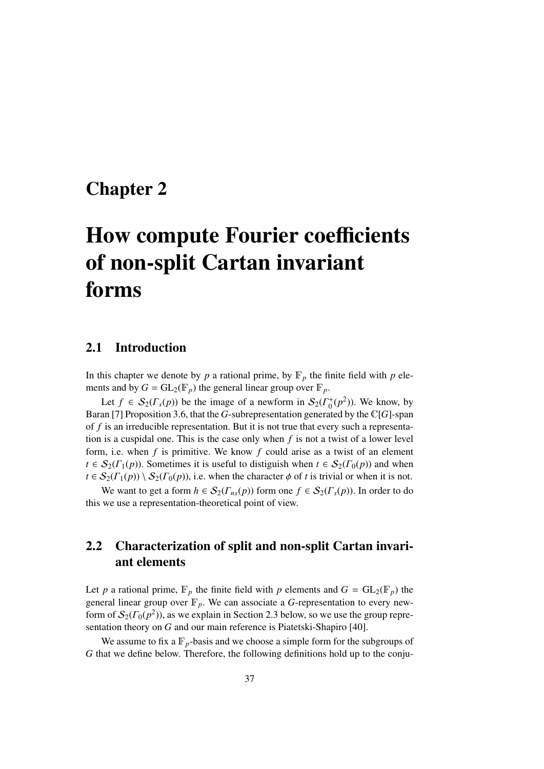# Chapter 2

# How compute Fourier coefficients of non-split Cartan invariant forms

### 2.1 Introduction

In this chapter we denote by  $p$  a rational prime, by  $\mathbb{F}_p$  the finite field with  $p$  elements and by  $G = GL_2(\mathbb{F}_p)$  the general linear group over  $\mathbb{F}_p$ .

Let  $f \in S_2(\Gamma_s(p))$  be the image of a newform in  $S_2(\Gamma_0^+(p^2))$ . We know, by Baran [7] Proposition 3.6, that the *G*-subrepresentation generated by the C[*G*]-span of *f* is an irreducible representation. But it is not true that every such a representation is a cuspidal one. This is the case only when *f* is not a twist of a lower level form, i.e. when *f* is primitive. We know *f* could arise as a twist of an element  $t \in S_2(\Gamma_1(p))$ . Sometimes it is useful to distiguish when  $t \in S_2(\Gamma_0(p))$  and when  $t \in S_2(\Gamma_1(p)) \setminus S_2(\Gamma_0(p))$ , i.e. when the character  $\phi$  of t is trivial or when it is not.

We want to get a form  $h \in S_2(\Gamma_{ns}(p))$  form one  $f \in S_2(\Gamma_s(p))$ . In order to do this we use a representation-theoretical point of view.

# 2.2 Characterization of split and non-split Cartan invariant elements

Let *p* a rational prime,  $\mathbb{F}_p$  the finite field with *p* elements and  $G = GL_2(\mathbb{F}_p)$  the general linear group over  $\mathbb{F}_p$ . We can associate a *G*-representation to every newform of  $\mathcal{S}_2(\Gamma_0(p^2))$ , as we explain in Section 2.3 below, so we use the group representation theory on *G* and our main reference is Piatetski-Shapiro [40].

We assume to fix a  $\mathbb{F}_p$ -basis and we choose a simple form for the subgroups of *G* that we define below. Therefore, the following definitions hold up to the conju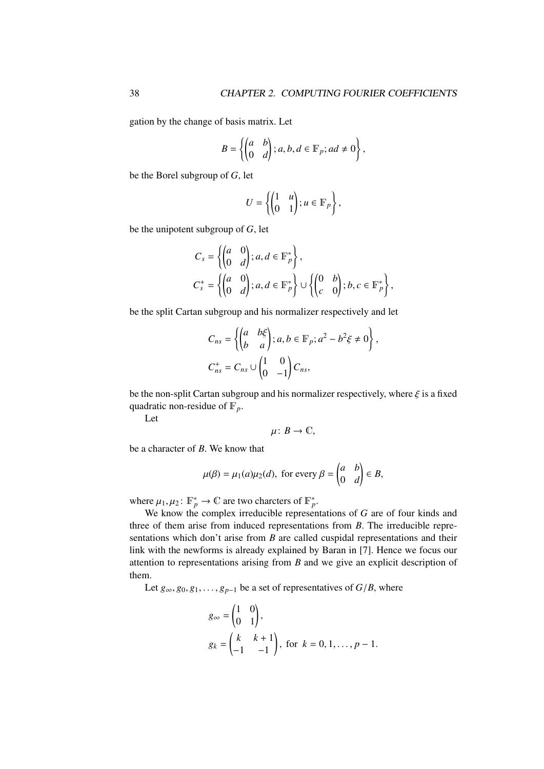gation by the change of basis matrix. Let

$$
B = \left\{ \begin{pmatrix} a & b \\ 0 & d \end{pmatrix}; a, b, d \in \mathbb{F}_p; ad \neq 0 \right\},
$$

be the Borel subgroup of *G*, let

$$
U = \left\{ \begin{pmatrix} 1 & u \\ 0 & 1 \end{pmatrix}; u \in \mathbb{F}_p \right\},\
$$

be the unipotent subgroup of *G*, let

$$
C_s = \left\{ \begin{pmatrix} a & 0 \\ 0 & d \end{pmatrix}; a, d \in \mathbb{F}_p^* \right\},\newline C_s^+ = \left\{ \begin{pmatrix} a & 0 \\ 0 & d \end{pmatrix}; a, d \in \mathbb{F}_p^* \right\} \cup \left\{ \begin{pmatrix} 0 & b \\ c & 0 \end{pmatrix}; b, c \in \mathbb{F}_p^* \right\},\newline
$$

be the split Cartan subgroup and his normalizer respectively and let

$$
C_{ns} = \left\{ \begin{pmatrix} a & b\xi \\ b & a \end{pmatrix}; a, b \in \mathbb{F}_p; a^2 - b^2 \xi \neq 0 \right\},\newline C_{ns}^+ = C_{ns} \cup \begin{pmatrix} 1 & 0 \\ 0 & -1 \end{pmatrix} C_{ns},
$$

be the non-split Cartan subgroup and his normalizer respectively, where  $\xi$  is a fixed quadratic non-residue of  $\mathbb{F}_p$ .

Let

$$
\mu\colon B\to\mathbb{C},
$$

be a character of *B*. We know that

$$
\mu(\beta) = \mu_1(a)\mu_2(d)
$$
, for every  $\beta = \begin{pmatrix} a & b \\ 0 & d \end{pmatrix} \in B$ ,

where  $\mu_1, \mu_2 \colon \mathbb{F}_p^* \to \mathbb{C}$  are two charcters of  $\mathbb{F}_p^*$ .<br>We know the complex irreducible represent

We know the complex irreducible representations of *G* are of four kinds and three of them arise from induced representations from *B*. The irreducible representations which don't arise from *B* are called cuspidal representations and their link with the newforms is already explained by Baran in [7]. Hence we focus our attention to representations arising from *B* and we give an explicit description of them.

Let  $g_{\infty}, g_0, g_1, \ldots, g_{p-1}$  be a set of representatives of  $G/B$ , where

$$
g_{\infty} = \begin{pmatrix} 1 & 0 \\ 0 & 1 \end{pmatrix},
$$
  
\n
$$
g_k = \begin{pmatrix} k & k+1 \\ -1 & -1 \end{pmatrix}, \text{ for } k = 0, 1, \dots, p-1.
$$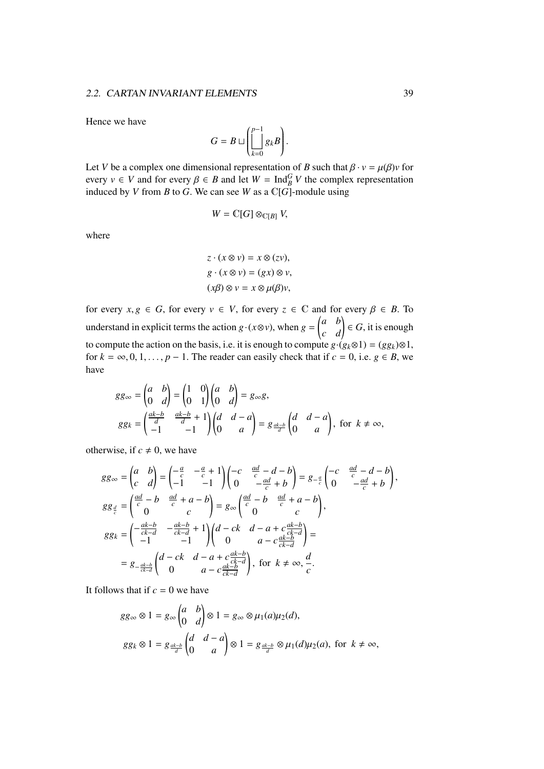Hence we have

$$
G = B \sqcup \left( \bigsqcup_{k=0}^{p-1} g_k B \right).
$$

Let *V* be a complex one dimensional representation of *B* such that  $\beta \cdot v = \mu(\beta)v$  for every  $v \in V$  and for every  $\beta \in B$  and let  $W = \text{Ind}_{B}^{G} V$  the complex representation induced by *V* from *B* to *G*. We can see *W* as a CIG-module using induced by *V* from *B* to *G*. We can see *W* as a  $\mathbb{C}[\tilde{G}]$ -module using

$$
W=\mathbb{C}[G]\otimes_{\mathbb{C}[B]}V,
$$

where

$$
z \cdot (x \otimes v) = x \otimes (zv),
$$
  

$$
g \cdot (x \otimes v) = (gx) \otimes v,
$$
  

$$
(x\beta) \otimes v = x \otimes \mu(\beta)v,
$$

for every  $x, g \in G$ , for every  $v \in V$ , for every  $z \in \mathbb{C}$  and for every  $\beta \in B$ . To understand in explicit terms the action  $g \cdot (x \otimes v)$ , when  $g = \begin{pmatrix} a & b \\ c & d \end{pmatrix} \in G$ , it is enough to compute the action on the basis, i.e. it is enough to compute  $g \cdot (g_k \otimes 1) = (gg_k) \otimes 1$ , for  $k = \infty, 0, 1, \ldots, p - 1$ . The reader can easily check that if  $c = 0$ , i.e.  $g \in B$ , we have

$$
gg_{\infty} = \begin{pmatrix} a & b \\ 0 & d \end{pmatrix} = \begin{pmatrix} 1 & 0 \\ 0 & 1 \end{pmatrix} \begin{pmatrix} a & b \\ 0 & d \end{pmatrix} = g_{\infty}g,
$$
  

$$
gg_k = \begin{pmatrix} \frac{ak-b}{d} & \frac{ak-b}{d} + 1 \\ -1 & -1 \end{pmatrix} \begin{pmatrix} d & d-a \\ 0 & a \end{pmatrix} = g_{\frac{ak-b}{d}} \begin{pmatrix} d & d-a \\ 0 & a \end{pmatrix}, \text{ for } k \neq \infty,
$$

otherwise, if  $c \neq 0$ , we have

$$
gg_{\infty} = \begin{pmatrix} a & b \\ c & d \end{pmatrix} = \begin{pmatrix} -\frac{a}{c} & -\frac{a}{c} + 1 \\ -1 & -1 \end{pmatrix} \begin{pmatrix} -c & \frac{ad}{c} - d - b \\ 0 & -\frac{ad}{c} + b \end{pmatrix} = g_{-\frac{a}{c}} \begin{pmatrix} -c & \frac{ad}{c} - d - b \\ 0 & -\frac{ad}{c} + b \end{pmatrix},
$$
  
\n
$$
gg_{\frac{a}{c}} = \begin{pmatrix} \frac{ad}{c} - b & \frac{ad}{c} + a - b \\ 0 & c \end{pmatrix} = g_{\infty} \begin{pmatrix} \frac{ad}{c} - b & \frac{ad}{c} + a - b \\ 0 & c \end{pmatrix},
$$
  
\n
$$
gg_k = \begin{pmatrix} -\frac{ak}{ck-d} & -\frac{ak}{ck-d} + 1 \\ -1 & -1 \end{pmatrix} \begin{pmatrix} d - ck & d - a + c\frac{ak-b}{ck-d} \\ 0 & a - c\frac{ak-b}{ck-d} \end{pmatrix} =
$$
  
\n
$$
= g_{-\frac{ak-b}{ck-d}} \begin{pmatrix} d - ck & d - a + c\frac{ak-b}{ck-d} \\ 0 & a - c\frac{ak-b}{ck-d} \end{pmatrix}, \text{ for } k \neq \infty, \frac{d}{c}.
$$

It follows that if  $c = 0$  we have

$$
gg_{\infty} \otimes 1 = g_{\infty} \begin{pmatrix} a & b \\ 0 & d \end{pmatrix} \otimes 1 = g_{\infty} \otimes \mu_1(a) \mu_2(d),
$$
  

$$
gg_k \otimes 1 = g_{\frac{ak-b}{d}} \begin{pmatrix} d & d-a \\ 0 & a \end{pmatrix} \otimes 1 = g_{\frac{ak-b}{d}} \otimes \mu_1(d) \mu_2(a), \text{ for } k \neq \infty,
$$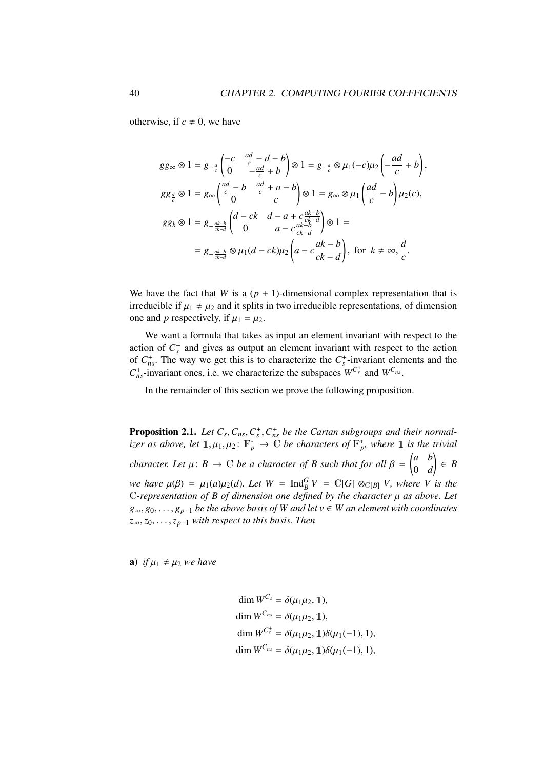otherwise, if  $c \neq 0$ , we have

$$
gg_{\infty} \otimes 1 = g_{-\frac{a}{c}} \begin{pmatrix} -c & \frac{ad}{c} - d - b \\ 0 & -\frac{ad}{c} + b \end{pmatrix} \otimes 1 = g_{-\frac{a}{c}} \otimes \mu_1(-c)\mu_2 \begin{pmatrix} -ad \\ -\frac{ad}{c} + b \end{pmatrix},
$$
  
\n
$$
gg_{\frac{d}{c}} \otimes 1 = g_{\infty} \begin{pmatrix} \frac{ad}{c} - b & \frac{ad}{c} + a - b \\ 0 & c \end{pmatrix} \otimes 1 = g_{\infty} \otimes \mu_1 \begin{pmatrix} \frac{ad}{c} - b \\ \frac{cd}{c} - b \end{pmatrix} \mu_2(c),
$$
  
\n
$$
gg_k \otimes 1 = g_{-\frac{ak-b}{c\lambda-d}} \begin{pmatrix} d - ck & d - a + c\frac{ak-b}{c\lambda-d} \\ 0 & a - c\frac{ak-b}{c\lambda-d} \end{pmatrix} \otimes 1 =
$$
  
\n
$$
= g_{-\frac{ak-b}{c\lambda-d}} \otimes \mu_1(d - ck)\mu_2 \begin{pmatrix} a - c\frac{ak-b}{c\lambda-d} \end{pmatrix}, \text{ for } k \neq \infty, \frac{d}{c}.
$$

We have the fact that *W* is a  $(p + 1)$ -dimensional complex representation that is irreducible if  $\mu_1 \neq \mu_2$  and it splits in two irreducible representations, of dimension one and *p* respectively, if  $\mu_1 = \mu_2$ .

We want a formula that takes as input an element invariant with respect to the action of  $C_s^+$  and gives as output an element invariant with respect to the action of  $C_{ns}^+$ . The way we get this is to characterize the  $C_s^+$ -invariant elements and the  $C_{ns}^+$ -invariant ones, i.e. we characterize the subspaces  $W_{s}^{C_{s}^+}$  and  $W_{s}^{C_{ns}^+}$ .

In the remainder of this section we prove the following proposition.

**Proposition 2.1.** *Let*  $C_s$ ,  $C_{ns}$ ,  $C_s^+$ ,  $C_{ns}^+$  *be the Cartan subgroups and their normal-*<br>*izer* as above, let  $\mathbb{1}$ ,  $\mu$ ,  $\mu_s$ :  $\mathbb{R}^*$   $\rightarrow$   $\mathbb{C}$  be characters of  $\mathbb{R}^*$ , where  $\mathbb{1}$  is the t *izer as above, let*  $\mathbb{1}, \mu_1, \mu_2 \colon \mathbb{F}_p^* \to \mathbb{C}$  *be characters of*  $\mathbb{F}_p^*$ *, where*  $\mathbb{1}$  *is the trivial character. Let*  $\mu: B \to \mathbb{C}$  *be a character of*  $B$  *such that for all*  $\beta = \begin{pmatrix} a & b \\ 0 & d \end{pmatrix}$ 0 *d* ! ∈ *B we have*  $\mu(\beta) = \mu_1(a)\mu_2(d)$ *. Let*  $W = \text{Ind}_{B}^{G} V = \mathbb{C}[G] \otimes_{\mathbb{C}[B]} V$ *, where V* is the Convergentation of *B* of dimension one defined by the character *u* as above *Let* <sup>C</sup>*-representation of B of dimension one defined by the character* µ *as above. Let <sup>g</sup>*∞, *<sup>g</sup>*0, . . . , *<sup>g</sup>p*−<sup>1</sup> *be the above basis of W and let v* <sup>∈</sup> *W an element with coordinates <sup>z</sup>*∞,*z*0, . . . ,*zp*−<sup>1</sup> *with respect to this basis. Then*

a) *if*  $\mu_1 \neq \mu_2$  *we have* 

dim  $W^{C_s} = \delta(u_1u_2, 1)$ , dim  $W^{C_{ns}} = \delta(\mu_1 \mu_2, \mathbb{1}),$ dim  $W^{C_s^+} = \delta(\mu_1 \mu_2, 1) \delta(\mu_1(-1), 1),$ dim  $W^{C_{ns}^+} = \delta(\mu_1 \mu_2, \mathbb{1}) \delta(\mu_1(-1), 1),$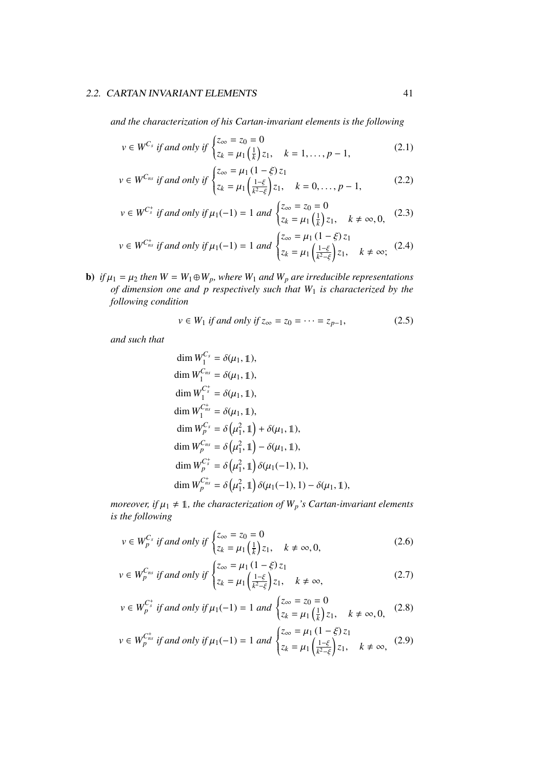*and the characterization of his Cartan-invariant elements is the following*

$$
v \in W^{C_s}
$$
 if and only if  $\begin{cases} z_{\infty} = z_0 = 0 \\ z_k = \mu_1 \left( \frac{1}{k} \right) z_1, & k = 1, ..., p - 1, \end{cases}$  (2.1)

$$
v \in W^{C_{ns}}
$$
 if and only if 
$$
\begin{cases} z_{\infty} = \mu_1 (1 - \xi) z_1 \\ z_k = \mu_1 \left( \frac{1 - \xi}{k^2 - \xi} \right) z_1, \quad k = 0, \dots, p - 1, \end{cases}
$$
 (2.2)

$$
v \in W^{C_s^+}
$$
 if and only if  $\mu_1(-1) = 1$  and  $\begin{cases} z_{\infty} = z_0 = 0 \\ z_k = \mu_1(\frac{1}{k})z_1, \quad k \neq \infty, 0, \end{cases}$  (2.3)

$$
v \in W^{C_{ns}^{+}}
$$
 if and only if  $\mu_1(-1) = 1$  and  $\begin{cases} z_{\infty} = \mu_1 (1 - \xi) z_1 \\ z_k = \mu_1 \left( \frac{1 - \xi}{k^2 - \xi} \right) z_1, \quad k \neq \infty; \end{cases}$  (2.4)

**b**) *if*  $\mu_1 = \mu_2$  *then*  $W = W_1 \oplus W_p$ *, where*  $W_1$  *and*  $W_p$  *are irreducible representations of dimension one and p respectively such that W*<sup>1</sup> *is characterized by the following condition*

$$
v \in W_1 \text{ if and only if } z_{\infty} = z_0 = \dots = z_{p-1},
$$
 (2.5)

*and such that*

$$
\dim W_1^{C_s} = \delta(\mu_1, 1),
$$
  
\n
$$
\dim W_1^{C_{ns}} = \delta(\mu_1, 1),
$$
  
\n
$$
\dim W_1^{C_s^+} = \delta(\mu_1, 1),
$$
  
\n
$$
\dim W_1^{C_{ns}^+} = \delta(\mu_1, 1),
$$
  
\n
$$
\dim W_p^{C_s} = \delta(\mu_1^2, 1) + \delta(\mu_1, 1),
$$
  
\n
$$
\dim W_p^{C_{ns}} = \delta(\mu_1^2, 1) - \delta(\mu_1, 1),
$$
  
\n
$$
\dim W_p^{C_s^+} = \delta(\mu_1^2, 1) \delta(\mu_1(-1), 1),
$$
  
\n
$$
\dim W_p^{C_{ns}^+} = \delta(\mu_1^2, 1) \delta(\mu_1(-1), 1) - \delta(\mu_1, 1),
$$

*moreover, if*  $\mu_1 \neq 1$ *, the characterization of*  $W_p$ *'s Cartan-invariant elements is the following*

$$
v \in W_p^{C_s} \text{ if and only if } \begin{cases} z_{\infty} = z_0 = 0\\ z_k = \mu_1\left(\frac{1}{k}\right)z_1, \quad k \neq \infty, 0, \end{cases}
$$
 (2.6)

$$
v \in W_p^{C_{ns}} \text{ if and only if } \begin{cases} z_{\infty} = \mu_1 \left( 1 - \xi \right) z_1 \\ z_k = \mu_1 \left( \frac{1 - \xi}{k^2 - \xi} \right) z_1, \quad k \neq \infty, \end{cases} \tag{2.7}
$$

$$
v \in W_p^{C_s^+}
$$
 if and only if  $\mu_1(-1) = 1$  and  $\begin{cases} z_{\infty} = z_0 = 0 \\ z_k = \mu_1(\frac{1}{k})z_1, & k \neq \infty, 0, \end{cases}$  (2.8)

$$
v \in W_{p}^{C_{ns}^{+}}
$$
 if and only if  $\mu_1(-1) = 1$  and  $\begin{cases} z_{\infty} = \mu_1 (1 - \xi) z_1 \\ z_k = \mu_1 \left( \frac{1 - \xi}{k^2 - \xi} \right) z_1, \quad k \neq \infty, \end{cases}$  (2.9)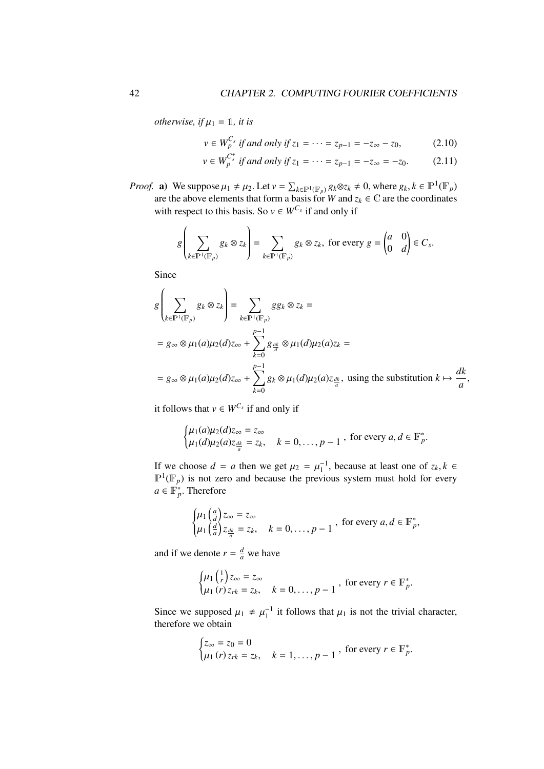*otherwise, if*  $\mu_1 = 1$ *, it is* 

$$
v \in W_p^{C_s}
$$
 if and only if  $z_1 = \cdots = z_{p-1} = -z_{\infty} - z_0$ , (2.10)

$$
v \in W_p^{C_s^+}
$$
 if and only if  $z_1 = \cdots = z_{p-1} = -z_{\infty} = -z_0$ . (2.11)

*Proof.* a) We suppose  $\mu_1 \neq \mu_2$ . Let  $v = \sum_{k \in \mathbb{P}^1(\mathbb{F}_p)} g_k \otimes z_k \neq 0$ , where  $g_k, k \in \mathbb{P}^1(\mathbb{F}_p)$ are the above elements that form a basis for *W* and  $z_k \in \mathbb{C}$  are the coordinates with respect to this basis. So  $v \in W^{C_s}$  if and only if

$$
g\left(\sum_{k\in\mathbb{P}^1(\mathbb{F}_p)}g_k\otimes z_k\right)=\sum_{k\in\mathbb{P}^1(\mathbb{F}_p)}g_k\otimes z_k, \text{ for every } g=\begin{pmatrix} a & 0 \\ 0 & d \end{pmatrix}\in C_s.
$$

Since

$$
g\left(\sum_{k\in\mathbb{P}^1(\mathbb{F}_p)} g_k \otimes z_k\right) = \sum_{k\in\mathbb{P}^1(\mathbb{F}_p)} g g_k \otimes z_k =
$$
  
=  $g_{\infty} \otimes \mu_1(a) \mu_2(d) z_{\infty} + \sum_{k=0}^{p-1} g_{\frac{ak}{d}} \otimes \mu_1(d) \mu_2(a) z_k =$   
=  $g_{\infty} \otimes \mu_1(a) \mu_2(d) z_{\infty} + \sum_{k=0}^{p-1} g_k \otimes \mu_1(d) \mu_2(a) z_{\frac{ak}{a}}$ , using the substitution  $k \mapsto \frac{dk}{a}$ ,

it follows that  $v \in W^{C_s}$  if and only if

$$
\begin{cases} \mu_1(a)\mu_2(d)z_{\infty} = z_{\infty} \\ \mu_1(d)\mu_2(a)z_{\frac{dk}{a}} = z_k, \quad k = 0, \dots, p-1 \end{cases}
$$
, for every  $a, d \in \mathbb{F}_p^*$ 

If we choose  $d = a$  then we get  $\mu_2 = \mu_1^{-1}$ , because at least one of  $z_k, k \in \mathbb{R}^1(\mathbb{R})$  is not zero and because the previous system must hold for every  $\mathbb{P}^1(\mathbb{F}_p)$  is not zero and because the previous system must hold for every  $a \in \mathbb{F}_p^*$ . Therefore

$$
\begin{cases} \mu_1\left(\frac{a}{d}\right)z_{\infty} = z_{\infty} \\ \mu_1\left(\frac{d}{a}\right)z_{\frac{dk}{a}} = z_k, \quad k = 0, \ldots, p-1 \end{cases}
$$
, for every  $a, d \in \mathbb{F}_p^*$ ,

and if we denote  $r = \frac{d}{a}$  we have

$$
\begin{cases} \mu_1\left(\frac{1}{r}\right)z_{\infty} = z_{\infty} \\ \mu_1\left(r\right)z_{rk} = z_k, \quad k = 0, \ldots, p-1 \end{cases}
$$
, for every  $r \in \mathbb{F}_p^*$ .

Since we supposed  $\mu_1 \neq \mu_1^{-1}$  it follows that  $\mu_1$  is not the trivial character, therefore we obtain therefore we obtain

$$
\begin{cases} z_{\infty} = z_0 = 0 \\ \mu_1(r) z_{rk} = z_k, \quad k = 1, \dots, p-1 \end{cases}
$$
, for every  $r \in \mathbb{F}_p^*$ .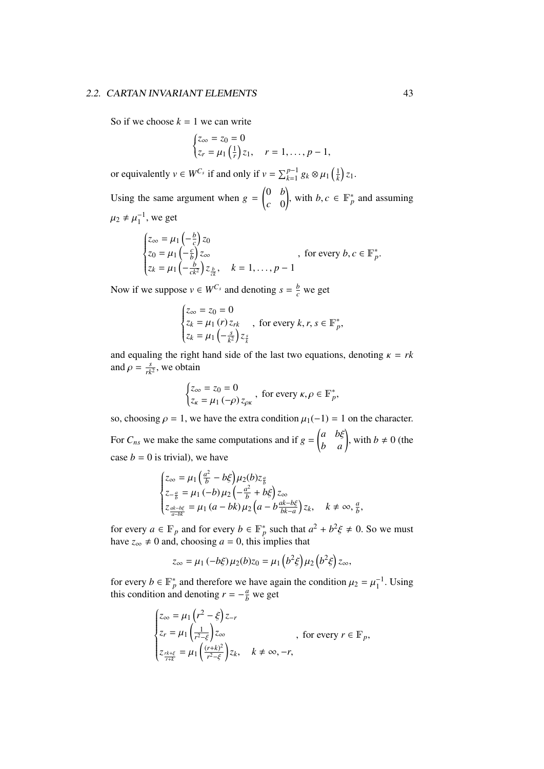#### 2.2. CARTAN INVARIANT ELEMENTS 43

So if we choose  $k = 1$  we can write

$$
\begin{cases} z_{\infty} = z_0 = 0 \\ z_r = \mu_1 \left( \frac{1}{r} \right) z_1, \quad r = 1, \dots, p-1, \end{cases}
$$

or equivalently  $v \in W^{C_s}$  if and only if  $v = \sum_{k=1}^{p-1} g_k \otimes \mu_1\left(\frac{1}{k}\right)z_1$ . Using the same argument when  $g =$  0 *b c* 0 , with *b*, *c*  $\in$   $\mathbb{F}_p^*$  and assuming

 $\mu_2 \neq \mu_1^{-1}$ , we get

$$
\begin{cases} z_{\infty} = \mu_1 \left( -\frac{b}{c} \right) z_0 \\ z_0 = \mu_1 \left( -\frac{c}{b} \right) z_{\infty} \\ z_k = \mu_1 \left( -\frac{b}{ck^2} \right) z_{\frac{b}{ck}}, \quad k = 1, \dots, p-1 \end{cases}
$$
, for every  $b, c \in \mathbb{F}_p^*$ .

Now if we suppose  $v \in W^{C_s}$  and denoting  $s = \frac{b}{c}$  we get

 $\overline{2}$ 

$$
\begin{cases} z_{\infty} = z_0 = 0 \\ z_k = \mu_1(r) z_{rk} \\ z_k = \mu_1\left(-\frac{s}{k^2}\right) z_{\frac{s}{k}} \end{cases}
$$
, for every  $k, r, s \in \mathbb{F}_p^*$ ,

and equaling the right hand side of the last two equations, denoting  $\kappa = rk$ and  $\rho = \frac{s}{rk^2}$ , we obtain

$$
\begin{cases} z_{\infty} = z_0 = 0 \\ z_{\kappa} = \mu_1 \left( -\rho \right) z_{\rho \kappa} \end{cases}
$$
, for every  $\kappa, \rho \in \mathbb{F}_p^*$ ,

so, choosing  $\rho = 1$ , we have the extra condition  $\mu_1(-1) = 1$  on the character. For  $C_{ns}$  we make the same computations and if  $g =$  $\begin{pmatrix} a & b\xi \\ b & a \end{pmatrix}$ , with  $b \neq 0$  (the case  $b = 0$  is trivial), we have

$$
\begin{cases} z_{\infty} = \mu_1 \left( \frac{a^2}{b} - b\xi \right) \mu_2(b) z_{\frac{a}{b}} \\ z_{-\frac{a}{b}} = \mu_1 \left( -b \right) \mu_2 \left( -\frac{a^2}{b} + b\xi \right) z_{\infty} \\ z_{\frac{ak-b\xi}{a-bk}} = \mu_1 \left( a - bk \right) \mu_2 \left( a - b\frac{ak-b\xi}{bk-a} \right) z_k, \quad k \neq \infty, \frac{a}{b}, \end{cases}
$$

for every  $a \in \mathbb{F}_p$  and for every  $b \in \mathbb{F}_p^*$  such that  $a^2 + b^2 \xi \neq 0$ . So we must<br>have  $z \neq 0$  and choosing  $a = 0$  this implies that have  $z_{\infty} \neq 0$  and, choosing  $a = 0$ , this implies that

$$
z_{\infty} = \mu_1 \left(-b\xi\right)\mu_2(b)z_0 = \mu_1\left(b^2\xi\right)\mu_2\left(b^2\xi\right)z_{\infty},
$$

for every *b* ∈  $\mathbb{F}_p^*$  and therefore we have again the condition  $\mu_2 = \mu_1^{-1}$ . Using this condition and denoting  $r = -\frac{a}{2}$  we get this condition and denoting  $r = -\frac{a}{b}$  we get

$$
\begin{cases} z_{\infty} = \mu_1 \left( r^2 - \xi \right) z_{-r} \\ z_r = \mu_1 \left( \frac{1}{r^2 - \xi} \right) z_{\infty} \\ z_{\frac{rk + \xi}{r + k}} = \mu_1 \left( \frac{(r + k)^2}{r^2 - \xi} \right) z_k, \quad k \neq \infty, -r, \end{cases}
$$
, for every  $r \in \mathbb{F}_p$ ,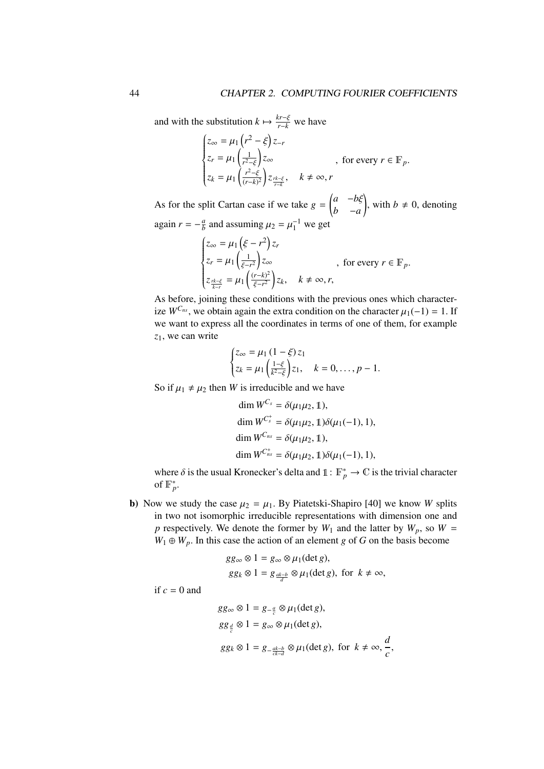and with the substitution  $k \mapsto \frac{k r - \xi}{r - k}$  we have

$$
\begin{cases} z_{\infty} = \mu_1 \left( r^2 - \xi \right) z_{-r} \\ z_r = \mu_1 \left( \frac{1}{r^2 - \xi} \right) z_{\infty} \\ z_k = \mu_1 \left( \frac{r^2 - \xi}{(r - k)^2} \right) z_{\frac{rk - \xi}{r - k}}, \quad k \neq \infty, r \end{cases}
$$
, for every  $r \in \mathbb{F}_p$ .

As for the split Cartan case if we take  $g =$  *<sup>a</sup>* <sup>−</sup>*b*ξ *b* −*a* ), with  $b \neq 0$ , denoting again  $r = -\frac{a}{b}$  $\frac{a}{b}$  and assuming  $\mu_2 = \mu_1^{-1}$  we get

$$
\begin{cases} z_{\infty} = \mu_1 \left( \xi - r^2 \right) z_r \\ z_r = \mu_1 \left( \frac{1}{\xi - r^2} \right) z_{\infty} \\ z_{\frac{rk - \xi}{k - r}} = \mu_1 \left( \frac{(r - k)^2}{\xi - r^2} \right) z_k, \quad k \neq \infty, r, \end{cases}
$$
, for every  $r \in \mathbb{F}_p$ .

As before, joining these conditions with the previous ones which characterize  $W^{C_{ns}}$ , we obtain again the extra condition on the character  $\mu_1(-1) = 1$ . If we want to express all the coordinates in terms of one of them, for example *z*1, we can write

$$
\begin{cases} z_{\infty} = \mu_1 \left( 1 - \xi \right) z_1 \\ z_k = \mu_1 \left( \frac{1 - \xi}{k^2 - \xi} \right) z_1, \quad k = 0, \dots, p - 1. \end{cases}
$$

So if  $\mu_1 \neq \mu_2$  then *W* is irreducible and we have

dim 
$$
W^{C_s} = \delta(\mu_1 \mu_2, \mathbb{1})
$$
,  
\ndim  $W^{C_s^+} = \delta(\mu_1 \mu_2, \mathbb{1})\delta(\mu_1(-1), 1)$ ,  
\ndim  $W^{C_{ns}} = \delta(\mu_1 \mu_2, \mathbb{1})$ ,  
\ndim  $W^{C_{ns}^+} = \delta(\mu_1 \mu_2, \mathbb{1})\delta(\mu_1(-1), 1)$ ,

where  $\delta$  is the usual Kronecker's delta and  $\mathbb{1} : \mathbb{F}_p^* \to \mathbb{C}$  is the trivial character of  $\mathbb{F}_p^*$ of  $\mathbb{F}_p^*$ .

b) Now we study the case  $\mu_2 = \mu_1$ . By Piatetski-Shapiro [40] we know *W* splits in two not isomorphic irreducible representations with dimension one and *p* respectively. We denote the former by  $W_1$  and the latter by  $W_p$ , so  $W =$  $W_1 \oplus W_p$ . In this case the action of an element *g* of *G* on the basis become

$$
gg_{\infty} \otimes 1 = g_{\infty} \otimes \mu_1(\det g),
$$
  
 
$$
gg_k \otimes 1 = g_{\frac{ak-b}{d}} \otimes \mu_1(\det g), \text{ for } k \neq \infty,
$$

if  $c = 0$  and

$$
gg_{\infty} \otimes 1 = g_{-\frac{a}{c}} \otimes \mu_1(\det g),
$$
  
\n
$$
gg_{\frac{d}{c}} \otimes 1 = g_{\infty} \otimes \mu_1(\det g),
$$
  
\n
$$
gg_k \otimes 1 = g_{-\frac{ak-b}{ck-d}} \otimes \mu_1(\det g), \text{ for } k \neq \infty, \frac{d}{c},
$$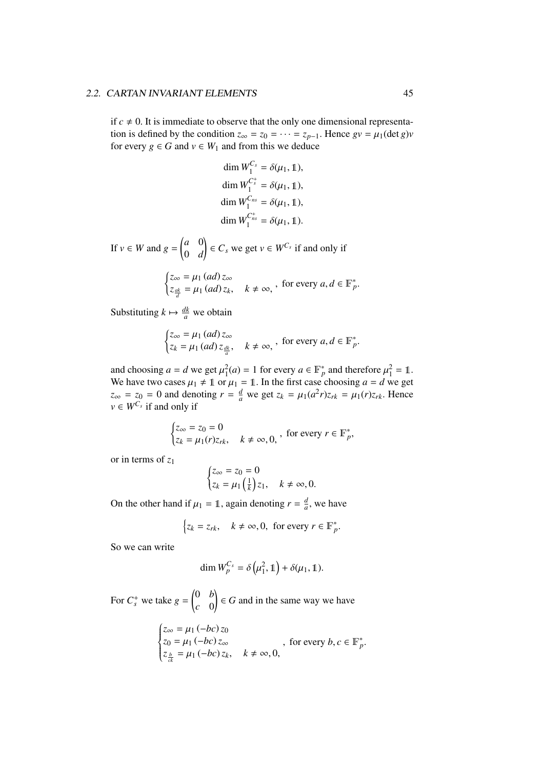### 2.2. CARTAN INVARIANT ELEMENTS 45

if  $c \neq 0$ . It is immediate to observe that the only one dimensional representation is defined by the condition  $z_\infty = z_0 = \cdots = z_{p-1}$ . Hence  $gv = \mu_1(\det g)v$ for every  $g \in G$  and  $v \in W_1$  and from this we deduce

dim 
$$
W_1^{C_s} = \delta(\mu_1, 1)
$$
,  
\ndim  $W_1^{C_s^+} = \delta(\mu_1, 1)$ ,  
\ndim  $W_1^{C_{ns}} = \delta(\mu_1, 1)$ ,  
\ndim  $W_1^{C_{ns}^+} = \delta(\mu_1, 1)$ .

If  $v \in W$  and  $g = \begin{pmatrix} a & 0 \\ 0 & a \end{pmatrix}$ 0 *d*  $\left( \begin{array}{c} \in C_s \text{ we get } v \in W^{C_s} \text{ if and only if } \end{array} \right)$ 

$$
\begin{cases} z_{\infty} = \mu_1 \, (ad) \, z_{\infty} \\ z_{\frac{ak}{d}} = \mu_1 \, (ad) \, z_k, \quad k \neq \infty, \end{cases}
$$
, for every  $a, d \in \mathbb{F}_p^*$ 

Substituting  $k \mapsto \frac{dk}{a}$  we obtain

$$
\begin{cases} z_{\infty} = \mu_1 \, (ad) \, z_{\infty} \\ z_k = \mu_1 \, (ad) \, z_{\frac{dk}{a}}, \quad k \neq \infty, \end{cases}
$$
, for every  $a, d \in \mathbb{F}_p^*$ 

and choosing  $a = d$  we get  $\mu_1^2(a) = 1$  for every  $a \in \mathbb{F}_p^*$  and therefore  $\mu_1^2 = 1$ .<br>We have two cases  $\mu_1 + 1$  or  $\mu_2 = 1$ . In the first case choosing  $a = d$  we get We have two cases  $\mu_1 \neq 1$  or  $\mu_1 = 1$ . In the first case choosing  $a = d$  we get  $z_{\infty} = z_0 = 0$  and denoting  $r = \frac{d}{a}$  we get  $z_k = \mu_1(a^2 r)z_{rk} = \mu_1(r)z_{rk}$ . Hence  $v \in W^{C_s}$  if and only if

$$
\begin{cases} z_{\infty} = z_0 = 0 \\ z_k = \mu_1(r) z_{rk}, \quad k \neq \infty, 0, \end{cases}
$$
, for every  $r \in \mathbb{F}_p^*$ ,

or in terms of *z*<sup>1</sup>

$$
\begin{cases} z_{\infty} = z_0 = 0 \\ z_k = \mu_1 \left( \frac{1}{k} \right) z_1, \quad k \neq \infty, 0. \end{cases}
$$

On the other hand if  $\mu_1 = 1$ , again denoting  $r = \frac{d}{a}$  $\frac{a}{a}$ , we have

$$
\begin{cases} z_k = z_{rk}, & k \neq \infty, 0, \text{ for every } r \in \mathbb{F}_p^*.\end{cases}
$$

So we can write

$$
\dim W_p^{C_s} = \delta\left(\mu_1^2, 1\right) + \delta(\mu_1, 1).
$$

For  $C_s^+$  we take  $g =$  0 *b c* 0  $\Big($   $\in$  *G* and in the same way we have

$$
\begin{cases} z_{\infty} = \mu_1 \left( -bc \right) z_0 \\ z_0 = \mu_1 \left( -bc \right) z_{\infty} \\ z_{\frac{b}{ck}} = \mu_1 \left( -bc \right) z_k, \quad k \neq \infty, 0, \end{cases}
$$
, for every  $b, c \in \mathbb{F}_p^*$ .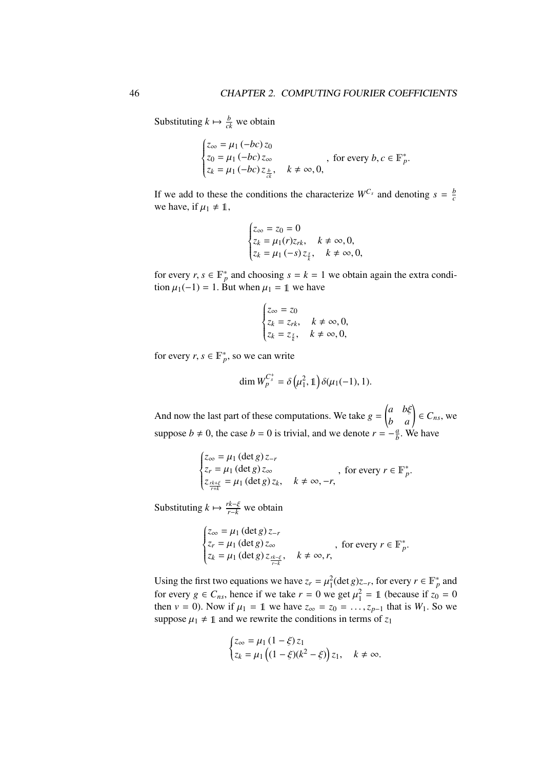Substituting  $k \mapsto \frac{b}{ck}$  we obtain

$$
\begin{cases} z_{\infty} = \mu_1 \left( -bc \right) z_0 \\ z_0 = \mu_1 \left( -bc \right) z_{\infty} \\ z_k = \mu_1 \left( -bc \right) z_{\frac{b}{ck}}, \quad k \neq \infty, 0, \end{cases}
$$
, for every  $b, c \in \mathbb{F}_p^*$ 

If we add to these the conditions the characterize  $W^{C_s}$  and denoting  $s = \frac{b}{c}$ *c* we have, if  $\mu_1 \neq 1$ ,

$$
\begin{cases} z_{\infty} = z_0 = 0 \\ z_k = \mu_1(r) z_{rk}, & k \neq \infty, 0, \\ z_k = \mu_1(-s) z_{\frac{z}{k}}, & k \neq \infty, 0, \end{cases}
$$

for every *r*,  $s \in \mathbb{F}_p^*$  and choosing  $s = k = 1$  we obtain again the extra condition  $u_1(-1) = 1$ . But when  $u_2 = 1$  we have tion  $\mu_1(-1) = 1$ . But when  $\mu_1 = 1$  we have

$$
\begin{cases} z_{\infty} = z_0 \\ z_k = z_{rk}, \quad k \neq \infty, 0, \\ z_k = z_{\frac{s}{k}}, \quad k \neq \infty, 0, \end{cases}
$$

for every  $r, s \in \mathbb{F}_p^*$ , so we can write

$$
\dim W_p^{C_s^+} = \delta\left(\mu_1^2, 1\right) \delta(\mu_1(-1), 1).
$$

And now the last part of these computations. We take  $g =$  $\begin{pmatrix} a & b\xi \\ b & a \end{pmatrix} \in C_{ns}$ , we suppose  $b \neq 0$ , the case  $b = 0$  is trivial, and we denote  $r = -\frac{a}{b}$  $\frac{a}{b}$ . We have

$$
\begin{cases} z_{\infty} = \mu_1 \left( \det g \right) z_{-r} \\ z_r = \mu_1 \left( \det g \right) z_{\infty} \\ z_{\frac{rk+\xi}{r+k}} = \mu_1 \left( \det g \right) z_k, \quad k \neq \infty, -r, \end{cases}
$$
, for every  $r \in \mathbb{F}_p^*$ .

Substituting  $k \mapsto \frac{rk-\xi}{r-k}$  we obtain

$$
\begin{cases} z_{\infty} = \mu_1 \left( \det g \right) z_{-r} \\ z_r = \mu_1 \left( \det g \right) z_{\infty} \\ z_k = \mu_1 \left( \det g \right) z_{\frac{r+\varepsilon}{r+\varepsilon}}, \quad k \neq \infty, r, \end{cases}
$$
, for every  $r \in \mathbb{F}_p^*$ .

Using the first two equations we have  $z_r = \mu_1^2(\det g)z_{-r}$ , for every  $r \in \mathbb{F}_p^*$  and for every  $\hat{z} \in C$ , hence if we take  $r = 0$  we get  $u^2 = 1$  (because if  $z = 0$ ) for every  $g \in C_{ns}$ , hence if we take  $r = 0$  we get  $\mu_1^2 = 1$  (because if  $z_0 = 0$ <br>then  $y = 0$ ). Now if  $\mu_1 = 1$  we have  $z = z_0 = 1$ , that is  $W_1$ . So we then *v* = 0). Now if  $\mu_1 = 1$  we have  $z_{\infty} = z_0 = \dots, z_{p-1}$  that is  $W_1$ . So we suppose  $\mu_1 \neq 1$  and we rewrite the conditions in terms of  $z_1$ 

$$
\begin{cases} z_{\infty} = \mu_1 \left( 1 - \xi \right) z_1 \\ z_k = \mu_1 \left( (1 - \xi)(k^2 - \xi) \right) z_1, \quad k \neq \infty. \end{cases}
$$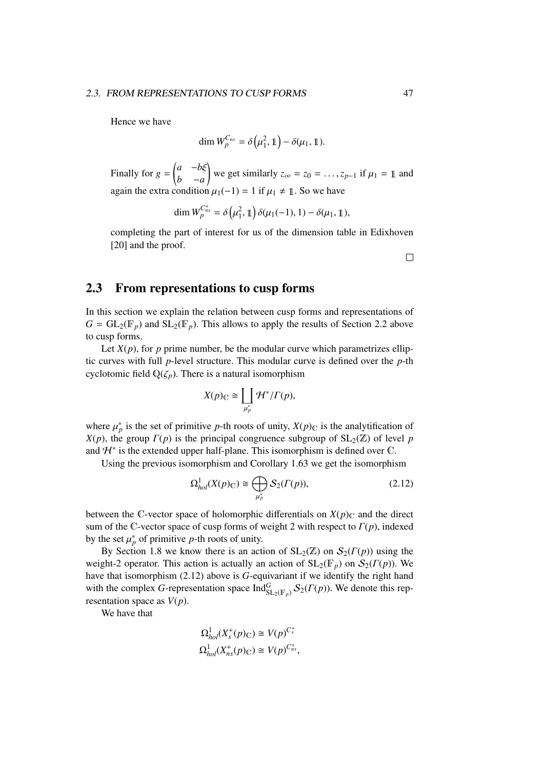Hence we have

$$
\dim W_{p}^{C_{ns}} = \delta\left(\mu_1^2, 1\right) - \delta(\mu_1, 1).
$$

Finally for  $g =$  *<sup>a</sup>* <sup>−</sup>*b*ξ *b* −*a* we get similarly  $z_{\infty} = z_0 = \dots, z_{p-1}$  if  $\mu_1 = 1$  and again the extra condition  $\mu_1(-1) = 1$  if  $\mu_1 \neq 1$ . So we have

$$
\dim W_{p}^{C_{ns}^{+}} = \delta \left( \mu_1^2, 1 \right) \delta(\mu_1(-1), 1) - \delta(\mu_1, 1),
$$

completing the part of interest for us of the dimension table in Edixhoven [20] and the proof.

 $\Box$ 

### 2.3 From representations to cusp forms

In this section we explain the relation between cusp forms and representations of  $G = GL_2(\mathbb{F}_p)$  and  $SL_2(\mathbb{F}_p)$ . This allows to apply the results of Section 2.2 above to cusp forms.

Let  $X(p)$ , for p prime number, be the modular curve which parametrizes elliptic curves with full *p*-level structure. This modular curve is defined over the *p*-th cyclotomic field  $\mathbb{Q}(\zeta_p)$ . There is a natural isomorphism

$$
X(p)_{\mathbb{C}} \cong \coprod_{\mu_p^*} \mathcal{H}^*/\Gamma(p),
$$

where  $\mu_p^*$  is the set of primitive *p*-th roots of unity,  $X(p)_C$  is the analytification of  $Y(p)_C$  is the principal congruence subgroup of  $S1_c(\mathbb{Z})$  of level *n X*(*p*), the group  $\Gamma(p)$  is the principal congruence subgroup of SL<sub>2</sub>( $\mathbb{Z}$ ) of level *p* and  $H^*$  is the extended upper half-plane. This isomorphism is defined over  $\mathbb C$ .

Using the previous isomorphism and Corollary 1.63 we get the isomorphism

$$
\Omega_{hol}^1(X(p)_{\mathbb{C}}) \cong \bigoplus_{\mu_p^*} \mathcal{S}_2(\Gamma(p)),\tag{2.12}
$$

between the C-vector space of holomorphic differentials on  $X(p)_C$  and the direct sum of the C-vector space of cusp forms of weight 2 with respect to Γ(*p*), indexed by the set  $\mu_p^*$  of primitive *p*-th roots of unity.<br>**By Section 1.8** we know there is an act

By Section 1.8 we know there is an action of  $SL_2(\mathbb{Z})$  on  $\mathcal{S}_2(\Gamma(p))$  using the weight-2 operator. This action is actually an action of  $SL_2(\mathbb{F}_p)$  on  $\mathcal{S}_2(\Gamma(p))$ . We have that isomorphism (2.12) above is *G*-equivariant if we identify the right hand with the complex *G*-representation space  $\text{Ind}_{\text{SL}_2(\mathbb{F}_p)}^G \mathcal{S}_2(\Gamma(p))$ . We denote this representation space as  $V(p)$ .

We have that

$$
\Omega_{hol}^1(X_s^+(p)_{\mathbb{C}}) \cong V(p)^{C_s^+}
$$
  

$$
\Omega_{hol}^1(X_{ns}^+(p)_{\mathbb{C}}) \cong V(p)^{C_{ns}^+},
$$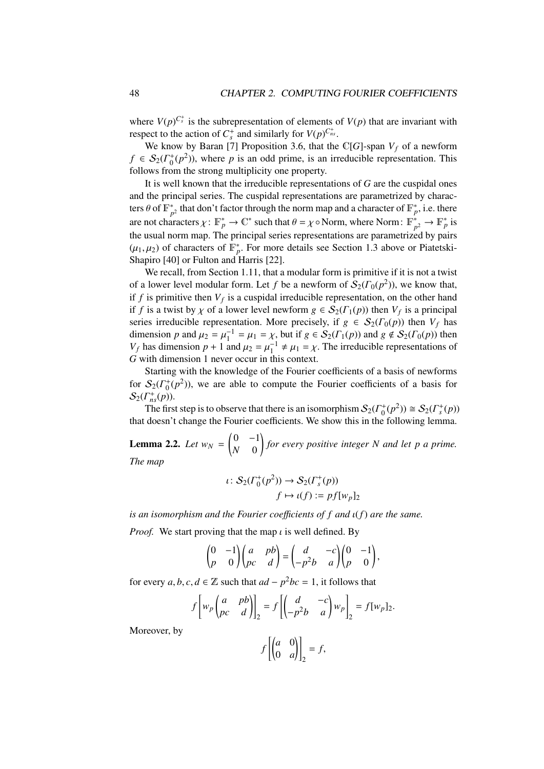where  $V(p)^{C_s^+}$  is the subrepresentation of elements of  $V(p)$  that are invariant with respect to the action of  $C_s^+$  and similarly for  $V(p)^{C_{ns}^+}$ .

We know by Baran [7] Proposition 3.6, that the  $\mathbb{C}[G]$ -span  $V_f$  of a newform  $f \in S_2(\Gamma_0^+(p^2))$ , where *p* is an odd prime, is an irreducible representation. This follows from the strong multiplicity one property.

It is well known that the irreducible representations of *G* are the cuspidal ones and the principal series. The cuspidal representations are parametrized by characters  $\theta$  of  $\mathbb{F}_{p}^{*}$  $_{p^2}^*$  that don't factor through the norm map and a character of  $\mathbb{F}_{p}^*$ , i.e. there are not characters  $\chi: \mathbb{F}_p^* \to \mathbb{C}^*$  such that  $\theta = \chi \circ \text{Norm}$ , where Norm:  $\mathbb{F}_p^*$ <br>the usual narm map. The principal exists representations are persymptotic  $\psi_p^* \to \mathbb{F}_p^*$  is the usual norm map. The principal series representations are parametrized by pairs  $(\mu_1, \mu_2)$  of characters of  $\mathbb{F}_p^*$ . For more details see Section 1.3 above or Piatetski-<br>Shapiro [40] or Fulton and Harris [22] Shapiro [40] or Fulton and Harris [22].

We recall, from Section 1.11, that a modular form is primitive if it is not a twist of a lower level modular form. Let *f* be a newform of  $S_2(\Gamma_0(p^2))$ , we know that, if  $f$  is primitive then  $V_f$  is a cuspidal irreducible representation, on the other hand if *f* is a twist by  $\chi$  of a lower level newform  $g \in S_2(\Gamma_1(p))$  then  $V_f$  is a principal<br>series irreducible representation. More precisely if  $g \in S_2(\Gamma_2(p))$  then  $V_f$  has series irreducible representation. More precisely, if  $g \in S_2(\Gamma_0(p))$  then  $V_f$  has dimension *p* and  $\mu_2 = \mu_1^{-1} = \mu_1 = \chi$ , but if  $g \in S_2(\Gamma_1(p))$  and  $g \notin S_2(\Gamma_0(p))$  then  $V_1$  has dimension  $p + 1$  and  $\mu_2 = \mu_1^{-1} \neq \mu_2 = \chi$ . The irreducible representations of *V<sub>f</sub>* has dimension *p* + 1 and  $\mu_2 = \mu_1^{-1} \neq \mu_1 = \chi$ . The irreducible representations of *G* with dimension 1 never occur in this context *G* with dimension 1 never occur in this context.

Starting with the knowledge of the Fourier coefficients of a basis of newforms for  $S_2(\Gamma_0^+(p^2))$ , we are able to compute the Fourier coefficients of a basis for  $S_2(\Gamma^+_{ns}(p)).$ 

The first step is to observe that there is an isomorphism  $S_2(\Gamma_0^+(p^2)) \cong S_2(\Gamma_s^+(p))$ that doesn't change the Fourier coefficients. We show this in the following lemma.

**Lemma 2.2.** *Let*  $w_N =$  $\begin{pmatrix} 0 & -1 \\ 0 & -1 \end{pmatrix}$ *N* 0 ! *for every positive integer N and let p a prime. The map*

$$
\iota \colon \mathcal{S}_2(\Gamma_0^+(p^2)) \to \mathcal{S}_2(\Gamma_s^+(p))
$$

$$
f \mapsto \iota(f) := pf[w_p]_2
$$

*is an isomorphism and the Fourier coe*ffi*cients of f and* ι(*f*) *are the same.*

*Proof.* We start proving that the map  $\iota$  is well defined. By

$$
\begin{pmatrix} 0 & -1 \\ p & 0 \end{pmatrix} \begin{pmatrix} a & pb \\ pc & d \end{pmatrix} = \begin{pmatrix} d & -c \\ -p^2b & a \end{pmatrix} \begin{pmatrix} 0 & -1 \\ p & 0 \end{pmatrix},
$$

for every *a*, *b*, *c*, *d* ∈  $\mathbb{Z}$  such that  $ad - p^2bc = 1$ , it follows that

$$
f\left[w_p\begin{pmatrix}a & pb\\pc & d\end{pmatrix}\right]_2 = f\left[\begin{pmatrix}d & -c\\ -p^2b & a\end{pmatrix}w_p\right]_2 = f[w_p]_2.
$$

Moreover, by

 $f\begin{bmatrix} a & 0 \\ 0 & a \end{bmatrix}$ 0 *a* \]  $= f,$ <sub>2</sub>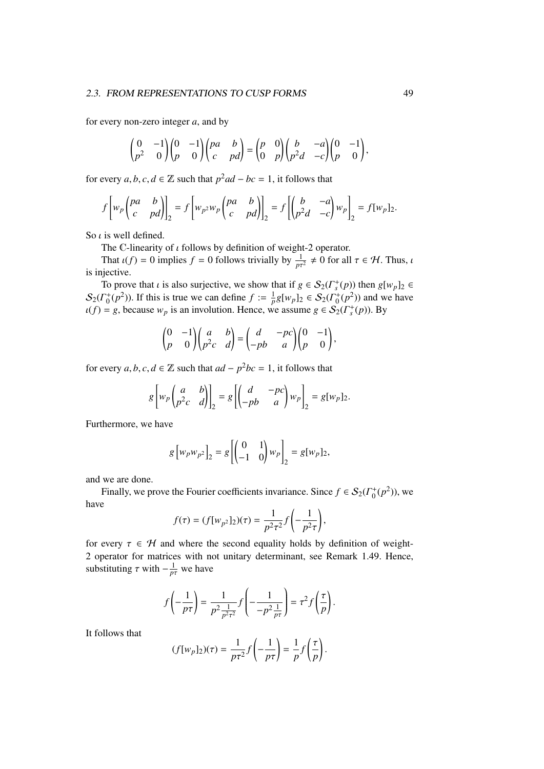### 2.3. FROM REPRESENTATIONS TO CUSP FORMS 49

for every non-zero integer *a*, and by

$$
\begin{pmatrix} 0 & -1 \ p^2 & 0 \end{pmatrix} \begin{pmatrix} 0 & -1 \ p & 0 \end{pmatrix} \begin{pmatrix} pa & b \ c & pd \end{pmatrix} = \begin{pmatrix} p & 0 \ 0 & p \end{pmatrix} \begin{pmatrix} b & -a \ p^2d & -c \end{pmatrix} \begin{pmatrix} 0 & -1 \ p & 0 \end{pmatrix},
$$

for every *a*, *b*, *c*, *d* ∈  $\mathbb{Z}$  such that  $p^2ad - bc = 1$ , it follows that

$$
f\left[w_p\begin{pmatrix}pa & b \\ c & pd\end{pmatrix}\right]_2 = f\left[w_p w_p\begin{pmatrix}pa & b \\ c & pd\end{pmatrix}\right]_2 = f\left[\begin{pmatrix}b & -a \\ p^2d & -c\end{pmatrix}w_p\right]_2 = f[w_p]_2.
$$

So  $\iota$  is well defined.

The C-linearity of  $\iota$  follows by definition of weight-2 operator.

That  $\iota(f) = 0$  implies  $f = 0$  follows trivially by  $\frac{1}{p\tau^2} \neq 0$  for all  $\tau \in \mathcal{H}$ . Thus,  $\iota$  inective is injective.

To prove that *i* is also surjective, we show that if  $g \in S_2(\Gamma_s^+(p))$  then  $g[w_p]_2 \in \Gamma^+(p^2)$ . If this is true we can define  $f := \frac{1}{2}g[w_p]_2 \in S_2(\Gamma^+(p^2))$  and we have  $S_2(\Gamma_0^+(p^2))$ . If this is true we can define  $f := \frac{1}{p} g[w_p]_2 \in S_2(\Gamma_0^+(p^2))$  and we have  $u(f) = g$ , because  $w_p$  is an involution. Hence, we assume  $g \in S_2(\Gamma_s^+(p))$ . By

$$
\begin{pmatrix} 0 & -1 \\ p & 0 \end{pmatrix} \begin{pmatrix} a & b \\ p^2c & d \end{pmatrix} = \begin{pmatrix} d & -pc \\ -pb & a \end{pmatrix} \begin{pmatrix} 0 & -1 \\ p & 0 \end{pmatrix},
$$

for every *a*, *b*, *c*, *d* ∈  $\mathbb{Z}$  such that  $ad - p^2bc = 1$ , it follows that

$$
g\left[w_p\begin{pmatrix}a&b\\p^2c&d\end{pmatrix}\right]_2=g\left[\begin{pmatrix}d&-pc\\-pb&a\end{pmatrix}w_p\right]_2=g[w_p]_2.
$$

Furthermore, we have

$$
g\left[w_p w_{p^2}\right]_2 = g\left[\begin{pmatrix} 0 & 1\\ -1 & 0 \end{pmatrix} w_p\right]_2 = g[w_p]_2,
$$

and we are done.

Finally, we prove the Fourier coefficients invariance. Since  $f \in S_2(\Gamma_0^+(p^2))$ , we have

$$
f(\tau) = (f[w_{p^2}]_2)(\tau) = \frac{1}{p^2 \tau^2} f\left(-\frac{1}{p^2 \tau}\right),
$$

for every  $\tau \in \mathcal{H}$  and where the second equality holds by definition of weight-<br>2 operator for matrices with not unitary determinant, see Pemark 1.49. Hence 2 operator for matrices with not unitary determinant, see Remark 1.49. Hence, substituting  $\tau$  with  $-\frac{1}{p\tau}$  we have

$$
f\left(-\frac{1}{p\tau}\right) = \frac{1}{p^2 \frac{1}{p^2 \tau^2}} f\left(-\frac{1}{-p^2 \frac{1}{p\tau}}\right) = \tau^2 f\left(\frac{\tau}{p}\right).
$$

It follows that

$$
(f[w_p]_2)(\tau) = \frac{1}{p\tau^2} f\left(-\frac{1}{p\tau}\right) = \frac{1}{p} f\left(\frac{\tau}{p}\right).
$$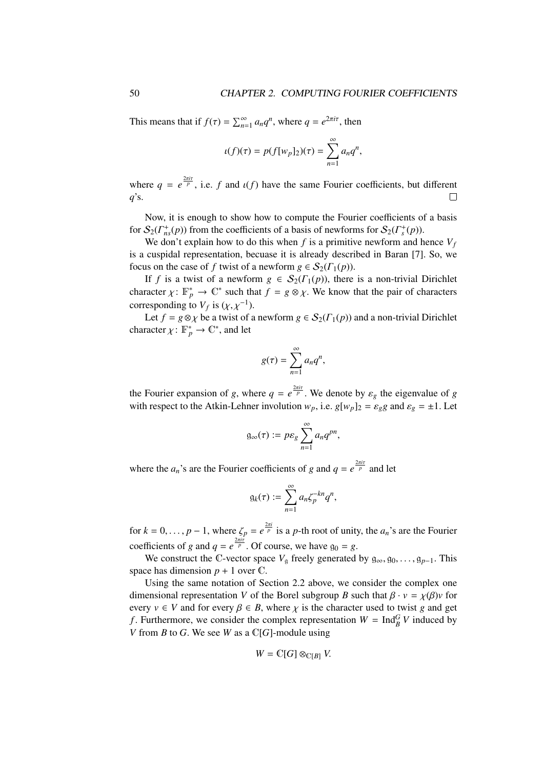This means that if  $f(\tau) = \sum_{n=1}^{\infty} a_n q^n$ , where  $q = e^{2\pi i \tau}$ , then

$$
\iota(f)(\tau) = p(f[w_p]_2)(\tau) = \sum_{n=1}^{\infty} a_n q^n,
$$

where  $q = e^{\frac{2\pi i \tau}{p}}$ , i.e. *f* and  $\iota(f)$  have the same Fourier coefficients, but different *q*'s.

Now, it is enough to show how to compute the Fourier coefficients of a basis for  $S_2(\Gamma^+_{ns}(p))$  from the coefficients of a basis of newforms for  $S_2(\Gamma^+_s(p))$ .

We don't explain how to do this when  $f$  is a primitive newform and hence  $V_f$ is a cuspidal representation, becuase it is already described in Baran [7]. So, we focus on the case of *f* twist of a newform  $g \in S_2(\Gamma_1(p))$ .

If *f* is a twist of a newform  $g \in S_2(\Gamma_1(p))$ , there is a non-trivial Dirichlet character  $\chi: \mathbb{F}_p^* \to \mathbb{C}^*$  such that  $f = g \otimes \chi$ . We know that the pair of characters corresponding to  $V_f$  is  $(\chi, \chi^{-1})$ .<br>Let  $f = g \otimes \chi$  be a twist of a

Let  $f = g \otimes \chi$  be a twist of a newform  $g \in S_2(\Gamma_1(p))$  and a non-trivial Dirichlet character  $\chi: \mathbb{F}_p^* \to \mathbb{C}^*$ , and let

$$
g(\tau)=\sum_{n=1}^{\infty}a_nq^n,
$$

the Fourier expansion of *g*, where  $q = e^{\frac{2\pi i \tau}{p}}$ . We denote by  $\varepsilon_g$  the eigenvalue of *g* with respect to the Atkin-Lehner involution w i.e.  $g(w)$   $h = g$  *g* and  $g = +1$ . Let with respect to the Atkin-Lehner involution  $w_p$ , i.e.  $g[w_p]_2 = \varepsilon_g g$  and  $\varepsilon_g = \pm 1$ . Let

$$
\mathfrak{g}_{\infty}(\tau) := p\varepsilon_g \sum_{n=1}^{\infty} a_n q^{pn},
$$

where the  $a_n$ 's are the Fourier coefficients of *g* and  $q = e^{\frac{2\pi i \tau}{p}}$  and let

$$
g_k(\tau) := \sum_{n=1}^{\infty} a_n \zeta_p^{-kn} q^n,
$$

for  $k = 0, \ldots, p - 1$ , where  $\zeta_p = e^{\frac{2\pi i}{p}}$  is a *p*-th root of unity, the  $a_n$ 's are the Fourier coefficients of *g* and  $q = e^{\frac{2\pi i \tau}{p}}$ . Of course, we have  $g_0 = g$ .

We construct the C-vector space  $V_q$  freely generated by  $g_{\infty}, g_0, \ldots, g_{p-1}$ . This space has dimension  $p + 1$  over  $\mathbb{C}$ .

Using the same notation of Section 2.2 above, we consider the complex one dimensional representation *V* of the Borel subgroup *B* such that  $\beta \cdot v = \chi(\beta)v$  for every  $v \in V$  and for every  $\beta \in B$ , where  $\chi$  is the character used to twist g and get *f*. Furthermore, we consider the complex representation  $W = \text{Ind}_{B}^{G} V$  induced by *V* from *B* to *G*. We see *W* as a C[*G*]-module using

$$
W=\mathbb{C}[G]\otimes_{\mathbb{C}[B]}V.
$$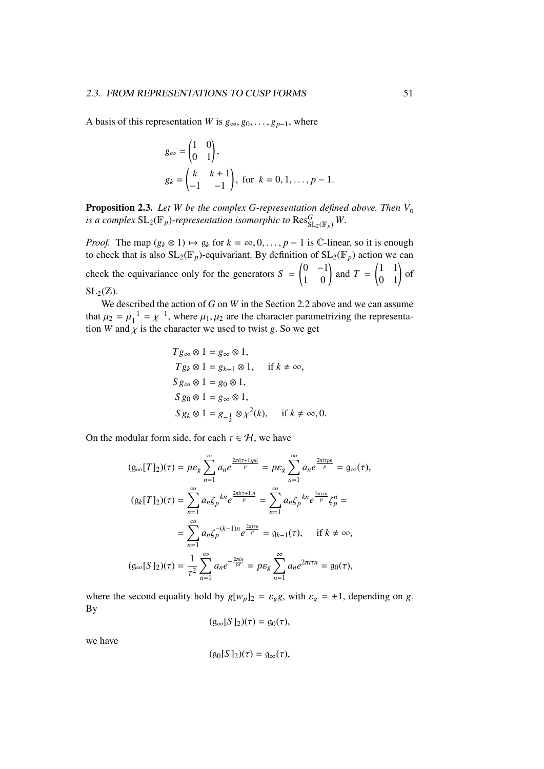A basis of this representation *W* is  $g_{\infty}, g_0, \ldots, g_{p-1}$ , where

$$
g_{\infty} = \begin{pmatrix} 1 & 0 \\ 0 & 1 \end{pmatrix},
$$
  
\n
$$
g_k = \begin{pmatrix} k & k+1 \\ -1 & -1 \end{pmatrix}, \text{ for } k = 0, 1, \dots, p-1.
$$

**Proposition 2.3.** Let W be the complex G-representation defined above. Then  $V<sub>q</sub>$ *is a complex*  $\mathrm{SL}_2(\mathbb{F}_p)$ -representation isomorphic to  $\mathrm{Res}^G_{\mathrm{SL}_2(\mathbb{F}_p)}W.$ 

*Proof.* The map  $(g_k \otimes 1) \mapsto g_k$  for  $k = \infty, 0, \ldots, p - 1$  is C-linear, so it is enough to check that is also  $SL_2(\mathbb{F}_p)$ -equivariant. By definition of  $SL_2(\mathbb{F}_p)$  action we can check the equivariance only for the generators  $S =$  $\begin{pmatrix} 0 & -1 \\ 1 & 0 \end{pmatrix}$  and *T* =  $\begin{pmatrix} 1 & 1 \\ 0 & 1 \end{pmatrix}$  of  $SL_2(\mathbb{Z})$ .

We described the action of *G* on *W* in the Section 2.2 above and we can assume that  $\mu_2 = \mu_1^{-1} = \chi^{-1}$ , where  $\mu_1, \mu_2$  are the character parametrizing the representation *W* and  $\chi$  is the character we used to twist *g*. So we get

$$
Tg_{\infty} \otimes 1 = g_{\infty} \otimes 1,
$$
  
\n
$$
Tg_k \otimes 1 = g_{k-1} \otimes 1, \quad \text{if } k \neq \infty,
$$
  
\n
$$
Sg_{\infty} \otimes 1 = g_0 \otimes 1,
$$
  
\n
$$
Sg_0 \otimes 1 = g_{\infty} \otimes 1,
$$
  
\n
$$
Sg_k \otimes 1 = g_{-\frac{1}{k}} \otimes \chi^2(k), \quad \text{if } k \neq \infty, 0.
$$

On the modular form side, for each  $\tau \in \mathcal{H}$ , we have

$$
(g_{\infty}[T]_2)(\tau) = p\varepsilon_g \sum_{n=1}^{\infty} a_n e^{\frac{2\pi i (\tau + 1)pn}{p}} = p\varepsilon_g \sum_{n=1}^{\infty} a_n e^{\frac{2\pi i \tau pn}{p}} = g_{\infty}(\tau),
$$
  

$$
(g_k[T]_2)(\tau) = \sum_{n=1}^{\infty} a_n \zeta_p^{-kn} e^{\frac{2\pi i (\tau + 1)n}{p}} = \sum_{n=1}^{\infty} a_n \zeta_p^{-kn} e^{\frac{2\pi i \tau n}{p}} \zeta_p^n =
$$
  

$$
= \sum_{n=1}^{\infty} a_n \zeta_p^{-(k-1)n} e^{\frac{2\pi i \tau n}{p}} = g_{k-1}(\tau), \quad \text{if } k \neq \infty,
$$
  

$$
(g_{\infty}[S]_2)(\tau) = \frac{1}{\tau^2} \sum_{n=1}^{\infty} a_n e^{-\frac{2\pi i n}{p\tau}} = p\varepsilon_g \sum_{n=1}^{\infty} a_n e^{2\pi i \tau n} = g_0(\tau),
$$

where the second equality hold by  $g[w_p]_2 = \varepsilon_g g$ , with  $\varepsilon_g = \pm 1$ , depending on *g*. By

$$
(g_{\infty}[S]_2)(\tau) = g_0(\tau),
$$

we have

$$
(g_0[S]_2)(\tau) = g_{\infty}(\tau),
$$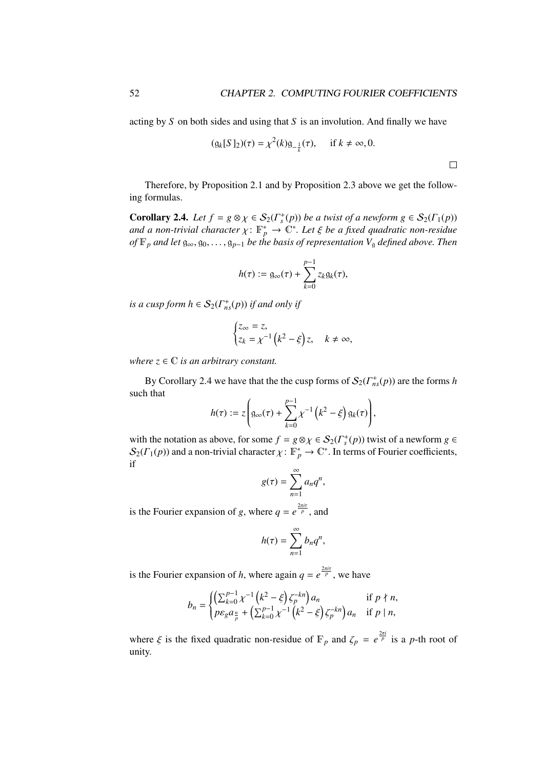$\Box$ 

acting by *S* on both sides and using that *S* is an involution. And finally we have

$$
(g_k[S]_2)(\tau) = \chi^2(k)g_{-\frac{1}{k}}(\tau), \quad \text{if } k \neq \infty, 0.
$$

Therefore, by Proposition 2.1 and by Proposition 2.3 above we get the following formulas.

**Corollary 2.4.** *Let*  $f = g \otimes \chi \in S_2(\Gamma_s^+(p))$  *be a twist of a newform*  $g \in S_2(\Gamma_1(p))$ <br>and a non-trivial character  $\chi: \mathbb{R}^* \to \mathbb{C}^*$ . Let  $\xi$  be a fixed quadratic non-residue *and a non-trivial character*  $\chi: \mathbb{F}_p^* \to \mathbb{C}^*$ . Let  $\xi$  be a fixed quadratic non-residue<br>of  $\mathbb{F}_p$  and let  $g \to g$   $\to g$  the the basis of representation V, defined above. Then *of*  $\mathbb{F}_p$  *and let*  $\mathfrak{g}_{\infty}, \mathfrak{g}_0, \ldots, \mathfrak{g}_{p-1}$  *be the basis of representation*  $V_{\mathfrak{g}}$  *defined above. Then* 

$$
h(\tau):= \mathfrak{g}_{\infty}(\tau)+\sum_{k=0}^{p-1}z_k\mathfrak{g}_k(\tau),
$$

*is a cusp form*  $h \in S_2(\Gamma^+_{ns}(p))$  *if and only if* 

$$
\begin{cases} z_{\infty} = z, \\ z_k = \chi^{-1} \left( k^2 - \xi \right) z, \quad k \neq \infty, \end{cases}
$$

*where*  $z \in \mathbb{C}$  *is an arbitrary constant.* 

By Corollary 2.4 we have that the the cusp forms of  $S_2(\Gamma^+_{ns}(p))$  are the forms *h* such that

$$
h(\tau) := z \left( \mathfrak{g}_{\infty}(\tau) + \sum_{k=0}^{p-1} \chi^{-1} \left( k^2 - \xi \right) \mathfrak{g}_k(\tau) \right),
$$

with the notation as above, for some  $f = g \otimes \chi \in S_2(\Gamma_s^+(p))$  twist of a newform  $g \in S_2(\Gamma_s(p))$  and a non-trivial character  $\chi: \mathbb{R}^* \to \mathbb{C}^*$ . In terms of Fourier coefficients  $\mathcal{S}_2(\Gamma_1(p))$  and a non-trivial character  $\chi: \mathbb{F}_p^* \to \mathbb{C}^*$ . In terms of Fourier coefficients, if

$$
g(\tau)=\sum_{n=1}^{\infty}a_nq^n,
$$

is the Fourier expansion of *g*, where  $q = e^{\frac{2\pi i \tau}{p}}$ , and

$$
h(\tau) = \sum_{n=1}^{\infty} b_n q^n,
$$

is the Fourier expansion of *h*, where again  $q = e^{\frac{2\pi i\tau}{p}}$ , we have

$$
b_n = \begin{cases} \left(\sum_{k=0}^{p-1} \chi^{-1}\left(k^2 - \xi\right) \zeta_p^{-kn}\right) a_n & \text{if } p \nmid n, \\ p \varepsilon_g a_{\frac{n}{p}} + \left(\sum_{k=0}^{p-1} \chi^{-1}\left(k^2 - \xi\right) \zeta_p^{-kn}\right) a_n & \text{if } p \mid n, \end{cases}
$$

where  $\xi$  is the fixed quadratic non-residue of  $\mathbb{F}_p$  and  $\zeta_p = e^{\frac{2\pi i}{p}}$  is a *p*-th root of unity.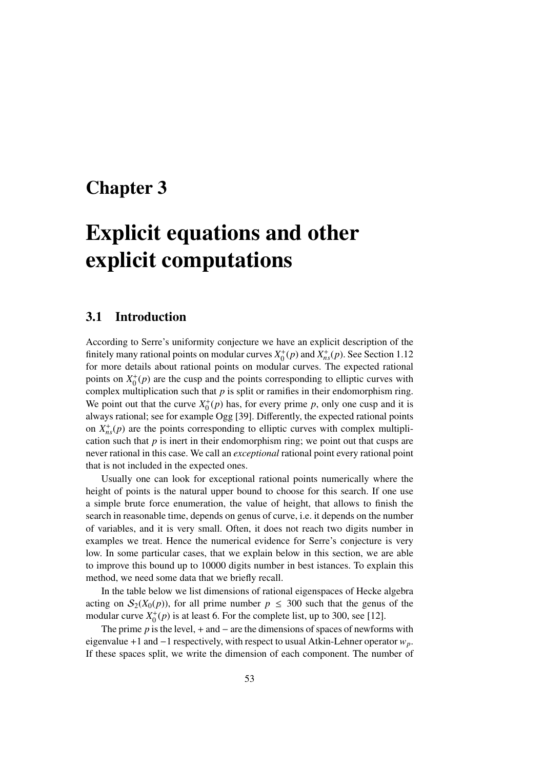# Chapter 3

# Explicit equations and other explicit computations

### 3.1 Introduction

According to Serre's uniformity conjecture we have an explicit description of the finitely many rational points on modular curves  $X_0^+(p)$  and  $X_{ns}^+(p)$ . See Section 1.12 for more details about rational points on modular curves. The expected rational points on  $X_0^+(p)$  are the cusp and the points corresponding to elliptic curves with complex multiplication such that *p* is split or ramifies in their endomorphism ring. We point out that the curve  $X_0^+(p)$  has, for every prime *p*, only one cusp and it is always rational; see for example Ogg [39]. Differently, the expected rational points on  $X_{ns}^{+}(p)$  are the points corresponding to elliptic curves with complex multiplication such that  $p$  is inert in their endomorphism ring; we point out that cusps are never rational in this case. We call an *exceptional* rational point every rational point that is not included in the expected ones.

Usually one can look for exceptional rational points numerically where the height of points is the natural upper bound to choose for this search. If one use a simple brute force enumeration, the value of height, that allows to finish the search in reasonable time, depends on genus of curve, i.e. it depends on the number of variables, and it is very small. Often, it does not reach two digits number in examples we treat. Hence the numerical evidence for Serre's conjecture is very low. In some particular cases, that we explain below in this section, we are able to improve this bound up to 10000 digits number in best istances. To explain this method, we need some data that we briefly recall.

In the table below we list dimensions of rational eigenspaces of Hecke algebra acting on  $S_2(X_0(p))$ , for all prime number  $p \leq 300$  such that the genus of the modular curve  $X_0^+(p)$  is at least 6. For the complete list, up to 300, see [12].

The prime  $p$  is the level, + and  $-$  are the dimensions of spaces of newforms with eigenvalue +1 and −1 respectively, with respect to usual Atkin-Lehner operator *wp*. If these spaces split, we write the dimension of each component. The number of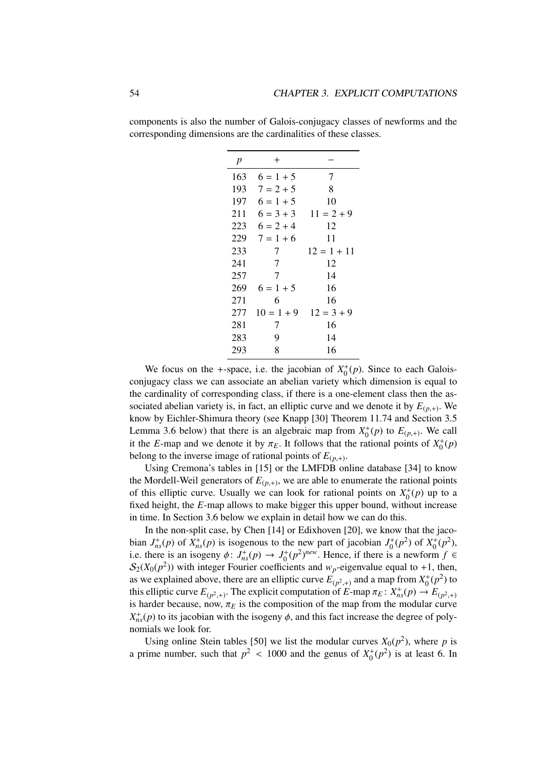| $\boldsymbol{p}$ | $^{+}$       |               |
|------------------|--------------|---------------|
| 163              | $6 = 1 + 5$  | 7             |
| 193              | $7 = 2 + 5$  | 8             |
| 197              | $6 = 1 + 5$  | 10            |
| 211              | $6 = 3 + 3$  | $11 = 2 + 9$  |
| 223              | $6 = 2 + 4$  | 12            |
| 229              | $7 = 1 + 6$  | 11            |
| 233              | 7            | $12 = 1 + 11$ |
| 241              | 7            | 12            |
| 257              | 7            | 14            |
| 269              | $6 = 1 + 5$  | 16            |
| 271              | 6            | 16            |
| 277              | $10 = 1 + 9$ | $12 = 3 + 9$  |
| 281              | 7            | 16            |
| 283              | 9            | 14            |
| 293              | 8            | 16            |

components is also the number of Galois-conjugacy classes of newforms and the corresponding dimensions are the cardinalities of these classes.

We focus on the +-space, i.e. the jacobian of  $X_0^+(p)$ . Since to each Galoisconjugacy class we can associate an abelian variety which dimension is equal to the cardinality of corresponding class, if there is a one-element class then the associated abelian variety is, in fact, an elliptic curve and we denote it by  $E_{(p,+)}$ . We<br>linear by Fighler Shimum theory (see Known [20] Theorem 11.74 and Section 2.5 know by Eichler-Shimura theory (see Knapp [30] Theorem 11.74 and Section 3.5 Lemma 3.6 below) that there is an algebraic map from  $X_0^+(p)$  to  $E_{(p,+)}$ . We call it the *E*-map and we denote it by  $\pi_E$ . It follows that the rational points of  $X_0^+(p)$ <br>belong to the inverse image of rational points of  $F_{\epsilon}$ . belong to the inverse image of rational points of  $E_{(p,+)}$ .<br>
Line Cromon's tables in [15] or the LMEDP or

Using Cremona's tables in [15] or the LMFDB online database [34] to know the Mordell-Weil generators of  $E_{(p,+)}$ , we are able to enumerate the rational points<br>of this elliptic gurus. Haughly we can look for rational points on  $Y^+(x)$  up to g of this elliptic curve. Usually we can look for rational points on  $X_0^+(p)$  up to a fixed height, the *E*-map allows to make bigger this upper bound, without increase in time. In Section 3.6 below we explain in detail how we can do this.

In the non-split case, by Chen [14] or Edixhoven [20], we know that the jacobian  $J_{ns}^+(p)$  of  $X_{ns}^+(p)$  is isogenous to the new part of jacobian  $J_0^+(p^2)$  of  $X_0^+(p^2)$ , i.e. there is an isogeny  $\phi: J_{ns}^+(p) \to J_0^+(p^2)^{new}$ . Hence, if there is a newform  $f \in S_0(Y_0(p^2))$  with integer Fourier coefficients and we eigenvalue equal to +1, then  $S_2(X_0(p^2))$  with integer Fourier coefficients and  $w_p$ -eigenvalue equal to +1, then, as we explained above, there are an elliptic curve  $E_{(p^2,+)}$  and a map from  $X_0^+(p^2)$  to<br>this elliptic curve  $F_{(p^2,+)}$ . The explicit computation of  $F_{(p^2,+)}$  and  $\pi_{(p^2,+)}$ .  $Y_0^+(p)$ this elliptic curve  $E_{(p^2,+)}$ . The explicit computation of *E*-map  $\pi_E : X_{ns}^+(p) \to E_{(p^2,+)}$ <br>is harder because, now  $\pi_D$  is the composition of the map from the modular curve is harder because, now,  $\pi_E$  is the composition of the map from the modular curve  $X_{ns}^{+}(p)$  to its jacobian with the isogeny  $\phi$ , and this fact increase the degree of poly-<br>nomials we look for nomials we look for.

Using online Stein tables [50] we list the modular curves  $X_0(p^2)$ , where p is a prime number, such that  $p^2 < 1000$  and the genus of  $X_0^+(p^2)$  is at least 6. In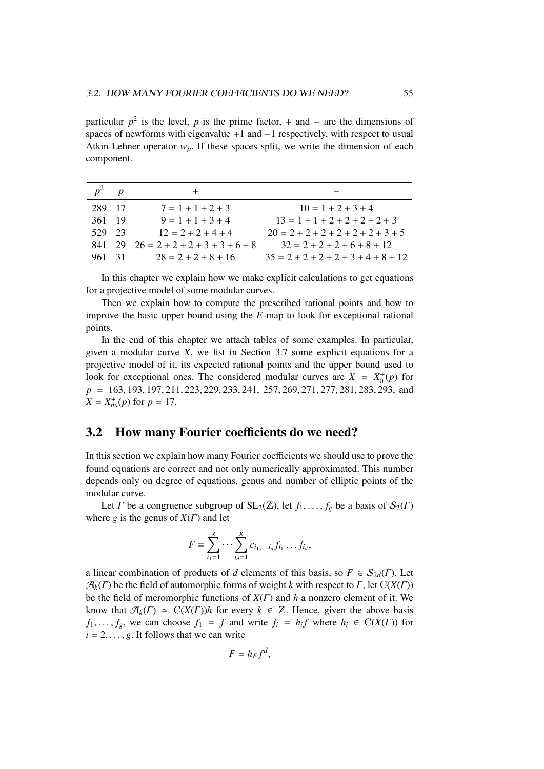particular  $p^2$  is the level, p is the prime factor, + and – are the dimensions of spaces of newforms with eigenvalue +1 and −1 respectively, with respect to usual Atkin-Lehner operator  $w_p$ . If these spaces split, we write the dimension of each component.

|        | $\boldsymbol{p}$ |                                                     |                                       |
|--------|------------------|-----------------------------------------------------|---------------------------------------|
| 289 17 |                  | $7 = 1 + 1 + 2 + 3$                                 | $10 = 1 + 2 + 3 + 4$                  |
| 361 19 |                  | $9 = 1 + 1 + 3 + 4$                                 | $13 = 1 + 1 + 2 + 2 + 2 + 2 + 3$      |
| 529    | 23               | $12 = 2 + 2 + 4 + 4$                                | $20 = 2 + 2 + 2 + 2 + 2 + 2 + 3 + 5$  |
|        |                  | $841 \quad 29 \quad 26 = 2 + 2 + 2 + 3 + 3 + 6 + 8$ | $32 = 2 + 2 + 2 + 6 + 8 + 12$         |
| 961    | $-31$            | $28 = 2 + 2 + 8 + 16$                               | $35 = 2 + 2 + 2 + 2 + 3 + 4 + 8 + 12$ |

In this chapter we explain how we make explicit calculations to get equations for a projective model of some modular curves.

Then we explain how to compute the prescribed rational points and how to improve the basic upper bound using the *E*-map to look for exceptional rational points.

In the end of this chapter we attach tables of some examples. In particular, given a modular curve *X*, we list in Section 3.7 some explicit equations for a projective model of it, its expected rational points and the upper bound used to look for exceptional ones. The considered modular curves are  $X = X_0^+(p)$  for *<sup>p</sup>* <sup>=</sup> <sup>163</sup>, <sup>193</sup>, <sup>197</sup>, <sup>211</sup>, <sup>223</sup>, <sup>229</sup>, <sup>233</sup>, 241, 257, <sup>269</sup>, <sup>271</sup>, <sup>277</sup>, <sup>281</sup>, <sup>283</sup>, 293, and  $X = X_{ns}^{+}(p)$  for  $p = 17$ .

### 3.2 How many Fourier coefficients do we need?

In this section we explain how many Fourier coefficients we should use to prove the found equations are correct and not only numerically approximated. This number depends only on degree of equations, genus and number of elliptic points of the modular curve.

Let *Γ* be a congruence subgroup of  $SL_2(\mathbb{Z})$ , let  $f_1, \ldots, f_g$  be a basis of  $\mathcal{S}_2(\Gamma)$ where *g* is the genus of  $X(\Gamma)$  and let

$$
F = \sum_{i_1=1}^g \cdots \sum_{i_d=1}^g c_{i_1,\dots,i_d} f_{i_1} \dots f_{i_d},
$$

a linear combination of products of *d* elements of this basis, so  $F \in S_{2d}(\Gamma)$ . Let  $\mathcal{A}_k(\Gamma)$  be the field of automorphic forms of weight *k* with respect to  $\Gamma$ , let  $\mathbb{C}(X(\Gamma))$ be the field of meromorphic functions of *X*(Γ) and *h* a nonzero element of it. We know that  $\mathcal{A}_k(\Gamma) \simeq \mathbb{C}(X(\Gamma))h$  for every  $k \in \mathbb{Z}$ . Hence, given the above basis *f*<sub>1</sub>, ..., *f<sub>g</sub>*, we can choose *f*<sub>1</sub> = *f* and write *f<sub>i</sub>* = *h<sub>i</sub>f* where *h<sub>i</sub>*  $\in$   $\mathbb{C}(X(\Gamma))$  for *i* – 2 *a*<sub>*i*</sub> If follows that we can write  $i = 2, \ldots, g$ . It follows that we can write

$$
F=h_Ff^d,
$$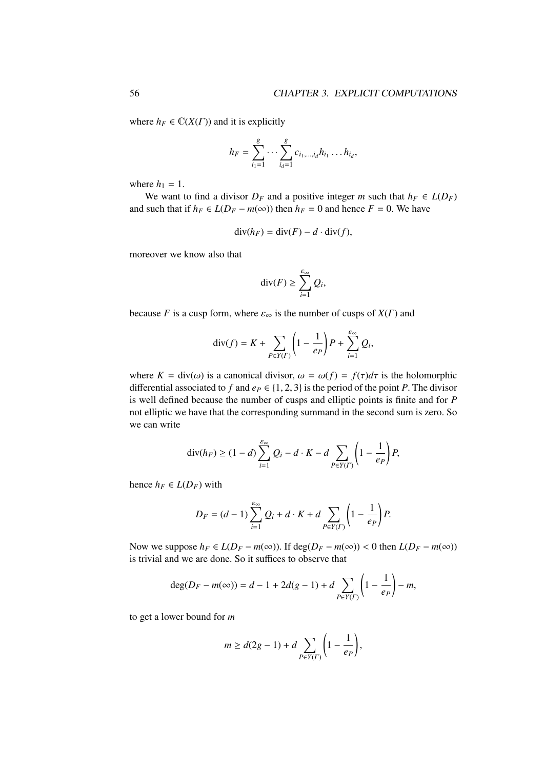where  $h_F \in \mathbb{C}(X(\Gamma))$  and it is explicitly

$$
h_F = \sum_{i_1=1}^g \cdots \sum_{i_d=1}^g c_{i_1,\dots,i_d} h_{i_1} \dots h_{i_d},
$$

where  $h_1 = 1$ .

We want to find a divisor  $D_F$  and a positive integer *m* such that  $h_F \in L(D_F)$ and such that if  $h_F \in L(D_F - m(\infty))$  then  $h_F = 0$  and hence  $F = 0$ . We have

$$
\operatorname{div}(h_F) = \operatorname{div}(F) - d \cdot \operatorname{div}(f),
$$

moreover we know also that

$$
\operatorname{div}(F) \ge \sum_{i=1}^{\varepsilon_{\infty}} Q_i,
$$

because *F* is a cusp form, where  $\varepsilon_{\infty}$  is the number of cusps of  $X(\Gamma)$  and

$$
\operatorname{div}(f) = K + \sum_{P \in Y(\Gamma)} \left( 1 - \frac{1}{e_P} \right) P + \sum_{i=1}^{e_{\infty}} Q_i,
$$

where  $K = \text{div}(\omega)$  is a canonical divisor,  $\omega = \omega(f) = f(\tau)d\tau$  is the holomorphic differential associated to *f* and  $e_P \in \{1, 2, 3\}$  is the period of the point *P*. The divisor is well defined because the number of cusps and elliptic points is finite and for *P* not elliptic we have that the corresponding summand in the second sum is zero. So we can write

$$
\operatorname{div}(h_F) \ge (1-d) \sum_{i=1}^{\varepsilon_{\infty}} Q_i - d \cdot K - d \sum_{P \in Y(\Gamma)} \left(1 - \frac{1}{e_P}\right) P,
$$

hence  $h_F \in L(D_F)$  with

$$
D_F = (d-1)\sum_{i=1}^{\varepsilon_{\infty}} Q_i + d \cdot K + d \sum_{P \in Y(\Gamma)} \left(1 - \frac{1}{e_P}\right) P.
$$

Now we suppose  $h_F \in L(D_F - m(\infty))$ . If deg( $D_F - m(\infty)$ ) < 0 then  $L(D_F - m(\infty))$ is trivial and we are done. So it suffices to observe that

$$
\deg(D_F - m(\infty)) = d - 1 + 2d(g - 1) + d \sum_{P \in Y(\Gamma)} \left(1 - \frac{1}{e_P}\right) - m,
$$

to get a lower bound for *m*

$$
m \ge d(2g-1) + d \sum_{P \in Y(\Gamma)} \left(1 - \frac{1}{e_P}\right),
$$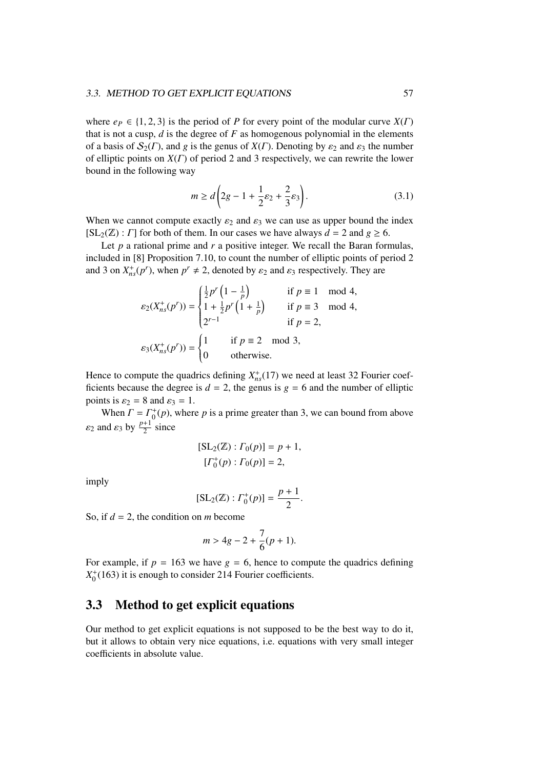### 3.3. METHOD TO GET EXPLICIT EQUATIONS 57

where  $e_P \in \{1, 2, 3\}$  is the period of *P* for every point of the modular curve  $X(\Gamma)$ that is not a cusp, *d* is the degree of *F* as homogenous polynomial in the elements of a basis of  $S_2(\Gamma)$ , and *g* is the genus of  $X(\Gamma)$ . Denoting by  $\varepsilon_2$  and  $\varepsilon_3$  the number of elliptic points on *X*(Γ) of period 2 and 3 respectively, we can rewrite the lower bound in the following way

$$
m \ge d\left(2g - 1 + \frac{1}{2}\varepsilon_2 + \frac{2}{3}\varepsilon_3\right).
$$
 (3.1)

When we cannot compute exactly  $\varepsilon_2$  and  $\varepsilon_3$  we can use as upper bound the index  $[SL_2(\mathbb{Z}) : \Gamma]$  for both of them. In our cases we have always  $d = 2$  and  $g \ge 6$ .

Let *p* a rational prime and *r* a positive integer. We recall the Baran formulas, included in [8] Proposition 7.10, to count the number of elliptic points of period 2 and 3 on  $X_{ns}^+(p^r)$ , when  $p^r \neq 2$ , denoted by  $\varepsilon_2$  and  $\varepsilon_3$  respectively. They are

$$
\varepsilon_2(X_{ns}^+(p')) = \begin{cases} \frac{1}{2}p'\left(1 - \frac{1}{p}\right) & \text{if } p \equiv 1 \mod 4, \\ 1 + \frac{1}{2}p'\left(1 + \frac{1}{p}\right) & \text{if } p \equiv 3 \mod 4, \\ 2^{r-1} & \text{if } p = 2, \end{cases}
$$
  

$$
\varepsilon_3(X_{ns}^+(p')) = \begin{cases} 1 & \text{if } p \equiv 2 \mod 3, \\ 0 & \text{otherwise.} \end{cases}
$$

Hence to compute the quadrics defining  $X_{ns}^{+}(17)$  we need at least 32 Fourier coefficients because the degree is  $d = 2$ , the genus is  $g = 6$  and the number of elliptic points is  $\varepsilon_2 = 8$  and  $\varepsilon_3 = 1$ .

When  $\Gamma = \Gamma_0^+(p)$ , where *p* is a prime greater than 3, we can bound from above  $\varepsilon_2$  and  $\varepsilon_3$  by  $\frac{p+1}{2}$  since

$$
[SL_2(\mathbb{Z}) : \Gamma_0(p)] = p + 1,
$$
  

$$
[\Gamma_0^+(p) : \Gamma_0(p)] = 2,
$$

imply

$$
[\text{SL}_2(\mathbb{Z}) : \Gamma_0^+(p)] = \frac{p+1}{2}.
$$

So, if *d* = 2, the condition on *m* become

$$
m > 4g - 2 + \frac{7}{6}(p+1).
$$

For example, if  $p = 163$  we have  $g = 6$ , hence to compute the quadrics defining  $X_0^+(163)$  it is enough to consider 214 Fourier coefficients.

## 3.3 Method to get explicit equations

Our method to get explicit equations is not supposed to be the best way to do it, but it allows to obtain very nice equations, i.e. equations with very small integer coefficients in absolute value.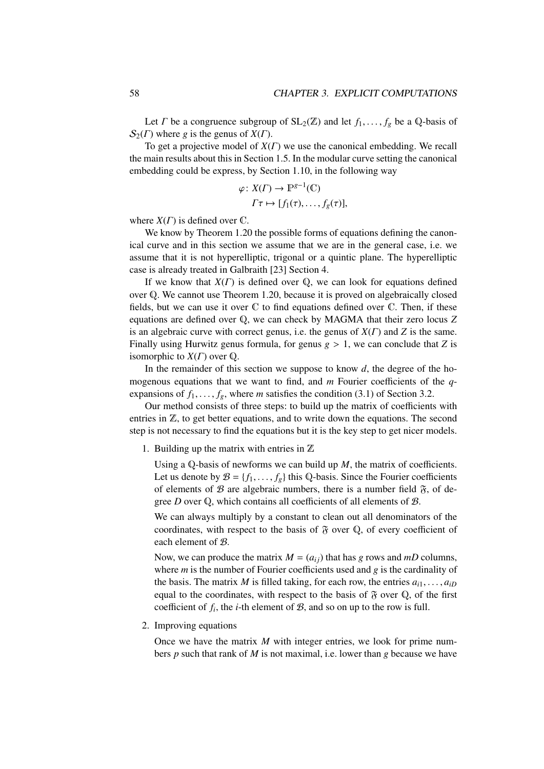Let *Γ* be a congruence subgroup of  $SL_2(\mathbb{Z})$  and let  $f_1, \ldots, f_g$  be a Q-basis of  $S_2(\Gamma)$  where *g* is the genus of  $X(\Gamma)$ .

To get a projective model of *X*(Γ) we use the canonical embedding. We recall the main results about this in Section 1.5. In the modular curve setting the canonical embedding could be express, by Section 1.10, in the following way

$$
\varphi \colon X(\Gamma) \to \mathbb{P}^{g-1}(\mathbb{C})
$$

$$
\Gamma \tau \mapsto [f_1(\tau), \dots, f_g(\tau)],
$$

where  $X(\Gamma)$  is defined over  $\mathbb{C}$ .

We know by Theorem 1.20 the possible forms of equations defining the canonical curve and in this section we assume that we are in the general case, i.e. we assume that it is not hyperelliptic, trigonal or a quintic plane. The hyperelliptic case is already treated in Galbraith [23] Section 4.

If we know that *X*(Γ) is defined over Q, we can look for equations defined over Q. We cannot use Theorem 1.20, because it is proved on algebraically closed fields, but we can use it over  $\mathbb C$  to find equations defined over  $\mathbb C$ . Then, if these equations are defined over Q, we can check by MAGMA that their zero locus *Z* is an algebraic curve with correct genus, i.e. the genus of *X*(Γ) and *Z* is the same. Finally using Hurwitz genus formula, for genus  $g > 1$ , we can conclude that *Z* is isomorphic to  $X(\Gamma)$  over  $\mathbb Q$ .

In the remainder of this section we suppose to know *d*, the degree of the homogenous equations that we want to find, and *m* Fourier coefficients of the *q*expansions of  $f_1, \ldots, f_g$ , where *m* satisfies the condition (3.1) of Section 3.2.

Our method consists of three steps: to build up the matrix of coefficients with entries in Z, to get better equations, and to write down the equations. The second step is not necessary to find the equations but it is the key step to get nicer models.

1. Building up the matrix with entries in  $\mathbb Z$ 

Using a Q-basis of newforms we can build up *M*, the matrix of coefficients. Let us denote by  $\mathcal{B} = \{f_1, \ldots, f_g\}$  this Q-basis. Since the Fourier coefficients of elements of  $\mathcal B$  are algebraic numbers, there is a number field  $\mathfrak F$ , of degree *D* over Q, which contains all coefficients of all elements of B.

We can always multiply by a constant to clean out all denominators of the coordinates, with respect to the basis of  $\mathfrak F$  over  $\mathbb Q$ , of every coefficient of each element of B.

Now, we can produce the matrix  $M = (a_{ij})$  that has *g* rows and *mD* columns, where *m* is the number of Fourier coefficients used and *g* is the cardinality of the basis. The matrix *M* is filled taking, for each row, the entries  $a_{i1}, \ldots, a_{iD}$ equal to the coordinates, with respect to the basis of  $\mathfrak F$  over  $\mathbb Q$ , of the first coefficient of  $f_i$ , the *i*-th element of  $B$ , and so on up to the row is full.

2. Improving equations

Once we have the matrix *M* with integer entries, we look for prime numbers *p* such that rank of *M* is not maximal, i.e. lower than *g* because we have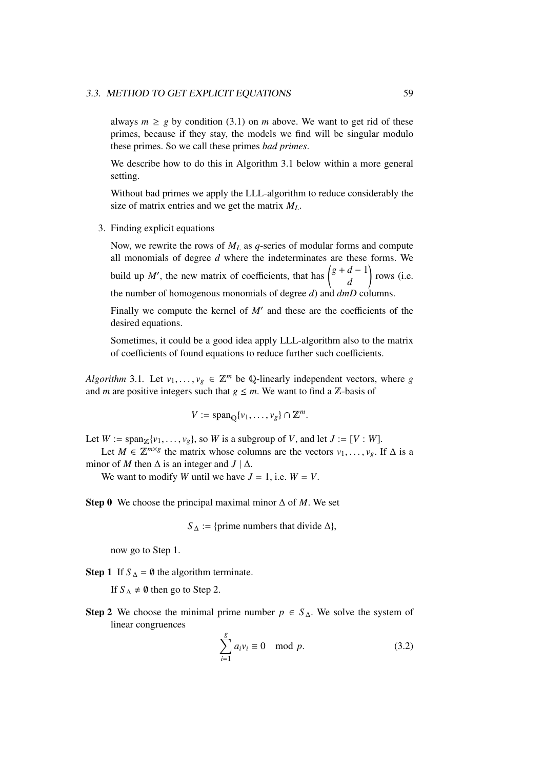### 3.3. METHOD TO GET EXPLICIT EQUATIONS 59

always  $m \geq g$  by condition (3.1) on *m* above. We want to get rid of these primes, because if they stay, the models we find will be singular modulo these primes. So we call these primes *bad primes*.

We describe how to do this in Algorithm 3.1 below within a more general setting.

Without bad primes we apply the LLL-algorithm to reduce considerably the size of matrix entries and we get the matrix *ML*.

3. Finding explicit equations

Now, we rewrite the rows of *M<sup>L</sup>* as *q*-series of modular forms and compute all monomials of degree *d* where the indeterminates are these forms. We build up *M'*, the new matrix of coefficients, that has  $\begin{pmatrix} g+d-1 \\ g \end{pmatrix}$ *d* ! rows (i.e. the number of homogenous monomials of degree *d*) and *dmD* columns.

Finally we compute the kernel of  $M'$  and these are the coefficients of the desired equations.

Sometimes, it could be a good idea apply LLL-algorithm also to the matrix of coefficients of found equations to reduce further such coefficients.

*Algorithm* 3.1. Let  $v_1, \ldots, v_g \in \mathbb{Z}^m$  be Q-linearly independent vectors, where *g* and *m* are positive integers such that  $g \leq m$ . We want to find a Z-basis of

$$
V := \mathrm{span}_{\mathbb{Q}}\{v_1, \ldots, v_g\} \cap \mathbb{Z}^m.
$$

Let  $W := \text{span}_{\mathbb{Z}}\{v_1, \ldots, v_g\}$ , so  $W$  is a subgroup of  $V$ , and let  $J := [V : W]$ .

Let *M* ∈  $\mathbb{Z}^{m \times g}$  the matrix whose columns are the vectors  $v_1, \ldots, v_g$ . If  $\Delta$  is a or of *M* then  $\Delta$  is an integer and  $I \perp \Delta$ minor of *M* then  $\Delta$  is an integer and  $J | \Delta$ .

We want to modify *W* until we have  $J = 1$ , i.e.  $W = V$ .

Step 0 We choose the principal maximal minor ∆ of *M*. We set

 $S_\Delta$  := {prime numbers that divide  $\Delta$ },

now go to Step 1.

**Step 1** If  $S_\Delta = \emptyset$  the algorithm terminate.

If  $S_\Delta \neq \emptyset$  then go to Step 2.

Step 2 We choose the minimal prime number  $p \text{ ∈ } S_\Delta$ . We solve the system of linear congruences

$$
\sum_{i=1}^{g} a_i v_i \equiv 0 \mod p. \tag{3.2}
$$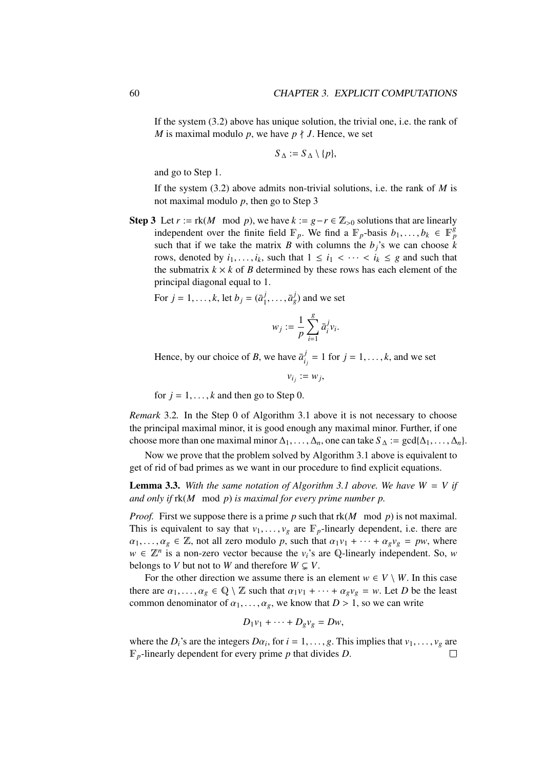If the system (3.2) above has unique solution, the trivial one, i.e. the rank of *M* is maximal modulo *p*, we have  $p \nmid J$ . Hence, we set

$$
S_{\Delta} := S_{\Delta} \setminus \{p\},\
$$

and go to Step 1.

If the system (3.2) above admits non-trivial solutions, i.e. the rank of *M* is not maximal modulo *p*, then go to Step 3

Step 3 Let  $r := \text{rk}(M \mod p)$ , we have  $k := g - r \in \mathbb{Z}_{\geq 0}$  solutions that are linearly independent over the finite field  $\mathbb{F}_p$ . We find a  $\mathbb{F}_p$ -basis  $b_1, \ldots, b_k \in \mathbb{F}_p^g$ <br>such that if we take the matrix *B* with columns the *b*,'s we can choose *b* such that if we take the matrix *B* with columns the  $b_j$ 's we can choose *k* rows, denoted by  $i_1, \ldots, i_k$ , such that  $1 \leq i_1 < \cdots < i_k \leq g$  and such that the submatrix  $k \times k$  of *B* determined by these rows has each element of the principal diagonal equal to 1.

For  $j = 1, ..., k$ , let  $b_j = (\bar{a}_1^j)$  $(\overline{a}_1^j, \ldots, \overline{a}_g^j)$  and we set

$$
w_j := \frac{1}{p}\sum_{i=1}^g \bar{a}_i^j v_i.
$$

Hence, by our choice of *B*, we have  $\bar{a}^j_i$  $i_j^j = 1$  for  $j = 1, ..., k$ , and we set

 $v_{i_j} := w_j$ 

for  $j = 1, \ldots, k$  and then go to Step 0.

*Remark* 3.2*.* In the Step 0 of Algorithm 3.1 above it is not necessary to choose the principal maximal minor, it is good enough any maximal minor. Further, if one choose more than one maximal minor  $\Delta_1, \ldots, \Delta_n$ , one can take  $S_\Delta := \gcd{\{\Delta_1, \ldots, \Delta_n\}}$ .

Now we prove that the problem solved by Algorithm 3.1 above is equivalent to get of rid of bad primes as we want in our procedure to find explicit equations.

**Lemma 3.3.** With the same notation of Algorithm 3.1 above. We have  $W = V$  if *and only if* rk(*M* mod *p*) *is maximal for every prime number p.*

*Proof.* First we suppose there is a prime *p* such that rk(*M* mod *p*) is not maximal. This is equivalent to say that  $v_1, \ldots, v_g$  are  $\mathbb{F}_p$ -linearly dependent, i.e. there are  $\alpha_1, \ldots, \alpha_g \in \mathbb{Z}$ , not all zero modulo p, such that  $\alpha_1v_1 + \cdots + \alpha_gv_g = pw$ , where  $w \in \mathbb{Z}^n$  is a non-zero vector because the *v*<sub>*i*</sub>'s are Q-linearly independent. So, *w* belongs to *V* but not to *W* and therefore  $W \subseteq V$ .

For the other direction we assume there is an element  $w \in V \setminus W$ . In this case there are  $\alpha_1, \ldots, \alpha_g \in \mathbb{Q} \setminus \mathbb{Z}$  such that  $\alpha_1v_1 + \cdots + \alpha_gv_g = w$ . Let *D* be the least common denominator of  $\alpha_1, \ldots, \alpha_g$ , we know that  $D > 1$ , so we can write

$$
D_1v_1+\cdots+D_gv_g=Dw,
$$

where the *D*<sup>*i*</sup>'s are the integers *D* $\alpha$ <sup>*i*</sup>, for  $i = 1, \ldots, g$ . This implies that  $v_1, \ldots, v_g$  are  $\mathbb{F}$  linearly dependent for every prime *n* that divides *D* F*p*-linearly dependent for every prime *p* that divides *D*.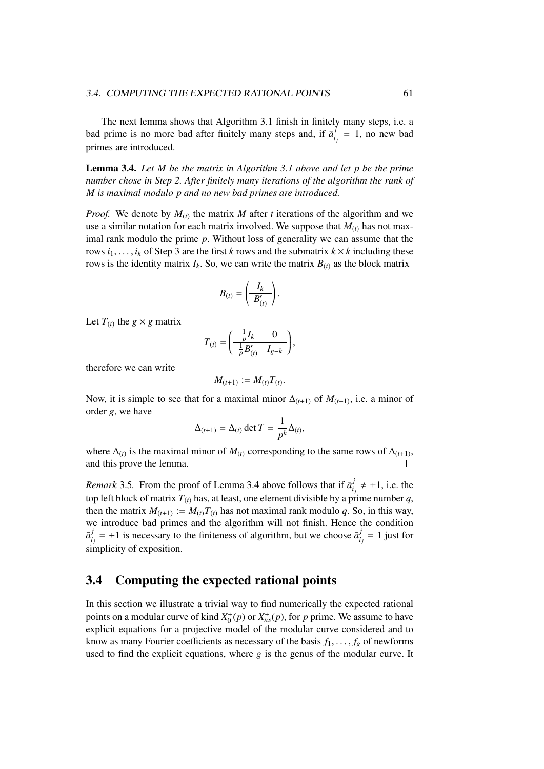The next lemma shows that Algorithm 3.1 finish in finitely many steps, i.e. a bad prime is no more bad after finitely many steps and, if  $\bar{a}^j_i$  $\frac{f}{i_j} = 1$ , no new bad primes are introduced.

Lemma 3.4. *Let M be the matrix in Algorithm 3.1 above and let p be the prime number chose in Step 2. After finitely many iterations of the algorithm the rank of M is maximal modulo p and no new bad primes are introduced.*

*Proof.* We denote by  $M_{(t)}$  the matrix *M* after *t* iterations of the algorithm and we use a similar notation for each matrix involved. We suppose that  $M_{(t)}$  has not maximal rank modulo the prime *p*. Without loss of generality we can assume that the rows  $i_1, \ldots, i_k$  of Step 3 are the first *k* rows and the submatrix  $k \times k$  including these rows is the identity matrix  $I_k$ . So, we can write the matrix  $B_{(t)}$  as the block matrix

$$
B_{(t)}=\left(\frac{I_k}{B'_{(t)}}\right).
$$

Let  $T_{(t)}$  the  $g \times g$  matrix

$$
T_{(t)} = \left(\begin{array}{c|c} \frac{1}{p}I_k & 0 \\ \frac{1}{p}B'_{(t)} & I_{g-k} \end{array}\right),\,
$$

therefore we can write

$$
M_{(t+1)}:=M_{(t)}T_{(t)}
$$

Now, it is simple to see that for a maximal minor  $\Delta_{(t+1)}$  of  $M_{(t+1)}$ , i.e. a minor of order *g*, we have

$$
\Delta_{(t+1)} = \Delta_{(t)} \det T = \frac{1}{p^k} \Delta_{(t)},
$$

where  $\Delta(t)$  is the maximal minor of  $M(t)$  corresponding to the same rows of  $\Delta(t+1)$ , and this prove the lemma.

*Remark* 3.5. From the proof of Lemma 3.4 above follows that if  $\bar{a}^j_i$  $j_i$   $\neq \pm 1$ , i.e. the top left block of matrix  $T_{(t)}$  has, at least, one element divisible by a prime number q, then the matrix  $M_{(t+1)} := M_{(t)}T_{(t)}$  has not maximal rank modulo *q*. So, in this way, we introduce bad primes and the algorithm will not finish. Hence the condition  $\bar{a}_i^j$  $i_j$  =  $\pm 1$  is necessary to the finiteness of algorithm, but we choose  $\bar{a}_i^j$  $i_j$ <sup>*j*</sup> = 1 just for simplicity of exposition.

## 3.4 Computing the expected rational points

In this section we illustrate a trivial way to find numerically the expected rational points on a modular curve of kind  $X_0^+(p)$  or  $X_{ns}^+(p)$ , for *p* prime. We assume to have explicit equations for a projective model of the modular curve considered and to know as many Fourier coefficients as necessary of the basis  $f_1, \ldots, f_g$  of newforms used to find the explicit equations, where *g* is the genus of the modular curve. It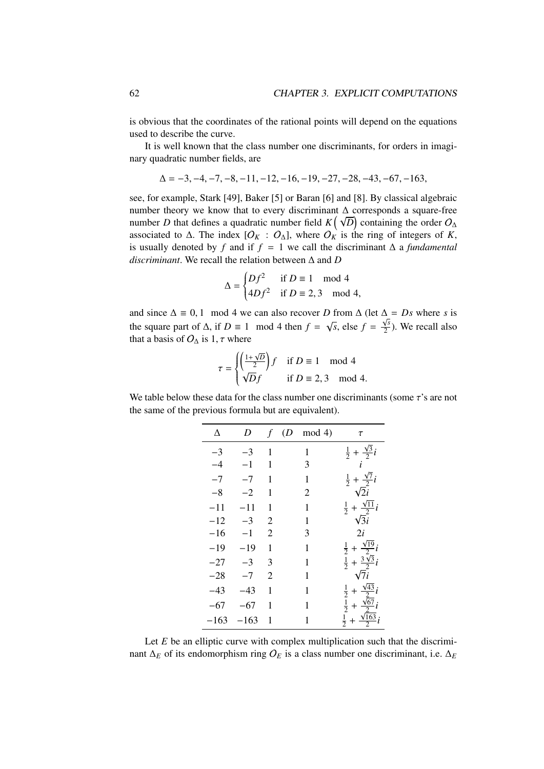is obvious that the coordinates of the rational points will depend on the equations used to describe the curve.

It is well known that the class number one discriminants, for orders in imaginary quadratic number fields, are

$$
\Delta = -3, -4, -7, -8, -11, -12, -16, -19, -27, -28, -43, -67, -163,
$$

see, for example, Stark [49], Baker [5] or Baran [6] and [8]. By classical algebraic number theory we know that to every discriminant  $\Delta$  corresponds a square-free number theory we know that to every discriminant  $\Delta$  corresponds a square-free<br>number *D* that defines a quadratic number field  $K(\sqrt{D})$  containing the order  $O_{\Delta}$ associated to  $\Delta$ . The index  $[O_K : O_{\Delta}]$ , where  $O_K$  is the ring of integers of K, is usually denoted by *f* and if  $f = 1$  we call the discriminant  $\Delta$  a *fundamental discriminant*. We recall the relation between ∆ and *D*

$$
\Delta = \begin{cases} Df^2 & \text{if } D \equiv 1 \mod 4 \\ 4Df^2 & \text{if } D \equiv 2,3 \mod 4, \end{cases}
$$

and since  $\Delta \equiv 0, 1 \mod 4$  we can also recover *D* from  $\Delta$  (let  $\Delta = Ds$  where *s* is<br>the same part of  $\Delta$  if  $D = 1 \mod 4$  then  $f = \sqrt{5}$  also  $f = \sqrt{s}$ ). We recall also the square part of  $\Delta$ , if  $D \equiv 1 \mod 4$  then  $f = \sqrt{ }$  $\overline{s}$ , else  $f = \frac{\sqrt{s}}{2}$  $\frac{\sqrt{3}}{2}$ ). We recall also that a basis of  $O_{\Delta}$  is 1,  $\tau$  where

$$
\tau = \begin{cases} \left(\frac{1+\sqrt{D}}{2}\right)f & \text{if } D \equiv 1 \mod 4\\ \sqrt{D}f & \text{if } D \equiv 2,3 \mod 4. \end{cases}
$$

We table below these data for the class number one discriminants (some  $\tau$ 's are not the same of the previous formula but are equivalent).

| Δ     | D      |                | $f(D \mod 4)$ | $\tau$                                                                   |
|-------|--------|----------------|---------------|--------------------------------------------------------------------------|
| $-3$  | $-3$   | $\overline{1}$ | 1             | $rac{1}{2} + \frac{\sqrt{3}}{2}i$                                        |
| $-4$  | $-1$   | 1              | 3             | $\vec{i}$                                                                |
| $-7$  | $-7$   | 1              | $\mathbf{1}$  | $rac{1}{2} + \frac{\sqrt{7}}{2}i$                                        |
| $-8$  | $-2$   | 1              | 2             | $\sqrt{2}i$                                                              |
| $-11$ | $-11$  | 1              | 1             | $rac{1}{2} + \frac{\sqrt{11}}{2}i$                                       |
| $-12$ | $-3$   | $\overline{2}$ | $\mathbf{1}$  | $\sqrt{3}i$                                                              |
| $-16$ | $-1$   | $\overline{2}$ | 3             | 2i                                                                       |
| $-19$ | $-19$  | 1              | $\mathbf{1}$  | $rac{1}{2} + \frac{\sqrt{19}}{2}i$                                       |
| $-27$ | $-3$   | 3              | 1             | $rac{1}{2} + \frac{3\sqrt{3}}{2}i$                                       |
| $-28$ | $-7$   | $\overline{2}$ | 1             | $\sqrt{7}i$                                                              |
| $-43$ | $-43$  | 1              | 1             | $rac{1}{2} + \frac{\sqrt{43}}{2}i$<br>$rac{1}{2} + \frac{\sqrt{67}}{2}i$ |
| $-67$ | $-67$  | 1              | 1             |                                                                          |
| -163  | $-163$ | 1              | $\mathbf{1}$  | $rac{1}{2} + \frac{\sqrt{163}}{2}i$                                      |

Let *E* be an elliptic curve with complex multiplication such that the discriminant  $\Delta_E$  of its endomorphism ring  $O_E$  is a class number one discriminant, i.e.  $\Delta_E$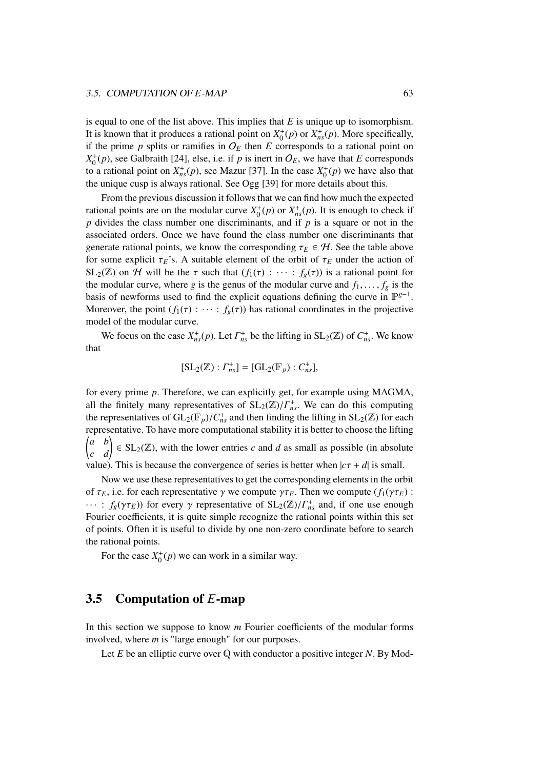is equal to one of the list above. This implies that *E* is unique up to isomorphism. It is known that it produces a rational point on  $X_0^+(p)$  or  $X_{ns}^+(p)$ . More specifically, if the prime  $p$  splits or ramifies in  $O_E$  then  $E$  corresponds to a rational point on  $X_0^+(p)$ , see Galbraith [24], else, i.e. if *p* is inert in  $O_E$ , we have that *E* corresponds to a rational point on  $X_{ns}^+(p)$ , see Mazur [37]. In the case  $X_0^+(p)$  we have also that the unique cusp is always rational. See Ogg [39] for more details about this.

From the previous discussion it follows that we can find how much the expected rational points are on the modular curve  $X_0^+(p)$  or  $X_{ns}^+(p)$ . It is enough to check if *p* divides the class number one discriminants, and if *p* is a square or not in the associated orders. Once we have found the class number one discriminants that generate rational points, we know the corresponding  $\tau_E \in \mathcal{H}$ . See the table above for some explicit  $\tau_E$ 's. A suitable element of the orbit of  $\tau_E$  under the action of  $SL_2(\mathbb{Z})$  on H will be the  $\tau$  such that  $(f_1(\tau) : \cdots : f_g(\tau))$  is a rational point for the modular curve, where *g* is the genus of the modular curve and  $f_1, \ldots, f_g$  is the basis of newforms used to find the explicit equations defining the curve in  $\mathbb{P}^{g-1}$ . Moreover, the point  $(f_1(\tau) : \cdots : f_g(\tau))$  has rational coordinates in the projective model of the modular curve.

We focus on the case  $X_{ns}^+(p)$ . Let  $\Gamma_{ns}^+$  be the lifting in  $SL_2(\mathbb{Z})$  of  $C_{ns}^+$ . We know that

$$
[SL_2(\mathbb{Z}) : \Gamma_{ns}^+] = [GL_2(\mathbb{F}_p) : C_{ns}^+],
$$

for every prime *p*. Therefore, we can explicitly get, for example using MAGMA, all the finitely many representatives of  $SL_2(\mathbb{Z})/\Gamma_{ns}^+$ . We can do this computing<br>the representatives of  $GL_2(\mathbb{F})/\Gamma_{ns}^+$  and then finding the lifting in SL  $_2(\mathbb{Z})$  for each the representatives of  $GL_2(\mathbb{F}_p)/C_{ns}^+$  and then finding the lifting in  $SL_2(\mathbb{Z})$  for each representative. To have more computational stability it is better to choose the lifting representative. To have more computational stability it is better to choose the lifting  $\begin{pmatrix} a & b \\ c & d \end{pmatrix} \in SL_2(\mathbb{Z})$ , with the lower entries *c* and *d* as small as possible (in absolute value). This is because the convergence of series is better when  $|c\tau + d|$  is small.

Now we use these representatives to get the corresponding elements in the orbit of  $\tau_E$ , i.e. for each representative  $\gamma$  we compute  $\gamma \tau_E$ . Then we compute ( $f_1(\gamma \tau_E)$ ):  $\cdots$ : *f<sub>g</sub>*(γ $\tau_E$ )) for every γ representative of  $SL_2(\mathbb{Z})/\Gamma_{ns}^+$  and, if one use enough Equrier coefficients it is quite simple recognize the rational points within this set Fourier coefficients, it is quite simple recognize the rational points within this set of points. Often it is useful to divide by one non-zero coordinate before to search the rational points.

For the case  $X_0^+(p)$  we can work in a similar way.

### 3.5 Computation of *E*-map

In this section we suppose to know *m* Fourier coefficients of the modular forms involved, where *m* is "large enough" for our purposes.

Let *E* be an elliptic curve over Q with conductor a positive integer *N*. By Mod-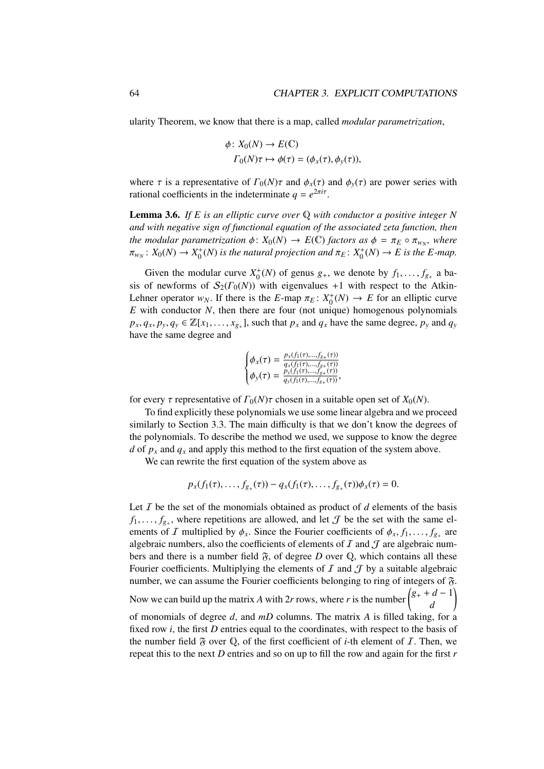ularity Theorem, we know that there is a map, called *modular parametrization*,

$$
\phi \colon X_0(N) \to E(\mathbb{C})
$$
  

$$
\Gamma_0(N)\tau \mapsto \phi(\tau) = (\phi_x(\tau), \phi_y(\tau)),
$$

where  $\tau$  is a representative of  $\Gamma_0(N)\tau$  and  $\phi_x(\tau)$  and  $\phi_y(\tau)$  are power series with rational coefficients in the indeterminate  $q = e^{2\pi i \tau}$ .

Lemma 3.6. *If E is an elliptic curve over* Q *with conductor a positive integer N and with negative sign of functional equation of the associated zeta function, then the modular parametrization*  $\phi: X_0(N) \to E(\mathbb{C})$  *factors as*  $\phi = \pi_E \circ \pi_{w_N}$ , where  $\pi: X_0(N) \to Y^+(N)$  is the natural projection and  $\pi: Y^+(N) \to E$  is the E-man  $\pi_{w_N}: X_0(N) \to X_0^+(N)$  is the natural projection and  $\pi_E: X_0^+(N) \to E$  is the E-map.

Given the modular curve  $X_0^+(N)$  of genus  $g_+$ , we denote by  $f_1, \ldots, f_{g_+}$  a ba-<br>of newforms of  $S_0(F_0(N))$  with eigenvalues  $+1$  with respect to the Atkinsis of newforms of  $S_2(\Gamma_0(N))$  with eigenvalues +1 with respect to the Atkin-Lehner operator  $w_N$ . If there is the *E*-map  $\pi_E: X_0^+(N) \to E$  for an elliptic curve *E* with conductor *N* then there are four (not unique) homogenous polynomials *E* with conductor *N*, then there are four (not unique) homogenous polynomials  $p_x, q_x, p_y, q_y \in \mathbb{Z}[x_1, \ldots, x_{g+}]$ , such that  $p_x$  and  $q_x$  have the same degree,  $p_y$  and  $q_y$ have the same degree and

$$
\begin{cases} \phi_x(\tau) = \frac{p_x(f_1(\tau),...,f_{g_+}(\tau))}{q_x(f_1(\tau),...,f_{g_+}(\tau))} \\ \phi_y(\tau) = \frac{p_y(f_1(\tau),...,f_{g_+}(\tau))}{q_y(f_1(\tau),...,f_{g_+}(\tau))}, \end{cases}
$$

for every  $\tau$  representative of  $\Gamma_0(N)\tau$  chosen in a suitable open set of  $X_0(N)$ .

To find explicitly these polynomials we use some linear algebra and we proceed similarly to Section 3.3. The main difficulty is that we don't know the degrees of the polynomials. To describe the method we used, we suppose to know the degree *d* of  $p_x$  and  $q_x$  and apply this method to the first equation of the system above.

We can rewrite the first equation of the system above as

$$
p_x(f_1(\tau),...,f_{g_+}(\tau)) - q_x(f_1(\tau),...,f_{g_+}(\tau))\phi_x(\tau) = 0.
$$

Let  $I$  be the set of the monomials obtained as product of  $d$  elements of the basis  $f_1, \ldots, f_{g_+}$ , where repetitions are allowed, and let  $\mathcal J$  be the set with the same el-<br>prents of  $\mathcal I$  multiplied by  $\phi$ . Since the Fourier coefficients of  $\phi$ ,  $f$ ,  $f$ , are ements of I multiplied by  $\phi_x$ . Since the Fourier coefficients of  $\phi_x$ ,  $f_1$ , ...,  $f_{g_+}$  are algebraic numbers also the coefficients of elements of I and I are algebraic numalgebraic numbers, also the coefficients of elements of  $I$  and  $J$  are algebraic numbers and there is a number field  $\tilde{\gamma}$ , of degree *D* over  $\mathbb{Q}$ , which contains all these Fourier coefficients. Multiplying the elements of  $I$  and  $J$  by a suitable algebraic number, we can assume the Fourier coefficients belonging to ring of integers of  $\mathfrak{F}$ . Now we can build up the matrix *A* with 2*r* rows, where *r* is the number  $\begin{pmatrix} g_+ + d - 1 \\ g_+ \end{pmatrix}$ *d* ! of monomials of degree *d*, and *mD* columns. The matrix *A* is filled taking, for a fixed row *i*, the first *D* entries equal to the coordinates, with respect to the basis of the number field  $\tilde{\gamma}$  over  $\mathbb{Q}$ , of the first coefficient of *i*-th element of *I*. Then, we repeat this to the next *D* entries and so on up to fill the row and again for the first *r*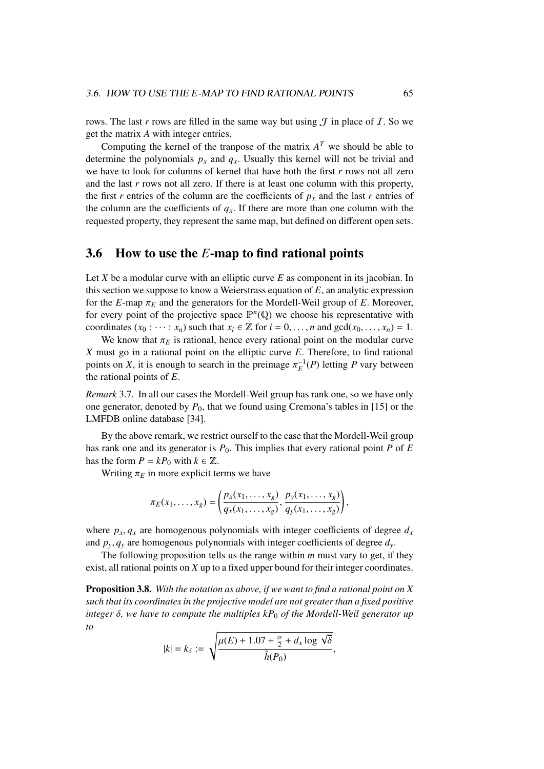rows. The last *r* rows are filled in the same way but using  $\mathcal T$  in place of  $\mathcal I$ . So we get the matrix *A* with integer entries.

Computing the kernel of the tranpose of the matrix  $A<sup>T</sup>$  we should be able to determine the polynomials  $p_x$  and  $q_x$ . Usually this kernel will not be trivial and we have to look for columns of kernel that have both the first *r* rows not all zero and the last *r* rows not all zero. If there is at least one column with this property, the first *r* entries of the column are the coefficients of  $p<sub>x</sub>$  and the last *r* entries of the column are the coefficients of  $q<sub>x</sub>$ . If there are more than one column with the requested property, they represent the same map, but defined on different open sets.

### 3.6 How to use the *E*-map to find rational points

Let *X* be a modular curve with an elliptic curve *E* as component in its jacobian. In this section we suppose to know a Weierstrass equation of *E*, an analytic expression for the *E*-map  $\pi_E$  and the generators for the Mordell-Weil group of *E*. Moreover, for every point of the projective space  $\mathbb{P}^n(\mathbb{Q})$  we choose his representative with coordinates  $(x_0 : \dots : x_n)$  such that  $x_i \in \mathbb{Z}$  for  $i = 0, \dots, n$  and  $gcd(x_0, \dots, x_n) = 1$ .

We know that  $\pi_E$  is rational, hence every rational point on the modular curve *X* must go in a rational point on the elliptic curve *E*. Therefore, to find rational points on *X*, it is enough to search in the preimage  $\pi_E^{-1}(P)$  letting *P* vary between<br>the rational points of *F* the rational points of *E*.

*Remark* 3.7*.* In all our cases the Mordell-Weil group has rank one, so we have only one generator, denoted by *P*0, that we found using Cremona's tables in [15] or the LMFDB online database [34].

By the above remark, we restrict ourself to the case that the Mordell-Weil group has rank one and its generator is *P*0. This implies that every rational point *P* of *E* has the form  $P = kP_0$  with  $k \in \mathbb{Z}$ .

Writing  $\pi_E$  in more explicit terms we have

$$
\pi_E(x_1,\ldots,x_g)=\left(\frac{p_x(x_1,\ldots,x_g)}{q_x(x_1,\ldots,x_g)},\frac{p_y(x_1,\ldots,x_g)}{q_y(x_1,\ldots,x_g)}\right),
$$

where  $p_x, q_x$  are homogenous polynomials with integer coefficients of degree  $d_x$ and  $p_y, q_y$  are homogenous polynomials with integer coefficients of degree  $d_y$ .

The following proposition tells us the range within *m* must vary to get, if they exist, all rational points on *X* up to a fixed upper bound for their integer coordinates.

Proposition 3.8. *With the notation as above, if we want to find a rational point on X such that its coordinates in the projective model are not greater than a fixed positive integer* <sup>δ</sup>*, we have to compute the multiples kP*<sup>0</sup> *of the Mordell-Weil generator up to*

$$
|k|=k_{\delta}:=\sqrt{\frac{\mu(E)+1.07+\frac{\alpha}{2}+d_{x}\log\sqrt{\delta}}{\hat{h}(P_{0})}},
$$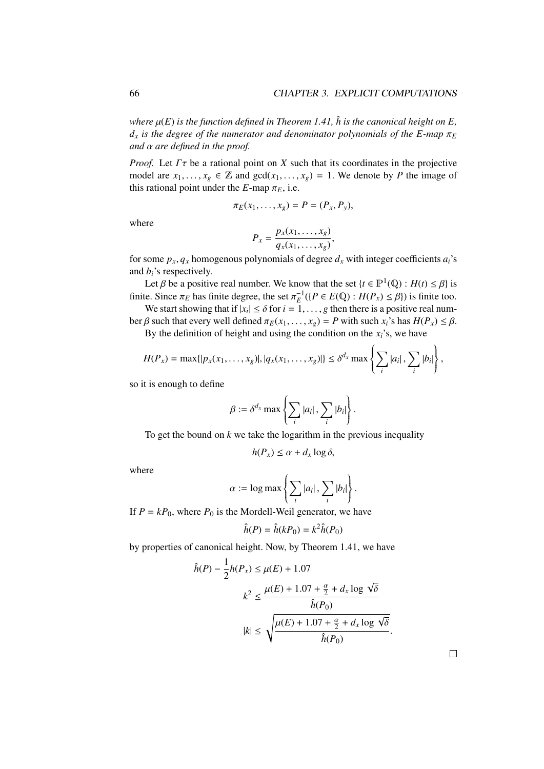*where*  $\mu(E)$  *is the function defined in Theorem 1.41,*  $\hat{h}$  *is the canonical height on E,*  $d_x$  *is the degree of the numerator and denominator polynomials of the E-map*  $\pi_E$ *and* α *are defined in the proof.*

*Proof.* Let  $\Gamma \tau$  be a rational point on *X* such that its coordinates in the projective model are  $x_1, \ldots, x_g \in \mathbb{Z}$  and  $gcd(x_1, \ldots, x_g) = 1$ . We denote by *P* the image of this rational point under the *E*-map  $\pi_E$ , i.e.

$$
\pi_E(x_1,\ldots,x_g)=P=(P_x,P_y),
$$

where

$$
P_x = \frac{p_x(x_1, \dots, x_g)}{q_x(x_1, \dots, x_g)},
$$
wheweniale af denen.

for some  $p_x$ ,  $q_x$  homogenous polynomials of degree  $d_x$  with integer coefficients  $a_i$ 's and *bi*'s respectively.

Let  $\beta$  be a positive real number. We know that the set  $\{t \in \mathbb{P}^1(\mathbb{Q}) : H(t) \leq \beta\}$  is<br>*is* Since  $\pi_n$  has finite degree, the set  $\pi^{-1}(I, P \in E(\mathbb{Q})) : H(P) \leq R\}$  is finite too. finite. Since  $\pi_E$  has finite degree, the set  $\pi_E^{-1}(\{P \in E(\mathbb{Q}) : H(P_x) \leq \beta\})$  is finite too.<br>We start showing that if  $|x| \leq \delta$  for  $i = 1$ , a then there is a positive real num

We start showing that if  $|x_i| \le \delta$  for  $i = 1, ..., g$  then there is a positive real num-<br> $\beta$  such that every well defined  $\pi_2(x, ..., x) = B$  with such  $x_i$ 's has  $H(P) \le \beta$ ber β such that every well defined  $π_E(x_1, ..., x_g) = P$  with such  $x_i$ 's has  $H(P_x) \leq β$ .

By the definition of height and using the condition on the  $x_i$ 's, we have

$$
H(P_x) = \max\{|p_x(x_1,\ldots,x_g)|, |q_x(x_1,\ldots,x_g)|\} \leq \delta^{d_x} \max\left\{\sum_i |a_i|, \sum_i |b_i|\right\},\,
$$

so it is enough to define

$$
\beta := \delta^{d_x} \max \left\{ \sum_i |a_i| \,, \sum_i |b_i| \right\}.
$$

To get the bound on *k* we take the logarithm in the previous inequality

$$
h(P_x) \le \alpha + d_x \log \delta,
$$

where

$$
\alpha := \log \max \left\{ \sum_i |a_i| \, , \, \sum_i |b_i| \right\}.
$$

If  $P = kP_0$ , where  $P_0$  is the Mordell-Weil generator, we have

$$
\hat{h}(P) = \hat{h}(kP_0) = k^2 \hat{h}(P_0)
$$

by properties of canonical height. Now, by Theorem 1.41, we have

$$
\hat{h}(P) - \frac{1}{2}h(P_x) \le \mu(E) + 1.07
$$
\n
$$
k^2 \le \frac{\mu(E) + 1.07 + \frac{\alpha}{2} + d_x \log \sqrt{\delta}}{\hat{h}(P_0)}
$$
\n
$$
|k| \le \sqrt{\frac{\mu(E) + 1.07 + \frac{\alpha}{2} + d_x \log \sqrt{\delta}}{\hat{h}(P_0)}}
$$

 $\Box$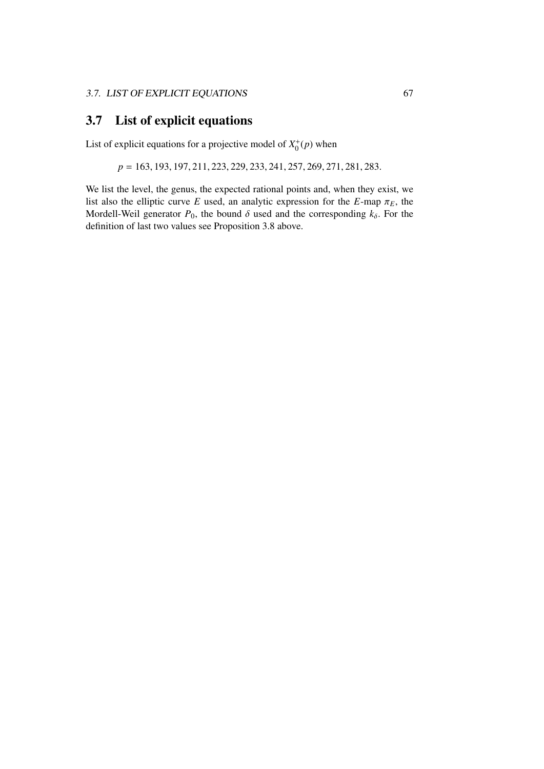## 3.7 List of explicit equations

List of explicit equations for a projective model of  $X_0^+(p)$  when

*<sup>p</sup>* <sup>=</sup> <sup>163</sup>, <sup>193</sup>, <sup>197</sup>, <sup>211</sup>, <sup>223</sup>, <sup>229</sup>, <sup>233</sup>, <sup>241</sup>, <sup>257</sup>, <sup>269</sup>, <sup>271</sup>, <sup>281</sup>, <sup>283</sup>.

We list the level, the genus, the expected rational points and, when they exist, we list also the elliptic curve *E* used, an analytic expression for the *E*-map  $\pi_E$ , the Mordell-Weil generator  $P_0$ , the bound  $\delta$  used and the corresponding  $k_{\delta}$ . For the definition of last two values see Proposition 3.8 above.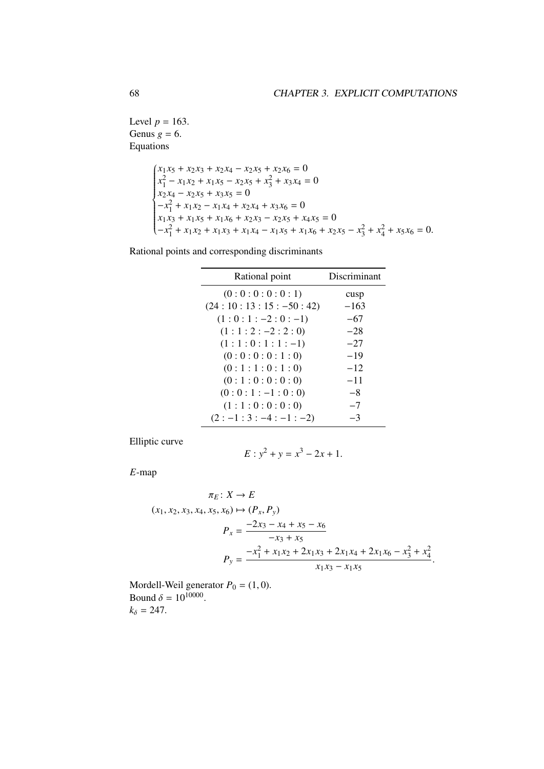Level  $p = 163$ . Genus  $g = 6$ . Equations

$$
\begin{cases}\nx_1x_5 + x_2x_3 + x_2x_4 - x_2x_5 + x_2x_6 = 0 \\
x_1^2 - x_1x_2 + x_1x_5 - x_2x_5 + x_3^2 + x_3x_4 = 0 \\
x_2x_4 - x_2x_5 + x_3x_5 = 0 \\
-x_1^2 + x_1x_2 - x_1x_4 + x_2x_4 + x_3x_6 = 0 \\
x_1x_3 + x_1x_5 + x_1x_6 + x_2x_3 - x_2x_5 + x_4x_5 = 0 \\
-x_1^2 + x_1x_2 + x_1x_3 + x_1x_4 - x_1x_5 + x_1x_6 + x_2x_5 - x_3^2 + x_4^2 + x_5x_6 = 0.\n\end{cases}
$$

Rational points and corresponding discriminants

| Rational point         | Discriminant |
|------------------------|--------------|
| (0:0:0:0:0:1)          | cusp         |
| $(24:10:13:15:-50:42)$ | $-163$       |
| $(1:0:1:-2:0:-1)$      | $-67$        |
| $(1:1:2:-2:2:0)$       | $-28$        |
| $(1:1:0:1:1:-1)$       | $-27$        |
| (0:0:0:0:1:0)          | $-19$        |
| (0:1:1:0:1:0)          | $-12$        |
| (0:1:0:0:0:0)          | $-11$        |
| $(0:0:1:-1:0:0)$       | $-8$         |
| (1:1:0:0:0:0)          | $-7$         |
| $(2:-1:3:-4:-1:-2)$    | -3           |

Elliptic curve

$$
E: y^2 + y = x^3 - 2x + 1.
$$

*E*-map

$$
\pi_E: X \to E
$$
  
(x<sub>1</sub>, x<sub>2</sub>, x<sub>3</sub>, x<sub>4</sub>, x<sub>5</sub>, x<sub>6</sub>)  $\mapsto$  (P<sub>x</sub>, P<sub>y</sub>)  

$$
P_x = \frac{-2x_3 - x_4 + x_5 - x_6}{-x_3 + x_5}
$$

$$
P_y = \frac{-x_1^2 + x_1x_2 + 2x_1x_3 + 2x_1x_4 + 2x_1x_6 - x_3^2 + x_4^2}{x_1x_3 - x_1x_5}
$$

Mordell-Weil generator  $P_0 = (1, 0)$ .<br>Bound  $\delta = 10^{10000}$ Bound  $\delta = 10^{10000}$ .<br> $k_0 = 247$  $k_{\delta} = 247.$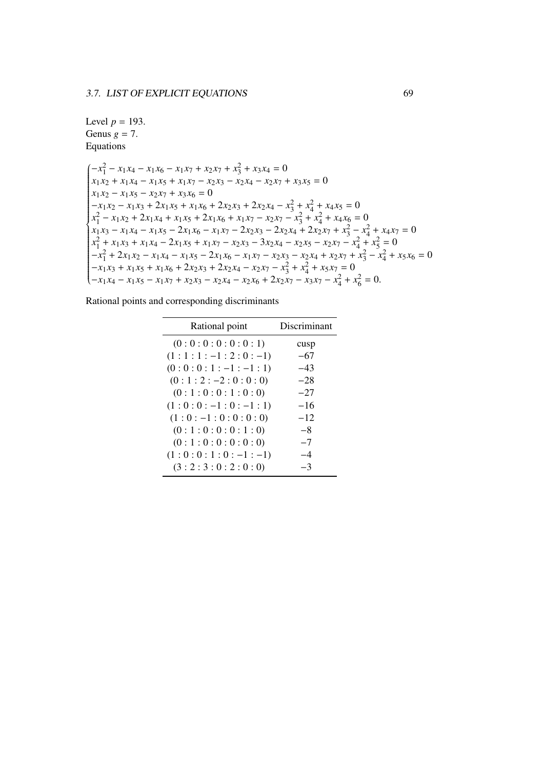## Level  $p = 193$ . Genus  $g = 7$ . Equations

 $\int$  $\left(-x_1^2 - x_1x_4 - x_1x_6 - x_1x_7 + x_2x_7 + x_3^2 + x_3x_4\right) = 0$  $\left\{ \frac{1}{2} \right\}$   $x_1 x_2 + x_1 x_4 - x_1 x_5 + x_1 x_7 - x_2 x_3 - x_2 x_4 - x_2 x_7 + x_3 x_5 = 0$  $x_1 x_2 - x_1 x_5 - x_2 x_7 + x_3 x_6 = 0$  $-x_1 x_2 - x_1 x_3 + 2x_1 x_5 + x_1 x_6 + 2x_2 x_3 + 2x_2 x_4 - x_3^2 + x_4^2 + x_4 x_5 = 0$  $x_1^2 - x_1x_2 + 2x_1x_4 + x_1x_5 + 2x_1x_6 + x_1x_7 - x_2x_7 - x_3^2 + x_4^2 + x_4x_6 = 0$  $x_1x_3 - x_1x_4 - x_1x_5 - 2x_1x_6 - x_1x_7 - 2x_2x_3 - 2x_2x_4 + 2x_2x_7 + x_3^2 - x_4^2 + x_4x_7 = 0$  $x_1^2 + x_1 x_3 + x_1 x_4 - 2x_1 x_5 + x_1 x_7 - x_2 x_3 - 3x_2 x_4 - x_2 x_5 - x_2 x_7 - x_4^2 + x_5^2 = 0$  $-x_1^2 + 2x_1x_2 - x_1x_4 - x_1x_5 - 2x_1x_6 - x_1x_7 - x_2x_3 - x_2x_4 + x_2x_7 + x_3^2 - x_4^2 + x_5x_6 = 0$  $-x_1 x_3 + x_1 x_5 + x_1 x_6 + 2x_2 x_3 + 2x_2 x_4 - x_2 x_7 - x_3^2 + x_4^2 + x_5 x_7 = 0$  $-x_1 x_4 - x_1 x_5 - x_1 x_7 + x_2 x_3 - x_2 x_4 - x_2 x_6 + 2x_2 x_7 - x_3 x_7 - x_4^2 + x_6^2 = 0.$ 

| Rational point      | Discriminant |
|---------------------|--------------|
| (0:0:0:0:0:0:1)     | cusp         |
| $(1:1:1:-1:2:0:-1)$ | $-67$        |
| $(0:0:0:1:-1:-1:1)$ | $-43$        |
| $(0:1:2:-2:0:0:0)$  | $-28$        |
| (0:1:0:0:1:0:0)     | $-27$        |
| $(1:0:0:-1:0:-1:1)$ | $-16$        |
| $(1:0:-1:0:0:0:0)$  | $-12$        |
| (0:1:0:0:0:1:0)     | -8           |
| (0:1:0:0:0:0:0:0)   | $-7$         |
| $(1:0:0:1:0:-1:-1)$ | $-4$         |
| (3:2:3:0:2:0:0)     | -3           |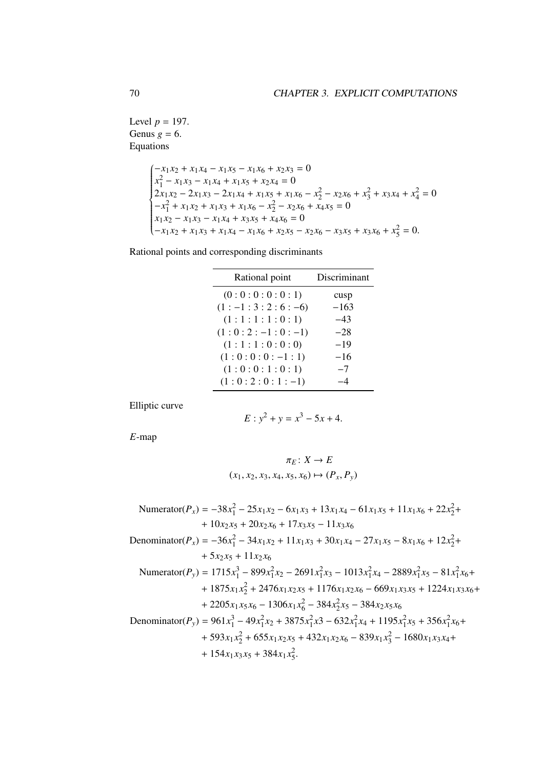Level  $p = 197$ . Genus  $g = 6$ . Equations

$$
\begin{cases}\n-x_1x_2 + x_1x_4 - x_1x_5 - x_1x_6 + x_2x_3 = 0 \\
x_1^2 - x_1x_3 - x_1x_4 + x_1x_5 + x_2x_4 = 0 \\
2x_1x_2 - 2x_1x_3 - 2x_1x_4 + x_1x_5 + x_1x_6 - x_2^2 - x_2x_6 + x_3^2 + x_3x_4 + x_4^2 = 0 \\
-x_1^2 + x_1x_2 + x_1x_3 + x_1x_6 - x_2^2 - x_2x_6 + x_4x_5 = 0 \\
x_1x_2 - x_1x_3 - x_1x_4 + x_3x_5 + x_4x_6 = 0 \\
-x_1x_2 + x_1x_3 + x_1x_4 - x_1x_6 + x_2x_5 - x_2x_6 - x_3x_5 + x_3x_6 + x_5^2 = 0.\n\end{cases}
$$

Rational points and corresponding discriminants

| Discriminant |
|--------------|
| cusp         |
| $-163$       |
| $-43$        |
| $-28$        |
| $-19$        |
| $-16$        |
| $-7$         |
|              |
|              |

Elliptic curve

$$
E: y^2 + y = x^3 - 5x + 4.
$$

*E*-map

$$
\pi_E: X \to E
$$
  
 $(x_1, x_2, x_3, x_4, x_5, x_6) \mapsto (P_x, P_y)$ 

$$
\begin{aligned}\n\text{Numerator}(P_x) &= -38x_1^2 - 25x_1x_2 - 6x_1x_3 + 13x_1x_4 - 61x_1x_5 + 11x_1x_6 + 22x_2^2 + \\
&+ 10x_2x_5 + 20x_2x_6 + 17x_3x_5 - 11x_3x_6 \\
\text{Denominator}(P_x) &= -36x_1^2 - 34x_1x_2 + 11x_1x_3 + 30x_1x_4 - 27x_1x_5 - 8x_1x_6 + 12x_2^2 + \\
&\quad + 5x_2x_5 + 11x_2x_6 \\
\text{Numerator}(P_y) &= 1715x_1^3 - 899x_1^2x_2 - 2691x_1^2x_3 - 1013x_1^2x_4 - 2889x_1^2x_5 - 81x_1^2x_6 + \\
&\quad + 1875x_1x_2^2 + 2476x_1x_2x_5 + 1176x_1x_2x_6 - 669x_1x_3x_5 + 1224x_1x_3x_6 + \\
&\quad + 2205x_1x_5x_6 - 1306x_1x_6^2 - 384x_2^2x_5 - 384x_2x_5x_6 \\
\text{Denominator}(P_y) &= 961x_1^3 - 49x_1^2x_2 + 3875x_1^2x_3 - 632x_1^2x_4 + 1195x_1^2x_5 + 356x_1^2x_6 + \\
&\quad + 593x_1x_2^2 + 655x_1x_2x_5 + 432x_1x_2x_6 - 839x_1x_3^2 - 1680x_1x_3x_4 + \\
&\quad + 154x_1x_3x_5 + 384x_1x_5^2.\n\end{aligned}
$$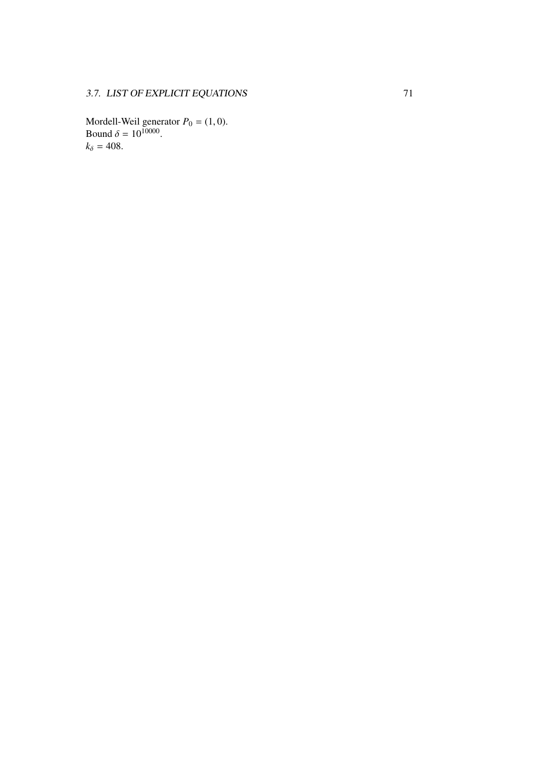Mordell-Weil generator  $P_0 = (1, 0)$ .<br>Bound  $\delta = 10^{10000}$ .  $k_{\delta} = 408.$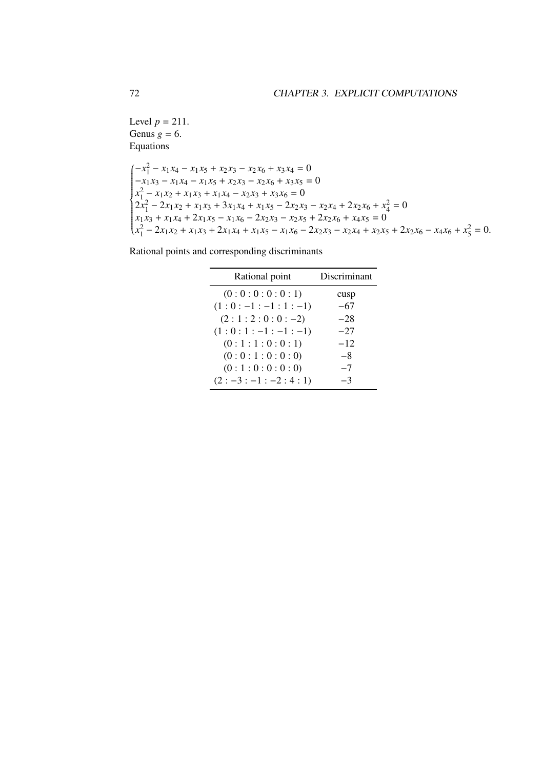Level  $p = 211$ . Genus  $g = 6$ . Equations

$$
\begin{cases}\n-x_1^2 - x_1x_4 - x_1x_5 + x_2x_3 - x_2x_6 + x_3x_4 = 0 \\
-x_1x_3 - x_1x_4 - x_1x_5 + x_2x_3 - x_2x_6 + x_3x_5 = 0 \\
x_1^2 - x_1x_2 + x_1x_3 + x_1x_4 - x_2x_3 + x_3x_6 = 0 \\
2x_1^2 - 2x_1x_2 + x_1x_3 + 3x_1x_4 + x_1x_5 - 2x_2x_3 - x_2x_4 + 2x_2x_6 + x_4^2 = 0 \\
x_1x_3 + x_1x_4 + 2x_1x_5 - x_1x_6 - 2x_2x_3 - x_2x_5 + 2x_2x_6 + x_4x_5 = 0 \\
x_1^2 - 2x_1x_2 + x_1x_3 + 2x_1x_4 + x_1x_5 - x_1x_6 - 2x_2x_3 - x_2x_4 + x_2x_5 + 2x_2x_6 - x_4x_6 + x_5^2 = 0.\n\end{cases}
$$

| Discriminant |
|--------------|
| cusp         |
| $-67$        |
| $-28$        |
| $-27$        |
| $-12$        |
| $-8$         |
| $-7$         |
| -3           |
|              |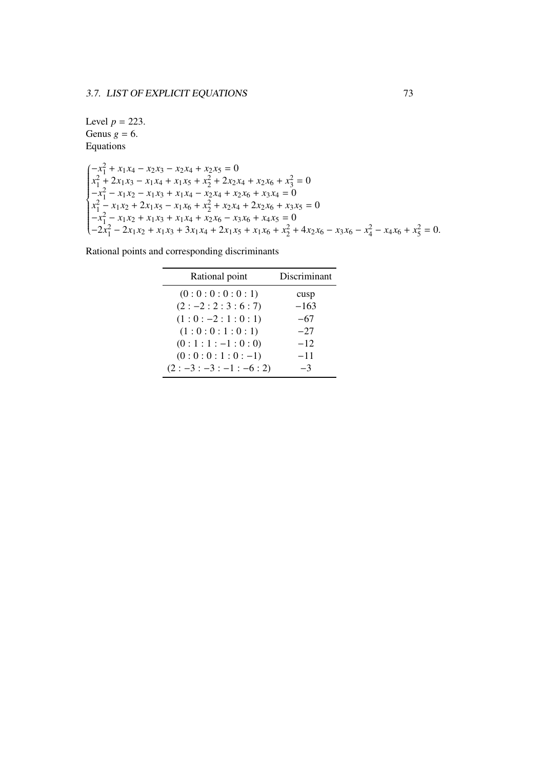Level  $p = 223$ . Genus  $g = 6$ . Equations

```
\int \frac{-x_1^2 + x_1x_4 - x_2x_3 - x_2x_4 + x_2x_5 = 0\left\{\rule{0cm}{0.15cm}\right\}\begin{array}{c} \hline \rule{0pt}{2.5ex} \rule{0pt}{2.5ex} \rule{0pt}{2.5ex} \rule{0pt}{2.5ex} \rule{0pt}{2.5ex} \rule{0pt}{2.5ex} \rule{0pt}{2.5ex} \rule{0pt}{2.5ex} \rule{0pt}{2.5ex} \rule{0pt}{2.5ex} \rule{0pt}{2.5ex} \rule{0pt}{2.5ex} \rule{0pt}{2.5ex} \rule{0pt}{2.5ex} \rule{0pt}{2.5ex} \rule{0pt}{2.5ex} \rule{0pt}{2.5ex} \rule{0pt}{2.5ex} \rule{0pt}{2.5ex} \x_1^2 + 2x_1x_3 - x_1x_4 + x_1x_5 + x_2^2 + 2x_2x_4 + x_2x_6 + x_3^2 = 0-x_1^2 - x_1x_2 - x_1x_3 + x_1x_4 - x_2x_4 + x_2x_6 + x_3x_4 = 0x_1^2 - x_1x_2 + 2x_1x_5 - x_1x_6 + x_2^2 + x_2x_4 + 2x_2x_6 + x_3x_5 = 0-x_1^2 - x_1x_2 + x_1x_3 + x_1x_4 + x_2x_6 - x_3x_6 + x_4x_5 = 0-2x_1^2 - 2x_1x_2 + x_1x_3 + 3x_1x_4 + 2x_1x_5 + x_1x_6 + x_2^2 + 4x_2x_6 - x_3x_6 - x_4^2 - x_4x_6 + x_5^2 = 0.
```

| Rational point      | Discriminant |
|---------------------|--------------|
| (0:0:0:0:0:1)       | cusp         |
| $(2:-2:2:3:6:7)$    | $-163$       |
| $(1:0:-2:1:0:1)$    | -67          |
| (1:0:0:1:0:1)       | $-27$        |
| $(0:1:1:-1:0:0)$    | $-12$        |
| $(0:0:0:1:0:-1)$    | $-11$        |
| $(2:-3:-3:-1:-6:2)$ | -3           |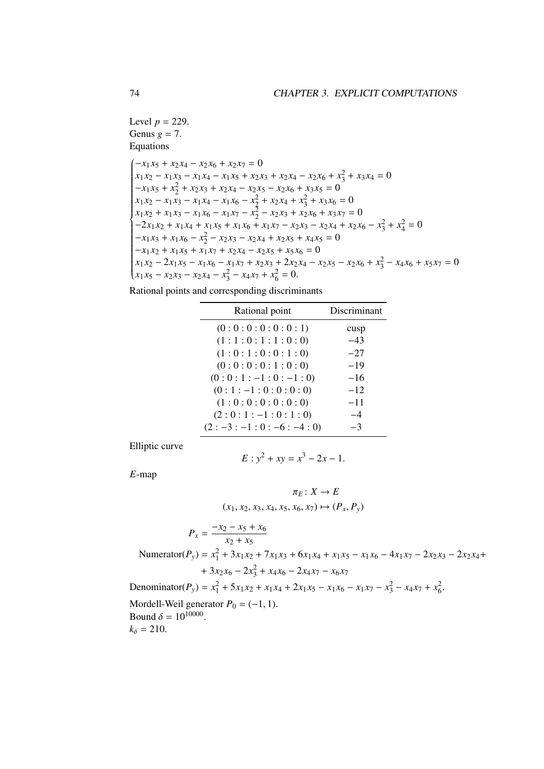Level  $p = 229$ . Genus  $g = 7$ . Equations

 $(-x_1 x_5 + x_2 x_4 - x_2 x_6 + x_2 x_7 = 0$  $\overline{\phantom{a}}$   $x_1 x_2 - x_1 x_3 - x_1 x_4 - x_1 x_5 + x_2 x_3 + x_2 x_4 - x_2 x_6 + x_3^2 + x_3 x_4 = 0$  $-x_1 x_5 + x_2^2 + x_2 x_3 + x_2 x_4 - x_2 x_5 - x_2 x_6 + x_3 x_5 = 0$  $x_1 x_2 - x_1 x_3 - x_1 x_4 - x_1 x_6 - x_2^2 + x_2 x_4 + x_3^2 + x_3 x_6 = 0$  $x_1 x_2 + x_1 x_3 - x_1 x_6 - x_1 x_7 - x_2^2 - x_2 x_3 + x_2 x_6 + x_3 x_7 = 0$  $-2x_1x_2 + x_1x_4 + x_1x_5 + x_1x_6 + x_1x_7 - x_2x_3 - x_2x_4 + x_2x_6 - x_3^2 + x_4^2 = 0$  $-x_1 x_3 + x_1 x_6 - x_2^2 - x_2 x_3 - x_2 x_4 + x_2 x_5 + x_4 x_5 = 0$  $-x_1 x_2 + x_1 x_5 + x_1 x_7 + x_2 x_4 - x_2 x_5 + x_5 x_6 = 0$  $x_1x_2 - 2x_1x_5 - x_1x_6 - x_1x_7 + x_2x_3 + 2x_2x_4 - x_2x_5 - x_2x_6 + x_3^2 - x_4x_6 + x_5x_7 = 0$  $x_1 x_5 - x_2 x_3 - x_2 x_4 - x_3^2 - x_4 x_7 + x_6^2 = 0.$ 

Rational points and corresponding discriminants

| Discriminant |
|--------------|
| cusp         |
| $-43$        |
| $-27$        |
| $-19$        |
| $-16$        |
| $-12$        |
| $-11$        |
| -4           |
|              |
|              |

Elliptic curve

$$
E: y^2 + xy = x^3 - 2x - 1.
$$

*E*-map

$$
\pi_E: X \to E
$$
  
\n
$$
(x_1, x_2, x_3, x_4, x_5, x_6, x_7) \mapsto (P_x, P_y)
$$
  
\n
$$
P_x = \frac{-x_2 - x_5 + x_6}{x_2 + x_5}
$$
  
\nNumerator $(P_y) = x_1^2 + 3x_1x_2 + 7x_1x_3 + 6x_1x_4 + x_1x_5 - x_1x_6 - 4x_1x_7 - 2x_2x_3 - 2x_2x_4 + 3x_2x_6 - 2x_3^2 + x_4x_6 - 2x_4x_7 - x_6x_7$   
\nDenominator $(P_y) = x_1^2 + 5x_1x_2 + x_1x_4 + 2x_1x_5 - x_1x_6 - x_1x_7 - x_3^2 - x_4x_7 + x_6^2$ .  
\nMordell-Weil generator  $P_0 = (-1, 1)$ .  
\nBound  $\delta = 10^{10000}$ .  
\n $k_0 = 210$ 

 $k_{\delta} = 210.$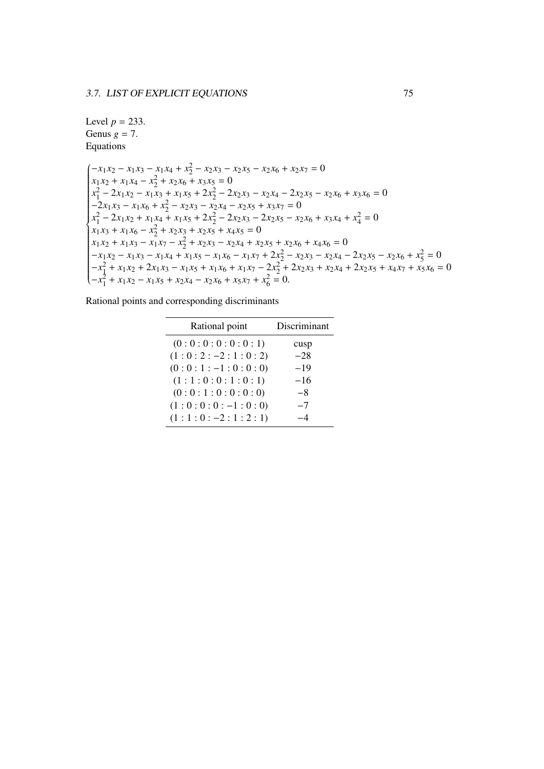## Level  $p = 233$ . Genus  $g = 7$ . Equations

 $\int$   $-x_1 x_2 - x_1 x_3 - x_1 x_4 + x_2^2 - x_2 x_3 - x_2 x_5 - x_2 x_6 + x_2 x_7 = 0$  $\left\{ \frac{1}{2} \right\}$   $x_1 x_2 + x_1 x_4 - x_2^2 + x_2 x_6 + x_3 x_5 = 0$  $x_1^2 - 2x_1x_2 - x_1x_3 + x_1x_5 + 2x_2^2 - 2x_2x_3 - x_2x_4 - 2x_2x_5 - x_2x_6 + x_3x_6 = 0$  $-\frac{2}{x_1 x_3} - x_1 x_6 + x_2^2 - x_2 x_3 - x_2 x_4 - x_2 x_5 + x_3 x_7 = 0$  $x_1^2 - 2x_1x_2 + x_1x_4 + x_1x_5 + 2x_2^2 - 2x_2x_3 - 2x_2x_5 - x_2x_6 + x_3x_4 + x_4^2 = 0$  $x_1 x_3 + x_1 x_6 - x_2^2 + x_2 x_3 + x_2 x_5 + x_4 x_5 = 0$  $x_1 x_2 + x_1 x_3 - x_1 x_7 - x_2^2 + x_2 x_3 - x_2 x_4 + x_2 x_5 + x_2 x_6 + x_4 x_6 = 0$  $-x_1x_2 - x_1x_3 - x_1x_4 + x_1x_5 - x_1x_6 - x_1x_7 + 2x_2^2 - x_2x_3 - x_2x_4 - 2x_2x_5 - x_2x_6 + x_5^2 = 0$  $-x_1^2 + x_1x_2 + 2x_1x_3 - x_1x_5 + x_1x_6 + x_1x_7 - 2x_2^2 + 2x_2x_3 + x_2x_4 + 2x_2x_5 + x_4x_7 + x_5x_6 = 0$  $-x_1^2 + x_1x_2 - x_1x_5 + x_2x_4 - x_2x_6 + x_5x_7 + x_6^2 = 0.$ 

| Rational points and corresponding discriminants |  |  |
|-------------------------------------------------|--|--|
|                                                 |  |  |

| Rational point     | Discriminant |
|--------------------|--------------|
| (0:0:0:0:0:0:1)    | cusp         |
| $(1:0:2:-2:1:0:2)$ | $-28$        |
| $(0:0:1:-1:0:0:0)$ | $-19$        |
| (1:1:0:0:1:0:1)    | $-16$        |
| (0:0:1:0:0:0:0)    | -8           |
| $(1:0:0:0:-1:0:0)$ | $-7$         |
| $(1:1:0:-2:1:2:1)$ |              |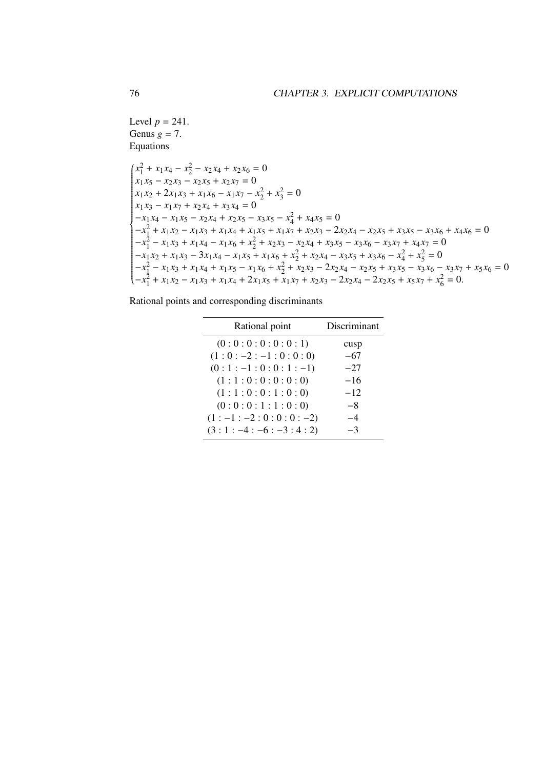Level  $p = 241$ . Genus  $g = 7$ . Equations

$$
\begin{cases}\nx_1^2 + x_1x_4 - x_2^2 - x_2x_4 + x_2x_6 = 0 \\
x_1x_5 - x_2x_3 - x_2x_5 + x_2x_7 = 0 \\
x_1x_2 + 2x_1x_3 + x_1x_6 - x_1x_7 - x_2^2 + x_3^2 = 0 \\
x_1x_3 - x_1x_7 + x_2x_4 + x_3x_4 = 0 \\
-x_1x_4 - x_1x_5 - x_2x_4 + x_2x_5 - x_3x_5 - x_4^2 + x_4x_5 = 0 \\
-x_1^2 + x_1x_2 - x_1x_3 + x_1x_4 + x_1x_5 + x_1x_7 + x_2x_3 - 2x_2x_4 - x_2x_5 + x_3x_5 - x_3x_6 + x_4x_6 = 0 \\
-x_1^2 - x_1x_3 + x_1x_4 - x_1x_6 + x_2^2 + x_2x_3 - x_2x_4 + x_3x_5 - x_3x_6 - x_3x_7 + x_4x_7 = 0 \\
-x_1x_2 + x_1x_3 - 3x_1x_4 - x_1x_5 + x_1x_6 + x_2^2 + x_2x_4 - x_3x_5 + x_3x_6 - x_4^2 + x_5^2 = 0 \\
-x_1^2 - x_1x_3 + x_1x_4 + x_1x_5 - x_1x_6 + x_2^2 + x_2x_3 - 2x_2x_4 - x_2x_5 + x_3x_5 - x_3x_6 - x_3x_7 + x_5x_6 = 0 \\
-x_1^2 + x_1x_2 - x_1x_3 + x_1x_4 + 2x_1x_5 + x_1x_7 + x_2x_3 - 2x_2x_4 - 2x_2x_5 + x_5x_7 + x_6^2 = 0.\n\end{cases}
$$

Rational points and corresponding discriminants

| Rational point       | Discriminant |
|----------------------|--------------|
| (0:0:0:0:0:0:1)      | cusp         |
| $(1:0:-2:-1:0:0:0)$  | $-67$        |
| $(0:1:-1:0:0:1:-1)$  | $-27$        |
| (1:1:0:0:0:0:0:0)    | $-16$        |
| (1:1:0:0:1:0:0)      | $-12$        |
| (0:0:0:1:1:0:0)      | -8           |
| $(1:-1:-2:0:0:0:-2)$ | $-4$         |
| $(3:1:-4:-6:-3:4:2)$ | -3           |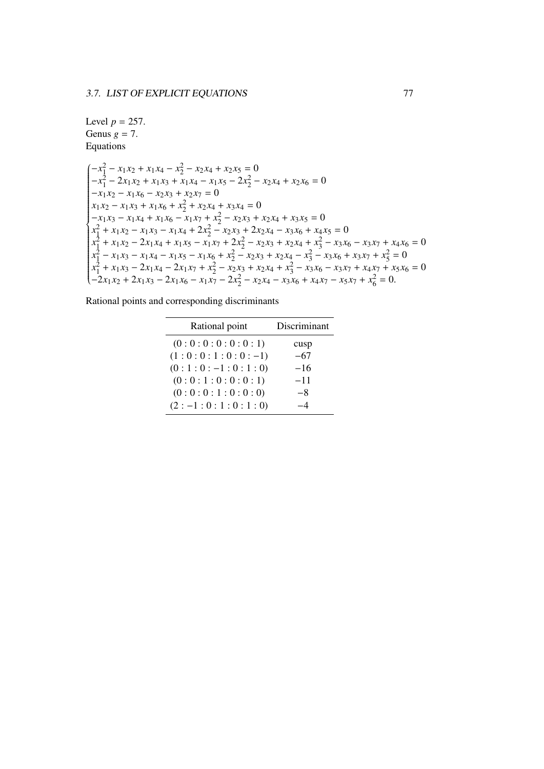Level 
$$
p = 257
$$
.  
Genus  $g = 7$ .  
Equations

 $\left(-x_1^2 - x_1x_2 + x_1x_4 - x_2^2 - x_2x_4 + x_2x_5\right) = 0$  $\left\{ \frac{1}{2} \right\}$   $-x_1^2 - 2x_1x_2 + x_1x_3 + x_1x_4 - x_1x_5 - 2x_2^2 - x_2x_4 + x_2x_6 = 0$  $-x_1 x_2 - x_1 x_6 - x_2 x_3 + x_2 x_7 = 0$  $x_1 x_2 - x_1 x_3 + x_1 x_6 + x_2^2 + x_2 x_4 + x_3 x_4 = 0$  $-x_1 x_3 - x_1 x_4 + x_1 x_6 - x_1 x_7 + x_2^2 - x_2 x_3 + x_2 x_4 + x_3 x_5 = 0$  $x_1^2 + x_1x_2 - x_1x_3 - x_1x_4 + 2x_2^2 - x_2x_3 + 2x_2x_4 - x_3x_6 + x_4x_5 = 0$  $x_1^2 + x_1x_2 - 2x_1x_4 + x_1x_5 - x_1x_7 + 2x_2^2 - x_2x_3 + x_2x_4 + x_3^2 - x_3x_6 - x_3x_7 + x_4x_6 = 0$  $x_1^2 - x_1x_3 - x_1x_4 - x_1x_5 - x_1x_6 + x_2^2 - x_2x_3 + x_2x_4 - x_3^2 - x_3x_6 + x_3x_7 + x_5^2 = 0$  $x_1^2 + x_1x_3 - 2x_1x_4 - 2x_1x_7 + x_2^2 - x_2x_3 + x_2x_4 + x_3^2 - x_3x_6 - x_3x_7 + x_4x_7 + x_5x_6 = 0$  $-2x_1x_2 + 2x_1x_3 - 2x_1x_6 - x_1x_7 - 2x_2^2 - x_2x_4 - x_3x_6 + x_4x_7 - x_5x_7 + x_6^2 = 0.$ 

| Rational points and corresponding discriminants |  |  |  |  |
|-------------------------------------------------|--|--|--|--|
|                                                 |  |  |  |  |

| Rational point     | Discriminant |
|--------------------|--------------|
| (0:0:0:0:0:0:1)    | cusp         |
| $(1:0:0:1:0:0:-1)$ | $-67$        |
| $(0:1:0:-1:0:1:0)$ | $-16$        |
| (0:0:1:0:0:0:1)    | $-11$        |
| (0:0:0:1:0:0:0)    | -8           |
| $(2:-1:0:1:0:1:0)$ |              |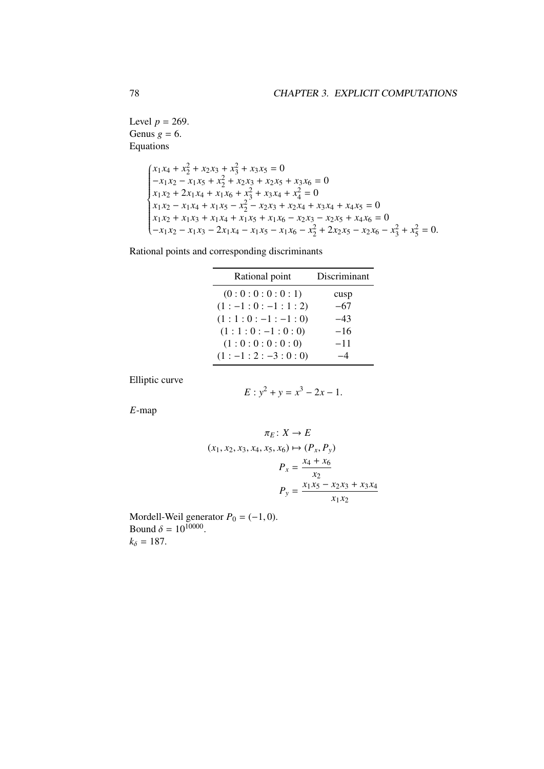Level  $p = 269$ . Genus  $g = 6$ . Equations

$$
\begin{cases}\nx_1x_4 + x_2^2 + x_2x_3 + x_3^2 + x_3x_5 = 0 \\
-x_1x_2 - x_1x_5 + x_2^2 + x_2x_3 + x_2x_5 + x_3x_6 = 0 \\
x_1x_2 + 2x_1x_4 + x_1x_6 + x_3^2 + x_3x_4 + x_4^2 = 0 \\
x_1x_2 - x_1x_4 + x_1x_5 - x_2^2 - x_2x_3 + x_2x_4 + x_3x_4 + x_4x_5 = 0 \\
x_1x_2 + x_1x_3 + x_1x_4 + x_1x_5 + x_1x_6 - x_2x_3 - x_2x_5 + x_4x_6 = 0 \\
-x_1x_2 - x_1x_3 - 2x_1x_4 - x_1x_5 - x_1x_6 - x_2^2 + 2x_2x_5 - x_2x_6 - x_3^2 + x_5^2 = 0.\n\end{cases}
$$

Rational points and corresponding discriminants

| Rational point    | Discriminant |
|-------------------|--------------|
| (0:0:0:0:0:1)     | cusp         |
| $(1:-1:0:-1:1:2)$ | -67          |
| $(1:1:0:-1:-1:0)$ | -43          |
| $(1:1:0:-1:0:0)$  | $-16$        |
| (1:0:0:0:0:0)     | $-11$        |
| $(1:-1:2:-3:0:0)$ |              |

Elliptic curve

$$
E: y^2 + y = x^3 - 2x - 1.
$$

*E*-map

$$
\pi_E: X \to E
$$
  
(x<sub>1</sub>, x<sub>2</sub>, x<sub>3</sub>, x<sub>4</sub>, x<sub>5</sub>, x<sub>6</sub>)  $\mapsto (P_x, P_y)$   

$$
P_x = \frac{x_4 + x_6}{x_2}
$$
  

$$
P_y = \frac{x_1 x_5 - x_2 x_3 + x_3 x_4}{x_1 x_2}
$$

Mordell-Weil generator  $P_0 = (-1, 0)$ .<br>Bound  $\delta = 10^{10000}$ Bound  $\delta = 10^{10000}$ .<br> $k_0 = 187$  $k_{\delta} = 187.$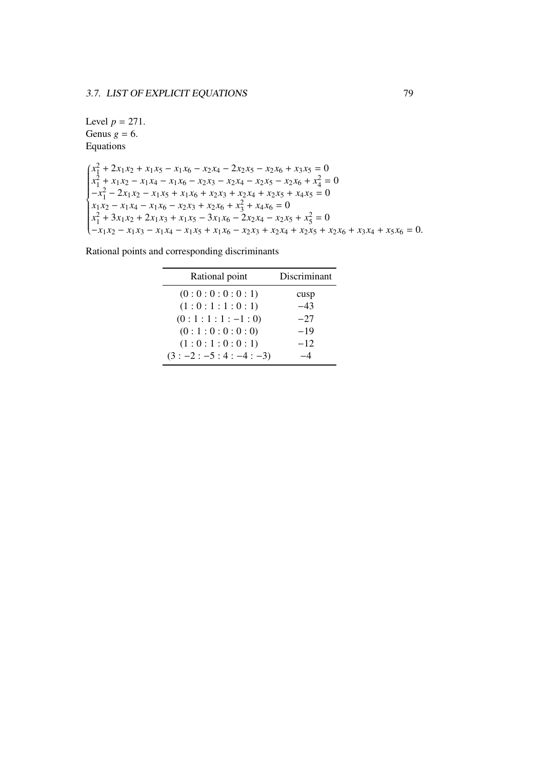```
Level p = 271.
Genus g = 6.
Equations
```

```
\int (x_1^2 + 2x_1x_2 + x_1x_5 - x_1x_6 - x_2x_4 - 2x_2x_5 - x_2x_6 + x_3x_5 = 0\left\{\rule{0cm}{0.15cm}\right\}\begin{array}{c} \hline \rule{0pt}{2.2ex} \\ \rule{0pt}{2.2ex} \end{array}x_1^2 + x_1x_2 - x_1x_4 - x_1x_6 - x_2x_3 - x_2x_4 - x_2x_5 - x_2x_6 + x_4^2 = 0-x_1^2 - 2x_1x_2 - x_1x_5 + x_1x_6 + x_2x_3 + x_2x_4 + x_2x_5 + x_4x_5 = 0x_1 x_2 - x_1 x_4 - x_1 x_6 - x_2 x_3 + x_2 x_6 + x_3^2 + x_4 x_6 = 0x_1^2 + 3x_1x_2 + 2x_1x_3 + x_1x_5 - 3x_1x_6 - 2x_2x_4 - x_2x_5 + x_5^2 = 0-x_1x_2 - x_1x_3 - x_1x_4 - x_1x_5 + x_1x_6 - x_2x_3 + x_2x_4 + x_2x_5 + x_2x_6 + x_3x_4 + x_5x_6 = 0.
```

| Rational point      | Discriminant |
|---------------------|--------------|
| (0:0:0:0:0:1)       | cusp         |
| (1:0:1:1:0:1)       | $-43$        |
| $(0:1:1:1:-1:0)$    | $-27$        |
| (0:1:0:0:0:0)       | $-19$        |
| (1:0:1:0:0:1)       | $-12$        |
| $(3:-2:-5:4:-4:-3)$ |              |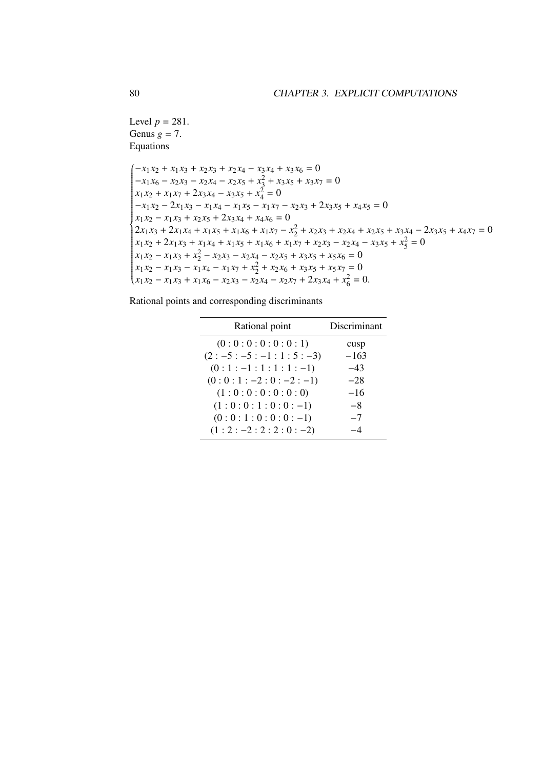Level  $p = 281$ . Genus  $g = 7$ . Equations

$$
\begin{cases}\n-x_1x_2 + x_1x_3 + x_2x_3 + x_2x_4 - x_3x_4 + x_3x_6 = 0 \\
-x_1x_6 - x_2x_3 - x_2x_4 - x_2x_5 + x_3^2 + x_3x_5 + x_3x_7 = 0 \\
x_1x_2 + x_1x_7 + 2x_3x_4 - x_3x_5 + x_4^2 = 0 \\
-x_1x_2 - 2x_1x_3 - x_1x_4 - x_1x_5 - x_1x_7 - x_2x_3 + 2x_3x_5 + x_4x_5 = 0 \\
x_1x_2 - x_1x_3 + x_2x_5 + 2x_3x_4 + x_4x_6 = 0 \\
2x_1x_3 + 2x_1x_4 + x_1x_5 + x_1x_6 + x_1x_7 - x_2^2 + x_2x_3 + x_2x_4 + x_2x_5 + x_3x_4 - 2x_3x_5 + x_4x_7 = 0 \\
x_1x_2 + 2x_1x_3 + x_1x_4 + x_1x_5 + x_1x_6 + x_1x_7 + x_2x_3 - x_2x_4 - x_3x_5 + x_5^2 = 0 \\
x_1x_2 - x_1x_3 + x_2^2 - x_2x_3 - x_2x_4 - x_2x_5 + x_3x_5 + x_5x_6 = 0 \\
x_1x_2 - x_1x_3 - x_1x_4 - x_1x_7 + x_2^2 + x_2x_6 + x_3x_5 + x_5x_7 = 0 \\
x_1x_2 - x_1x_3 + x_1x_6 - x_2x_3 - x_2x_4 - x_2x_7 + 2x_3x_4 + x_6^2 = 0.\n\end{cases}
$$

| Rational point        | Discriminant |
|-----------------------|--------------|
| (0:0:0:0:0:0:1)       | cusp         |
| $(2:-5:-5:-1:1:5:-3)$ | $-163$       |
| $(0:1:-1:1:1:1:-1)$   | $-43$        |
| $(0:0:1:-2:0:-2:-1)$  | $-28$        |
| (1:0:0:0:0:0:0:0)     | $-16$        |
| $(1:0:0:1:0:0:-1)$    | -8           |
| $(0:0:1:0:0:0:-1)$    | $-7$         |
| $(1:2:-2:2:2:0:-2)$   |              |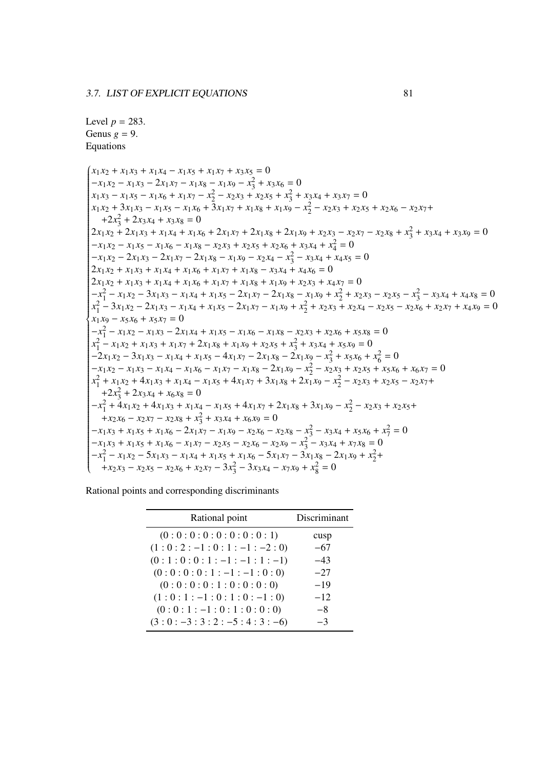```
Level p = 283.
Genus g = 9.
Equations
```
 $(x_1 x_2 + x_1 x_3 + x_1 x_4 - x_1 x_5 + x_1 x_7 + x_3 x_5 = 0$  $\sqrt{\phantom{a}}$   $-x_1 x_2 - x_1 x_3 - 2x_1 x_7 - x_1 x_8 - x_1 x_9 - x_3^2 + x_3 x_6 = 0$  $\begin{aligned} x_1 x_2 - x_1 x_3 - x_1 x_7 - x_1 x_8 - x_1 x_9 - x_3 + x_3 x_6 - 0\\ x_1 x_3 - x_1 x_5 - x_1 x_6 + x_1 x_7 - x_2^2 - x_2 x_3 + x_2 x_5 + x_3^2 + x_3 x_4 + x_3 x_7 = 0 \end{aligned}$  $x_1x_2 + 3x_1x_3 - x_1x_5 - x_1x_6 + 3x_1x_7 + x_1x_8 + x_1x_9 - x_2^2 - x_2x_3 + x_2x_5 + x_2x_6 - x_2x_7 +$  $+2x_3^2 + 2x_3x_4 + x_3x_8 = 0$  $2x_1x_2 + 2x_1x_3 + x_1x_4 + x_1x_6 + 2x_1x_7 + 2x_1x_8 + 2x_1x_9 + x_2x_3 - x_2x_7 - x_2x_8 + x_3^2 + x_3x_4 + x_3x_9 = 0$  $-x_1 x_2 - x_1 x_5 - x_1 x_6 - x_1 x_8 - x_2 x_3 + x_2 x_5 + x_2 x_6 + x_3 x_4 + x_4^2 = 0$  $-x_1 x_2 - 2x_1 x_3 - 2x_1 x_7 - 2x_1 x_8 - x_1 x_9 - x_2 x_4 - x_3^2 - x_3 x_4 + x_4 x_5 = 0$  $2x_1 x_2 + x_1 x_3 + x_1 x_4 + x_1 x_6 + x_1 x_7 + x_1 x_8 - x_3 x_4 + x_4 x_6 = 0$  $2x_1 x_2 + x_1 x_3 + x_1 x_4 + x_1 x_6 + x_1 x_7 + x_1 x_8 + x_1 x_9 + x_2 x_3 + x_4 x_7 = 0$  $-x_1^2 - x_1x_2 - 3x_1x_3 - x_1x_4 + x_1x_5 - 2x_1x_7 - 2x_1x_8 - x_1x_9 + x_2^2 + x_2x_3 - x_2x_5 - x_3^2 - x_3x_4 + x_4x_8 = 0$  $x_1^2 - 3x_1x_2 - 2x_1x_3 - x_1x_4 + x_1x_5 - 2x_1x_7 - x_1x_9 + x_2^2 + x_2x_3 + x_2x_4 - x_2x_5 - x_2x_6 + x_2x_7 + x_4x_9 = 0$  $x_1 x_9 - x_5 x_6 + x_5 x_7 = 0$  $-x_1^2 - x_1x_2 - x_1x_3 - 2x_1x_4 + x_1x_5 - x_1x_6 - x_1x_8 - x_2x_3 + x_2x_6 + x_5x_8 = 0$  $x_1^2 - x_1x_2 + x_1x_3 + x_1x_7 + 2x_1x_8 + x_1x_9 + x_2x_5 + x_3^2 + x_3x_4 + x_5x_9 = 0$  $-2x_1x_2 - 3x_1x_3 - x_1x_4 + x_1x_5 - 4x_1x_7 - 2x_1x_8 - 2x_1x_9 - x_3^2 + x_5x_6 + x_6^2 = 0$  $-x_1x_2 - x_1x_3 - x_1x_4 - x_1x_6 - x_1x_7 - x_1x_8 - 2x_1x_9 - x_2^2 - x_2x_3 + x_2x_5 + x_5x_6 + x_6x_7 = 0$  $x_1^2 + x_1x_2 + 4x_1x_3 + x_1x_4 - x_1x_5 + 4x_1x_7 + 3x_1x_8 + 2x_1x_9 - x_2^2 - x_2x_3 + x_2x_5 - x_2x_7 +$  $+2x_3^2 + 2x_3x_4 + x_6x_8 = 0$  $-x_1^2$  +  $4x_1x_2$  +  $4x_1x_3$  +  $x_1x_4$  -  $x_1x_5$  +  $4x_1x_7$  +  $2x_1x_8$  +  $3x_1x_9$  -  $x_2^2$  -  $x_2x_3$  +  $x_2x_5$ +  $+x_1x_2 + x_1x_3 + x_1x_4 + x_1x_5 + x_1x_7 + 2x_1x_8 + x_1x_9 + x_2$ <br>+ $x_2x_6 - x_2x_7 - x_2x_8 + x_3^2 + x_3x_4 + x_6x_9 = 0$  $-x_1x_3 + x_1x_5 + x_1x_6 - 2x_1x_7 - x_1x_9 - x_2x_6 - x_2x_8 - x_3^2 - x_3x_4 + x_5x_6 + x_7^2 = 0$  $-x_1 x_3 + x_1 x_5 + x_1 x_6 - x_1 x_7 - x_2 x_5 - x_2 x_6 - x_2 x_9 - x_3^2 - x_3 x_4 + x_7 x_8 = 0$  $-x_1^2 - x_1x_2 - 5x_1x_3 - x_1x_4 + x_1x_5 + x_1x_6 - 5x_1x_7 - 3x_1x_8 - 2x_1x_9 + x_2^2 +$  $+x_2 x_3 - x_2 x_5 - x_2 x_6 + x_2 x_7 - 3x_3^2 - 3x_3 x_4 - x_7 x_9 + x_8^2 = 0$ 

| Rational point           | Discriminant |
|--------------------------|--------------|
| (0:0:0:0:0:0:0:0:0:1)    | cusp         |
| $(1:0:2:-1:0:1:-1:-2:0)$ | $-67$        |
| $(0:1:0:0:1:-1:-1:1:-1)$ | $-43$        |
| $(0:0:0:0:1:-1:-1:0:0)$  | $-27$        |
| (0:0:0:0:1:0:0:0:0)      | $-19$        |
| $(1:0:1:-1:0:1:0:-1:0)$  | $-12$        |
| $(0:0:1:-1:0:1:0:0:0)$   | -8           |
| $(3:0:-3:3:2:-5:4:3:-6)$ | -3           |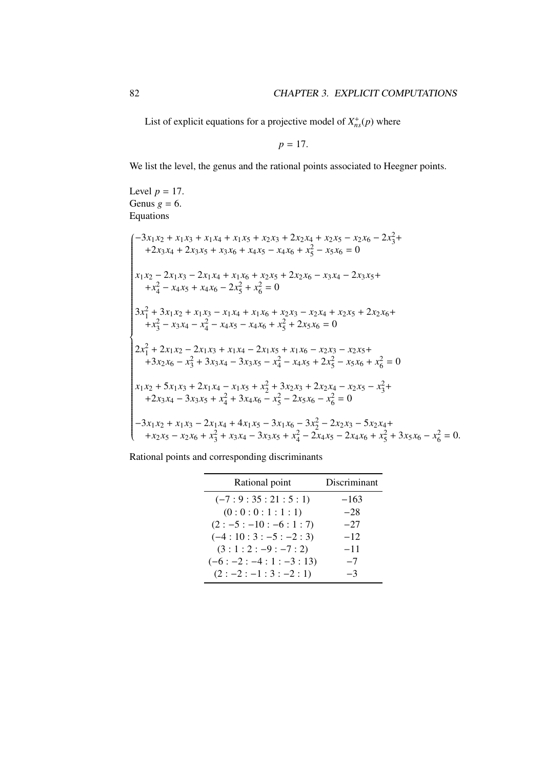List of explicit equations for a projective model of  $X_{ns}^+(p)$  where

$$
p=17.
$$

We list the level, the genus and the rational points associated to Heegner points.

Level  $p = 17$ . Genus  $g = 6$ . Equations

$$
\begin{cases}\n-3x_1x_2 + x_1x_3 + x_1x_4 + x_1x_5 + x_2x_3 + 2x_2x_4 + x_2x_5 - x_2x_6 - 2x_3^2 + \\
+2x_3x_4 + 2x_3x_5 + x_3x_6 + x_4x_5 - x_4x_6 + x_5^2 - x_5x_6 = 0 \\
x_1x_2 - 2x_1x_3 - 2x_1x_4 + x_1x_6 + x_2x_5 + 2x_2x_6 - x_3x_4 - 2x_3x_5 + \\
+x_4^2 - x_4x_5 + x_4x_6 - 2x_5^2 + x_6^2 = 0\n\end{cases}
$$
\n
$$
3x_1^2 + 3x_1x_2 + x_1x_3 - x_1x_4 + x_1x_6 + x_2x_3 - x_2x_4 + x_2x_5 + 2x_2x_6 + \\
+x_3^2 - x_3x_4 - x_4^2 - x_4x_5 - x_4x_6 + x_5^2 + 2x_5x_6 = 0
$$
\n
$$
2x_1^2 + 2x_1x_2 - 2x_1x_3 + x_1x_4 - 2x_1x_5 + x_1x_6 - x_2x_3 - x_2x_5 + \\
+3x_2x_6 - x_3^2 + 3x_3x_4 - 3x_3x_5 - x_4^2 - x_4x_5 + 2x_5^2 - x_5x_6 + x_6^2 = 0
$$
\n
$$
x_1x_2 + 5x_1x_3 + 2x_1x_4 - x_1x_5 + x_2^2 + 3x_2x_3 + 2x_2x_4 - x_2x_5 - x_3^2 + \\
+2x_3x_4 - 3x_3x_5 + x_4^2 + 3x_4x_6 - x_5^2 - 2x_5x_6 - x_6^2 = 0
$$
\n
$$
-3x_1x_2 + x_1x_3 - 2x_1x_4 + 4x_1x_5 - 3x_1x_6 - 3x_2^2 - 2x_2x_3 - 5x_2x_4 + \\
+x_2x_5 - x_2x_6 + x_3^2 + x_3x_4 - 3x_3x_5 + x_
$$

| Rational point          | Discriminant |
|-------------------------|--------------|
| $(-7:9:35:21:5:1)$      | $-163$       |
| (0:0:0:1:1:1)           | $-28$        |
| $(2:-5:-10:-6:1:7)$     | $-27$        |
| $(-4:10:3:-5:-2:3)$     | $-12$        |
| $(3:1:2:-9:-7:2)$       | $-11$        |
| $(-6: -2: -4:1: -3:13)$ | $-7$         |
| $(2:-2:-1:3:-2:1)$      | $-3$         |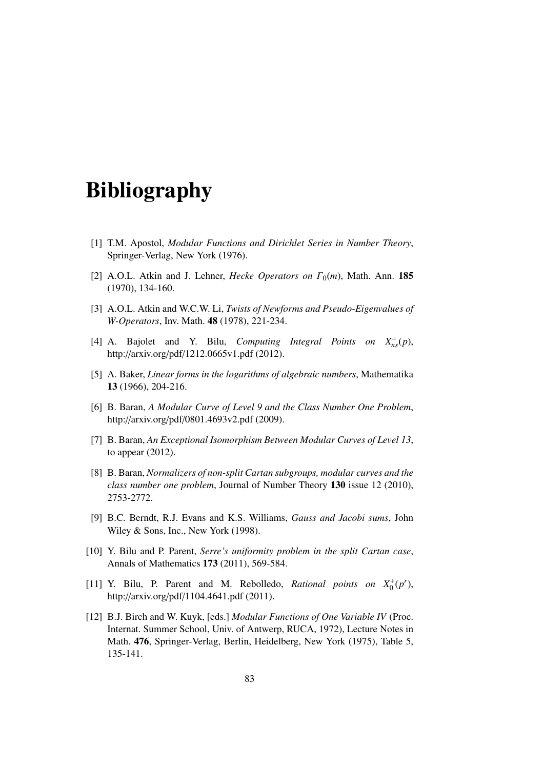## Bibliography

- [1] T.M. Apostol, *Modular Functions and Dirichlet Series in Number Theory*, Springer-Verlag, New York (1976).
- [2] A.O.L. Atkin and J. Lehner, *Hecke Operators on*  $\Gamma_0(m)$ , Math. Ann. **185** (1970), 134-160.
- [3] A.O.L. Atkin and W.C.W. Li, *Twists of Newforms and Pseudo-Eigenvalues of W-Operators*, Inv. Math. 48 (1978), 221-234.
- [4] A. Bajolet and Y. Bilu, *Computing Integral Points on*  $X_{ns}^+(p)$ , http://arxiv.org/pdf/1212.0665v1.pdf (2012).
- [5] A. Baker, *Linear forms in the logarithms of algebraic numbers*, Mathematika 13 (1966), 204-216.
- [6] B. Baran, *A Modular Curve of Level 9 and the Class Number One Problem*, http://arxiv.org/pdf/0801.4693v2.pdf (2009).
- [7] B. Baran, *An Exceptional Isomorphism Between Modular Curves of Level 13*, to appear (2012).
- [8] B. Baran, *Normalizers of non-split Cartan subgroups, modular curves and the class number one problem*, Journal of Number Theory 130 issue 12 (2010), 2753-2772.
- [9] B.C. Berndt, R.J. Evans and K.S. Williams, *Gauss and Jacobi sums*, John Wiley & Sons, Inc., New York (1998).
- [10] Y. Bilu and P. Parent, *Serre's uniformity problem in the split Cartan case*, Annals of Mathematics 173 (2011), 569-584.
- [11] Y. Bilu, P. Parent and M. Rebolledo, *Rational points on*  $X_0^+(p^r)$ , http://arxiv.org/pdf/1104.4641.pdf (2011).
- [12] B.J. Birch and W. Kuyk, [eds.] *Modular Functions of One Variable IV* (Proc. Internat. Summer School, Univ. of Antwerp, RUCA, 1972), Lecture Notes in Math. 476, Springer-Verlag, Berlin, Heidelberg, New York (1975), Table 5, 135-141.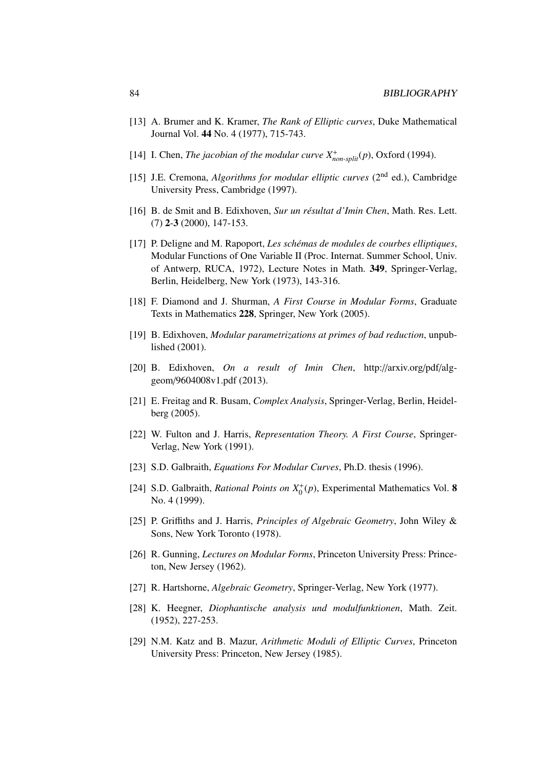- [13] A. Brumer and K. Kramer, *The Rank of Elliptic curves*, Duke Mathematical Journal Vol. 44 No. 4 (1977), 715-743.
- [14] I. Chen, *The jacobian of the modular curve*  $X^+_{non-split}(p)$ , Oxford (1994).
- [15] J.E. Cremona, *Algorithms for modular elliptic curves* (2nd ed.), Cambridge University Press, Cambridge (1997).
- [16] B. de Smit and B. Edixhoven, *Sur un résultat d'Imin Chen*, Math. Res. Lett. (7) 2-3 (2000), 147-153.
- [17] P. Deligne and M. Rapoport, *Les schémas de modules de courbes elliptiques*, Modular Functions of One Variable II (Proc. Internat. Summer School, Univ. of Antwerp, RUCA, 1972), Lecture Notes in Math. 349, Springer-Verlag, Berlin, Heidelberg, New York (1973), 143-316.
- [18] F. Diamond and J. Shurman, *A First Course in Modular Forms*, Graduate Texts in Mathematics 228, Springer, New York (2005).
- [19] B. Edixhoven, *Modular parametrizations at primes of bad reduction*, unpublished (2001).
- [20] B. Edixhoven, *On a result of Imin Chen*, http://arxiv.org/pdf/alggeom/9604008v1.pdf (2013).
- [21] E. Freitag and R. Busam, *Complex Analysis*, Springer-Verlag, Berlin, Heidelberg (2005).
- [22] W. Fulton and J. Harris, *Representation Theory. A First Course*, Springer-Verlag, New York (1991).
- [23] S.D. Galbraith, *Equations For Modular Curves*, Ph.D. thesis (1996).
- [24] S.D. Galbraith, *Rational Points on*  $X_0^+(p)$ , Experimental Mathematics Vol. 8 No. 4 (1999).
- [25] P. Griffiths and J. Harris, *Principles of Algebraic Geometry*, John Wiley & Sons, New York Toronto (1978).
- [26] R. Gunning, *Lectures on Modular Forms*, Princeton University Press: Princeton, New Jersey (1962).
- [27] R. Hartshorne, *Algebraic Geometry*, Springer-Verlag, New York (1977).
- [28] K. Heegner, *Diophantische analysis und modulfunktionen*, Math. Zeit. (1952), 227-253.
- [29] N.M. Katz and B. Mazur, *Arithmetic Moduli of Elliptic Curves*, Princeton University Press: Princeton, New Jersey (1985).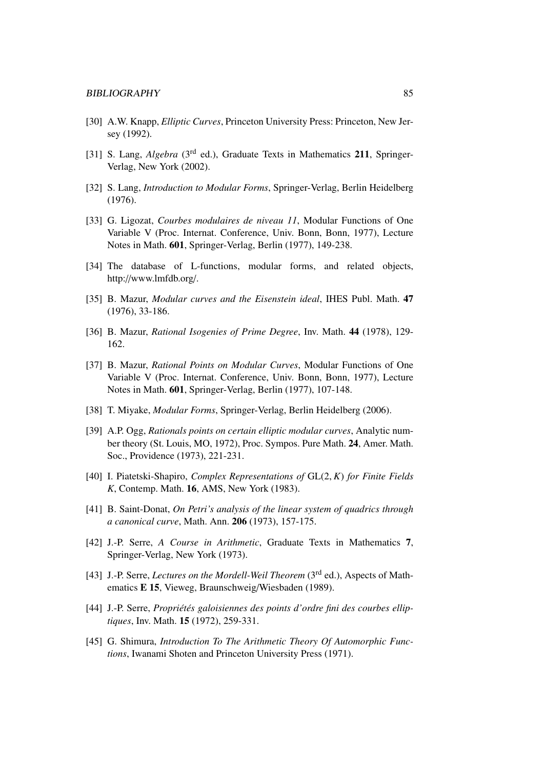- [30] A.W. Knapp, *Elliptic Curves*, Princeton University Press: Princeton, New Jersey (1992).
- [31] S. Lang, *Algebra* (3<sup>rd</sup> ed.), Graduate Texts in Mathematics 211, Springer-Verlag, New York (2002).
- [32] S. Lang, *Introduction to Modular Forms*, Springer-Verlag, Berlin Heidelberg (1976).
- [33] G. Ligozat, *Courbes modulaires de niveau 11*, Modular Functions of One Variable V (Proc. Internat. Conference, Univ. Bonn, Bonn, 1977), Lecture Notes in Math. 601, Springer-Verlag, Berlin (1977), 149-238.
- [34] The database of L-functions, modular forms, and related objects, http://www.lmfdb.org/.
- [35] B. Mazur, *Modular curves and the Eisenstein ideal*, IHES Publ. Math. 47 (1976), 33-186.
- [36] B. Mazur, *Rational Isogenies of Prime Degree*, Inv. Math. 44 (1978), 129- 162.
- [37] B. Mazur, *Rational Points on Modular Curves*, Modular Functions of One Variable V (Proc. Internat. Conference, Univ. Bonn, Bonn, 1977), Lecture Notes in Math. 601, Springer-Verlag, Berlin (1977), 107-148.
- [38] T. Miyake, *Modular Forms*, Springer-Verlag, Berlin Heidelberg (2006).
- [39] A.P. Ogg, *Rationals points on certain elliptic modular curves*, Analytic number theory (St. Louis, MO, 1972), Proc. Sympos. Pure Math. 24, Amer. Math. Soc., Providence (1973), 221-231.
- [40] I. Piatetski-Shapiro, *Complex Representations of* GL(2, *<sup>K</sup>*) *for Finite Fields K*, Contemp. Math. 16, AMS, New York (1983).
- [41] B. Saint-Donat, *On Petri's analysis of the linear system of quadrics through a canonical curve*, Math. Ann. 206 (1973), 157-175.
- [42] J.-P. Serre, *A Course in Arithmetic*, Graduate Texts in Mathematics 7, Springer-Verlag, New York (1973).
- [43] J.-P. Serre, *Lectures on the Mordell-Weil Theorem* (3rd ed.), Aspects of Mathematics E 15, Vieweg, Braunschweig/Wiesbaden (1989).
- [44] J.-P. Serre, *Propriétés galoisiennes des points d'ordre fini des courbes elliptiques*, Inv. Math. 15 (1972), 259-331.
- [45] G. Shimura, *Introduction To The Arithmetic Theory Of Automorphic Functions*, Iwanami Shoten and Princeton University Press (1971).